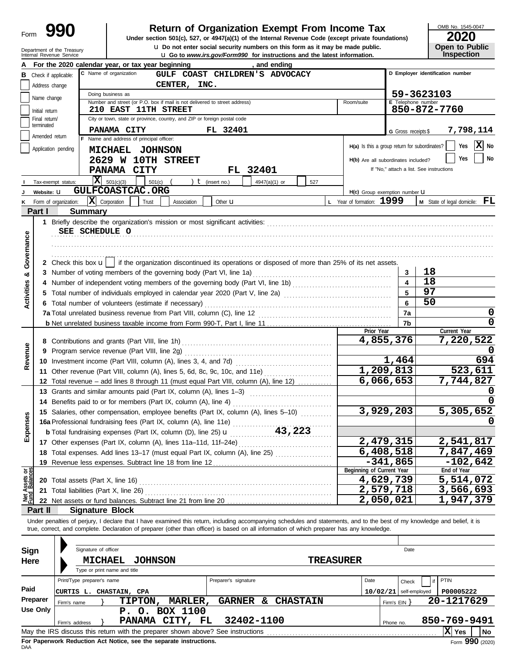Department of the Treasury

# **990 2020 2010 2020 2020 2020 2020 2020 2020 2020 2020 2020 2020 2020 2020 2020**

**u** Do not enter social security numbers on this form as it may be made public.

OMB No. 1545-0047

| ZUZU           |
|----------------|
| Open to Public |
| $l$ nanaatian  |

|                                |                 | Internal Revenue Service                                                                                                                                                                                                       |                                   |                                          |                                                                            |                      | <b>u</b> Go to <i>www.irs.gov/Form990</i> for instructions and the latest information. |     |                           |            |                                               |              | Inspection                                      |
|--------------------------------|-----------------|--------------------------------------------------------------------------------------------------------------------------------------------------------------------------------------------------------------------------------|-----------------------------------|------------------------------------------|----------------------------------------------------------------------------|----------------------|----------------------------------------------------------------------------------------|-----|---------------------------|------------|-----------------------------------------------|--------------|-------------------------------------------------|
|                                |                 | For the 2020 calendar year, or tax year beginning                                                                                                                                                                              |                                   |                                          |                                                                            |                      | and ending                                                                             |     |                           |            |                                               |              |                                                 |
|                                |                 | <b>B</b> Check if applicable:                                                                                                                                                                                                  | C Name of organization            |                                          |                                                                            |                      | GULF COAST CHILDREN'S ADVOCACY                                                         |     |                           |            | D Employer identification number              |              |                                                 |
|                                | Address change  |                                                                                                                                                                                                                                |                                   |                                          | CENTER, INC.                                                               |                      |                                                                                        |     |                           |            |                                               |              |                                                 |
|                                |                 |                                                                                                                                                                                                                                | Doing business as                 |                                          |                                                                            |                      |                                                                                        |     |                           |            |                                               | 59-3623103   |                                                 |
|                                | Name change     |                                                                                                                                                                                                                                |                                   |                                          | Number and street (or P.O. box if mail is not delivered to street address) |                      |                                                                                        |     | Room/suite                |            | E Telephone number                            |              |                                                 |
|                                | Initial return  |                                                                                                                                                                                                                                |                                   | <b>210 EAST 11TH STREET</b>              |                                                                            |                      |                                                                                        |     |                           |            |                                               | 850-872-7760 |                                                 |
|                                | Final return/   |                                                                                                                                                                                                                                |                                   |                                          | City or town, state or province, country, and ZIP or foreign postal code   |                      |                                                                                        |     |                           |            |                                               |              |                                                 |
|                                | terminated      |                                                                                                                                                                                                                                | PANAMA CITY                       |                                          |                                                                            | FL 32401             |                                                                                        |     |                           |            | G Gross receipts \$                           |              | 7,798,114                                       |
|                                | Amended return  |                                                                                                                                                                                                                                |                                   | F Name and address of principal officer: |                                                                            |                      |                                                                                        |     |                           |            |                                               |              |                                                 |
|                                |                 | Application pending                                                                                                                                                                                                            |                                   | <b>MICHAEL JOHNSON</b>                   |                                                                            |                      |                                                                                        |     |                           |            | H(a) Is this a group return for subordinates? |              | $ \mathbf{X} $ No<br>Yes                        |
|                                |                 |                                                                                                                                                                                                                                |                                   |                                          | 2629 W 10TH STREET                                                         |                      |                                                                                        |     |                           |            | H(b) Are all subordinates included?           |              | No<br>Yes                                       |
|                                |                 |                                                                                                                                                                                                                                | PANAMA CITY                       |                                          |                                                                            |                      | FL 32401                                                                               |     |                           |            | If "No," attach a list. See instructions      |              |                                                 |
|                                |                 |                                                                                                                                                                                                                                |                                   |                                          |                                                                            |                      |                                                                                        |     |                           |            |                                               |              |                                                 |
|                                |                 | Tax-exempt status:                                                                                                                                                                                                             | $\overline{\mathbf{X}}$ 501(c)(3) |                                          | $501(c)$ (                                                                 | ) $t$ (insert no.)   | 4947(a)(1) or                                                                          | 527 |                           |            |                                               |              |                                                 |
|                                | Website: U      | <b>GULFCOASTCAC.ORG</b>                                                                                                                                                                                                        |                                   |                                          |                                                                            |                      |                                                                                        |     |                           |            | H(c) Group exemption number <b>U</b>          |              |                                                 |
| κ                              |                 | Form of organization:                                                                                                                                                                                                          | $ \mathbf{X} $ Corporation        | Trust                                    | Association                                                                | Other $\mathbf u$    |                                                                                        |     | L Year of formation: 1999 |            |                                               |              | <b>M</b> State of legal domicile: $\mathbf{FL}$ |
|                                | Part I          | <b>Summary</b>                                                                                                                                                                                                                 |                                   |                                          |                                                                            |                      |                                                                                        |     |                           |            |                                               |              |                                                 |
|                                |                 |                                                                                                                                                                                                                                |                                   |                                          |                                                                            |                      |                                                                                        |     |                           |            |                                               |              |                                                 |
|                                |                 | SEE SCHEDULE O                                                                                                                                                                                                                 |                                   |                                          |                                                                            |                      |                                                                                        |     |                           |            |                                               |              |                                                 |
|                                |                 |                                                                                                                                                                                                                                |                                   |                                          |                                                                            |                      |                                                                                        |     |                           |            |                                               |              |                                                 |
|                                |                 |                                                                                                                                                                                                                                |                                   |                                          |                                                                            |                      |                                                                                        |     |                           |            |                                               |              |                                                 |
|                                |                 |                                                                                                                                                                                                                                |                                   |                                          |                                                                            |                      |                                                                                        |     |                           |            |                                               |              |                                                 |
| Governance                     |                 | 2 Check this box $\mathbf{u}$   if the organization discontinued its operations or disposed of more than 25% of its net assets.                                                                                                |                                   |                                          |                                                                            |                      |                                                                                        |     |                           |            |                                               |              |                                                 |
| య                              |                 |                                                                                                                                                                                                                                |                                   |                                          |                                                                            |                      |                                                                                        |     |                           |            | 3                                             | 18           |                                                 |
|                                |                 |                                                                                                                                                                                                                                |                                   |                                          |                                                                            |                      |                                                                                        |     |                           |            | $\overline{\mathbf{4}}$                       | 18           |                                                 |
| <b>Activities</b>              |                 | 5 Total number of individuals employed in calendar year 2020 (Part V, line 2a) [11] [20] [11] [20] [11] Total number of individuals employed in calendar year 2020 (Part V, line 2a) [12] [20] [20] [20] [20] [20] [20] [20] [ |                                   |                                          |                                                                            |                      |                                                                                        |     |                           |            | 5                                             | 97           |                                                 |
|                                |                 | 6 Total number of volunteers (estimate if necessary)                                                                                                                                                                           |                                   |                                          |                                                                            |                      |                                                                                        |     |                           |            | 6                                             | 50           |                                                 |
|                                |                 |                                                                                                                                                                                                                                |                                   |                                          |                                                                            |                      |                                                                                        |     |                           |            | 7a                                            |              | 0                                               |
|                                |                 |                                                                                                                                                                                                                                |                                   |                                          |                                                                            |                      |                                                                                        |     |                           |            | 7b                                            |              | 0                                               |
|                                |                 |                                                                                                                                                                                                                                |                                   |                                          |                                                                            |                      |                                                                                        |     |                           | Prior Year |                                               |              | Current Year                                    |
|                                |                 |                                                                                                                                                                                                                                |                                   |                                          |                                                                            |                      |                                                                                        |     |                           |            | 4,855,376                                     |              | 7,220,522                                       |
|                                |                 |                                                                                                                                                                                                                                |                                   |                                          |                                                                            |                      |                                                                                        |     |                           |            |                                               |              |                                                 |
| Revenue                        |                 | 9 Program service revenue (Part VIII, line 2g)<br>11 Other revenue (Part VIII, column (A), lines 5, 6d, 8c, 9c, 10c, and 11e)                                                                                                  |                                   |                                          |                                                                            |                      |                                                                                        |     |                           |            |                                               |              |                                                 |
|                                |                 |                                                                                                                                                                                                                                |                                   |                                          |                                                                            |                      |                                                                                        |     |                           |            | 1,464                                         |              | 694                                             |
|                                |                 |                                                                                                                                                                                                                                |                                   |                                          |                                                                            |                      |                                                                                        |     |                           |            | 1,209,813                                     |              | 523,611                                         |
|                                |                 | 12 Total revenue - add lines 8 through 11 (must equal Part VIII, column (A), line 12)                                                                                                                                          |                                   |                                          |                                                                            |                      |                                                                                        |     |                           |            | 6,066,653                                     |              | 7,744,827                                       |
|                                |                 | 13 Grants and similar amounts paid (Part IX, column (A), lines 1-3)                                                                                                                                                            |                                   |                                          |                                                                            |                      |                                                                                        |     |                           |            |                                               |              |                                                 |
|                                |                 | 14 Benefits paid to or for members (Part IX, column (A), line 4)                                                                                                                                                               |                                   |                                          |                                                                            |                      |                                                                                        |     |                           |            |                                               |              |                                                 |
|                                |                 | 15 Salaries, other compensation, employee benefits (Part IX, column (A), lines 5-10)                                                                                                                                           |                                   |                                          |                                                                            |                      |                                                                                        |     |                           |            | 3,929,203                                     |              | 5,305,652                                       |
| enses                          |                 | 15 Salaries, outer componentially, and J. Column (A), line 11e)<br>16a Professional fundraising fees (Part IX, column (D) line 25) $\mathbf{u} = (23, 223, \ldots, 43, 223)$                                                   |                                   |                                          |                                                                            |                      |                                                                                        |     |                           |            |                                               |              |                                                 |
|                                |                 |                                                                                                                                                                                                                                |                                   |                                          |                                                                            |                      |                                                                                        |     |                           |            |                                               |              |                                                 |
| Exp                            |                 |                                                                                                                                                                                                                                |                                   |                                          |                                                                            |                      |                                                                                        |     |                           |            | 2,479,315                                     |              | 2,541,817                                       |
|                                |                 | 17 Other expenses (Part IX, column (A), lines 11a-11d, 11f-24e)                                                                                                                                                                |                                   |                                          |                                                                            |                      |                                                                                        |     |                           |            |                                               |              |                                                 |
|                                |                 | 18 Total expenses. Add lines 13-17 (must equal Part IX, column (A), line 25)                                                                                                                                                   |                                   |                                          |                                                                            |                      |                                                                                        |     |                           |            | 6,408,518                                     |              | 7,847,469                                       |
|                                |                 | 19 Revenue less expenses. Subtract line 18 from line 12                                                                                                                                                                        |                                   |                                          |                                                                            |                      |                                                                                        |     |                           |            | $-341,865$                                    |              | $-102,642$                                      |
| Net Assets or<br>Fund Balances |                 |                                                                                                                                                                                                                                |                                   |                                          |                                                                            |                      |                                                                                        |     |                           |            | Beginning of Current Year                     |              | End of Year                                     |
|                                |                 | 20 Total assets (Part X, line 16) Mathematical and Contact Mathematical Assets (Part X, line 16)                                                                                                                               |                                   |                                          |                                                                            |                      |                                                                                        |     |                           |            | 4,629,739                                     |              | 5,514,072                                       |
|                                |                 |                                                                                                                                                                                                                                |                                   |                                          |                                                                            |                      |                                                                                        |     |                           |            | 2,579,718                                     |              | 3,566,693                                       |
|                                |                 |                                                                                                                                                                                                                                |                                   |                                          |                                                                            |                      |                                                                                        |     |                           |            | 2,050,021                                     |              | 1,947,379                                       |
|                                | Part II         | <b>Signature Block</b>                                                                                                                                                                                                         |                                   |                                          |                                                                            |                      |                                                                                        |     |                           |            |                                               |              |                                                 |
|                                |                 | Under penalties of perjury, I declare that I have examined this return, including accompanying schedules and statements, and to the best of my knowledge and belief, it is                                                     |                                   |                                          |                                                                            |                      |                                                                                        |     |                           |            |                                               |              |                                                 |
|                                |                 | true, correct, and complete. Declaration of preparer (other than officer) is based on all information of which preparer has any knowledge.                                                                                     |                                   |                                          |                                                                            |                      |                                                                                        |     |                           |            |                                               |              |                                                 |
|                                |                 |                                                                                                                                                                                                                                |                                   |                                          |                                                                            |                      |                                                                                        |     |                           |            |                                               |              |                                                 |
|                                |                 | Signature of officer                                                                                                                                                                                                           |                                   |                                          |                                                                            |                      |                                                                                        |     |                           |            | Date                                          |              |                                                 |
| Sign                           |                 |                                                                                                                                                                                                                                |                                   |                                          |                                                                            |                      |                                                                                        |     |                           |            |                                               |              |                                                 |
| <b>Here</b>                    |                 | <b>MICHAEL</b>                                                                                                                                                                                                                 |                                   | <b>JOHNSON</b>                           |                                                                            |                      |                                                                                        |     | <b>TREASURER</b>          |            |                                               |              |                                                 |
|                                |                 | Type or print name and title                                                                                                                                                                                                   |                                   |                                          |                                                                            |                      |                                                                                        |     |                           |            |                                               |              |                                                 |
|                                |                 | Print/Type preparer's name                                                                                                                                                                                                     |                                   |                                          |                                                                            | Preparer's signature |                                                                                        |     |                           | Date       | Check                                         |              | PTIN                                            |
| Paid                           |                 | CURTIS L. CHASTAIN, CPA                                                                                                                                                                                                        |                                   |                                          |                                                                            |                      |                                                                                        |     |                           |            | $10/02/21$ self-employed                      |              | P00005222                                       |
|                                | <b>Preparer</b> | Firm's name                                                                                                                                                                                                                    |                                   | <b>TIPTON,</b>                           | <b>MARLER,</b>                                                             |                      | <b>GARNER &amp; CHASTAIN</b>                                                           |     |                           |            | Firm's EIN }                                  |              | 20-1217629                                      |
|                                | <b>Use Only</b> |                                                                                                                                                                                                                                |                                   |                                          | P. O. BOX 1100                                                             |                      |                                                                                        |     |                           |            |                                               |              |                                                 |
|                                |                 | Firm's address                                                                                                                                                                                                                 |                                   |                                          | PANAMA CITY, FL                                                            |                      | 32402-1100                                                                             |     |                           |            | Phone no.                                     |              | 850-769-9491                                    |
|                                |                 | May the IRS discuss this return with the preparer shown above? See instructions                                                                                                                                                |                                   |                                          |                                                                            |                      |                                                                                        |     |                           |            |                                               |              | X Yes<br> No                                    |
|                                |                 |                                                                                                                                                                                                                                |                                   |                                          |                                                                            |                      |                                                                                        |     |                           |            |                                               |              |                                                 |

| Sign     |                | Signature of officer                           |    |                |                                                                    |                                                                                 |    |                  |      |                | Date                     |              |      |
|----------|----------------|------------------------------------------------|----|----------------|--------------------------------------------------------------------|---------------------------------------------------------------------------------|----|------------------|------|----------------|--------------------------|--------------|------|
| Here     |                | <b>MICHAEL</b><br>Type or print name and title |    | <b>JOHNSON</b> |                                                                    |                                                                                 |    | <b>TREASURER</b> |      |                |                          |              |      |
|          |                | Print/Type preparer's name                     |    |                |                                                                    | Preparer's signature                                                            |    |                  | Date |                | Check                    | PTIN         |      |
| Paid     |                | CURTIS L. CHASTAIN, CPA                        |    |                |                                                                    |                                                                                 |    |                  |      |                | $10/02/21$ self-employed | P00005222    |      |
| Preparer | Firm's name    |                                                |    | TIPTON,        | MARLER,                                                            | <b>GARNER</b>                                                                   | δŁ | <b>CHASTAIN</b>  |      | Firm's $EIN$ } |                          | 20-1217629   |      |
| Use Only |                |                                                | Р. | $\Omega$ .     | <b>BOX 1100</b>                                                    |                                                                                 |    |                  |      |                |                          |              |      |
|          | Firm's address |                                                |    |                | PANAMA CITY, FL                                                    | 32402-1100                                                                      |    |                  |      | Phone no.      |                          | 850-769-9491 |      |
|          |                |                                                |    |                |                                                                    | May the IRS discuss this return with the preparer shown above? See instructions |    |                  |      |                |                          | X Yes        | No.  |
|          |                |                                                |    |                | Fee Benemical Bedicates Ast Nation, and the economic instancelers. |                                                                                 |    |                  |      |                |                          |              | nnn. |

**For Paperwork Reduction Act Notice, see the separate instructions.**<br>DAA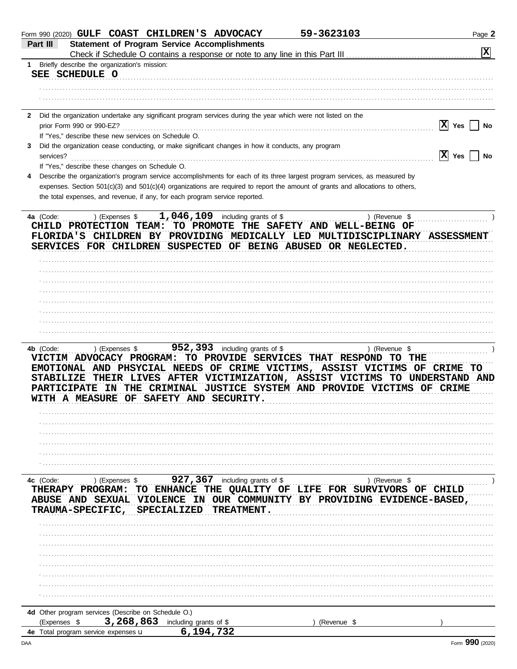|                |                           |                                                 | Form 990 (2020) GULF COAST CHILDREN'S ADVOCACY                              |                                  | 59-3623103                                                                                                                                                                                                                                                                                              | Page 2              |
|----------------|---------------------------|-------------------------------------------------|-----------------------------------------------------------------------------|----------------------------------|---------------------------------------------------------------------------------------------------------------------------------------------------------------------------------------------------------------------------------------------------------------------------------------------------------|---------------------|
| Part III       |                           |                                                 | <b>Statement of Program Service Accomplishments</b>                         |                                  |                                                                                                                                                                                                                                                                                                         | 区                   |
|                |                           | Briefly describe the organization's mission:    |                                                                             |                                  |                                                                                                                                                                                                                                                                                                         |                     |
| SEE SCHEDULE O |                           |                                                 |                                                                             |                                  |                                                                                                                                                                                                                                                                                                         |                     |
|                |                           |                                                 |                                                                             |                                  |                                                                                                                                                                                                                                                                                                         |                     |
|                |                           |                                                 |                                                                             |                                  |                                                                                                                                                                                                                                                                                                         |                     |
|                |                           |                                                 |                                                                             |                                  |                                                                                                                                                                                                                                                                                                         |                     |
| $\mathbf{2}$   |                           |                                                 |                                                                             |                                  | Did the organization undertake any significant program services during the year which were not listed on the                                                                                                                                                                                            |                     |
|                | prior Form 990 or 990-EZ? |                                                 | If "Yes," describe these new services on Schedule O.                        |                                  |                                                                                                                                                                                                                                                                                                         | X Yes<br><b>No</b>  |
|                |                           |                                                 |                                                                             |                                  | Did the organization cease conducting, or make significant changes in how it conducts, any program                                                                                                                                                                                                      |                     |
| services?      |                           |                                                 |                                                                             |                                  |                                                                                                                                                                                                                                                                                                         | $ X $ Yes $ $<br>No |
|                |                           | If "Yes," describe these changes on Schedule O. |                                                                             |                                  |                                                                                                                                                                                                                                                                                                         |                     |
|                |                           |                                                 |                                                                             |                                  | Describe the organization's program service accomplishments for each of its three largest program services, as measured by                                                                                                                                                                              |                     |
|                |                           |                                                 |                                                                             |                                  | expenses. Section 501(c)(3) and 501(c)(4) organizations are required to report the amount of grants and allocations to others,                                                                                                                                                                          |                     |
|                |                           |                                                 | the total expenses, and revenue, if any, for each program service reported. |                                  |                                                                                                                                                                                                                                                                                                         |                     |
| 4a (Code:      |                           | ) (Expenses \$                                  |                                                                             | 1,046,109 including grants of \$ | ) (Revenue \$                                                                                                                                                                                                                                                                                           |                     |
|                |                           | CHILD PROTECTION TEAM:                          |                                                                             |                                  | TO PROMOTE THE SAFETY AND WELL-BEING OF                                                                                                                                                                                                                                                                 |                     |
|                |                           |                                                 |                                                                             |                                  | FLORIDA'S CHILDREN BY PROVIDING MEDICALLY LED MULTIDISCIPLINARY ASSESSMENT                                                                                                                                                                                                                              |                     |
|                |                           |                                                 |                                                                             |                                  | SERVICES FOR CHILDREN SUSPECTED OF BEING ABUSED OR NEGLECTED.                                                                                                                                                                                                                                           |                     |
|                |                           |                                                 |                                                                             |                                  |                                                                                                                                                                                                                                                                                                         |                     |
|                |                           |                                                 |                                                                             |                                  |                                                                                                                                                                                                                                                                                                         |                     |
|                |                           |                                                 |                                                                             |                                  |                                                                                                                                                                                                                                                                                                         |                     |
|                |                           |                                                 |                                                                             |                                  |                                                                                                                                                                                                                                                                                                         |                     |
|                |                           |                                                 |                                                                             |                                  |                                                                                                                                                                                                                                                                                                         |                     |
|                |                           |                                                 |                                                                             |                                  |                                                                                                                                                                                                                                                                                                         |                     |
|                |                           |                                                 |                                                                             |                                  |                                                                                                                                                                                                                                                                                                         |                     |
|                |                           |                                                 |                                                                             |                                  |                                                                                                                                                                                                                                                                                                         |                     |
|                |                           |                                                 | WITH A MEASURE OF SAFETY AND SECURITY.                                      |                                  | VICTIM ADVOCACY PROGRAM: TO PROVIDE SERVICES THAT RESPOND TO THE<br>EMOTIONAL AND PHSYCIAL NEEDS OF CRIME VICTIMS, ASSIST VICTIMS OF CRIME TO<br>STABILIZE THEIR LIVES AFTER VICTIMIZATION, ASSIST VICTIMS TO UNDERSTAND AND<br>PARTICIPATE IN THE CRIMINAL JUSTICE SYSTEM AND PROVIDE VICTIMS OF CRIME |                     |
|                |                           |                                                 |                                                                             |                                  |                                                                                                                                                                                                                                                                                                         |                     |
|                |                           |                                                 |                                                                             |                                  |                                                                                                                                                                                                                                                                                                         |                     |
|                |                           |                                                 |                                                                             |                                  |                                                                                                                                                                                                                                                                                                         |                     |
|                |                           |                                                 |                                                                             |                                  |                                                                                                                                                                                                                                                                                                         |                     |
|                |                           |                                                 |                                                                             |                                  |                                                                                                                                                                                                                                                                                                         |                     |
|                |                           |                                                 |                                                                             |                                  |                                                                                                                                                                                                                                                                                                         |                     |
| 4c (Code:      |                           | ) (Expenses \$                                  |                                                                             | 927, 367 including grants of \$  | ) (Revenue \$<br>THERAPY PROGRAM: TO ENHANCE THE QUALITY OF LIFE FOR SURVIVORS OF CHILD                                                                                                                                                                                                                 |                     |
|                |                           |                                                 |                                                                             |                                  | ABUSE AND SEXUAL VIOLENCE IN OUR COMMUNITY BY PROVIDING EVIDENCE-BASED,                                                                                                                                                                                                                                 |                     |
|                | <b>TRAUMA-SPECIFIC,</b>   |                                                 | SPECIALIZED                                                                 | <b>TREATMENT.</b>                |                                                                                                                                                                                                                                                                                                         |                     |
|                |                           |                                                 |                                                                             |                                  |                                                                                                                                                                                                                                                                                                         |                     |
|                |                           |                                                 |                                                                             |                                  |                                                                                                                                                                                                                                                                                                         |                     |
|                |                           |                                                 |                                                                             |                                  |                                                                                                                                                                                                                                                                                                         |                     |
|                |                           |                                                 |                                                                             |                                  |                                                                                                                                                                                                                                                                                                         |                     |
|                |                           |                                                 |                                                                             |                                  |                                                                                                                                                                                                                                                                                                         |                     |
|                |                           |                                                 |                                                                             |                                  |                                                                                                                                                                                                                                                                                                         |                     |
|                |                           |                                                 |                                                                             |                                  |                                                                                                                                                                                                                                                                                                         |                     |
|                |                           |                                                 |                                                                             |                                  |                                                                                                                                                                                                                                                                                                         |                     |
|                |                           |                                                 | 4d Other program services (Describe on Schedule O.)                         |                                  |                                                                                                                                                                                                                                                                                                         |                     |
| (Expenses \$   |                           | 3,268,863                                       | including grants of \$                                                      |                                  | ) (Revenue \$                                                                                                                                                                                                                                                                                           |                     |
|                |                           | 4e Total program service expenses u             | 6,194,732                                                                   |                                  |                                                                                                                                                                                                                                                                                                         |                     |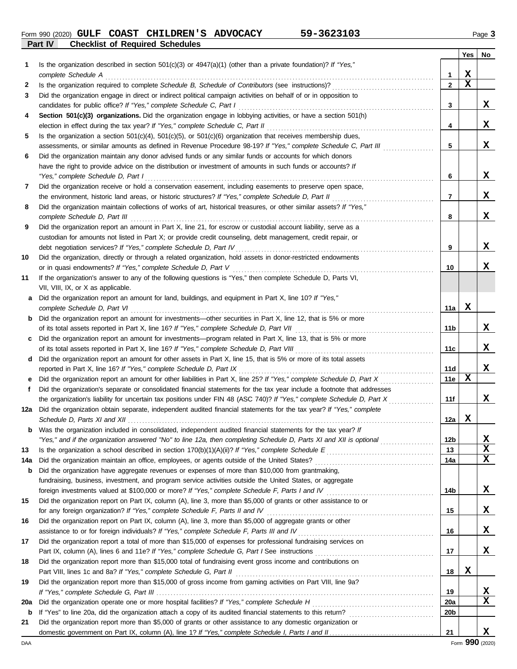**Part IV Checklist of Required Schedules Form 990 (2020) GULF COAST CHILDREN'S ADVOCACY** 59-3623103 Page 3

| 1           | Is the organization described in section $501(c)(3)$ or $4947(a)(1)$ (other than a private foundation)? If "Yes,"                                                                                                                    |                 | Yes | No. |
|-------------|--------------------------------------------------------------------------------------------------------------------------------------------------------------------------------------------------------------------------------------|-----------------|-----|-----|
|             | complete Schedule A                                                                                                                                                                                                                  | 1               | x   |     |
| 2           |                                                                                                                                                                                                                                      | $\mathbf{2}$    | X   |     |
| 3           | Did the organization engage in direct or indirect political campaign activities on behalf of or in opposition to                                                                                                                     |                 |     |     |
|             | candidates for public office? If "Yes," complete Schedule C, Part I                                                                                                                                                                  | 3               |     | X.  |
| 4           | Section 501(c)(3) organizations. Did the organization engage in lobbying activities, or have a section 501(h)                                                                                                                        |                 |     |     |
|             |                                                                                                                                                                                                                                      | 4               |     | x   |
| 5           | Is the organization a section $501(c)(4)$ , $501(c)(5)$ , or $501(c)(6)$ organization that receives membership dues,                                                                                                                 |                 |     |     |
|             | assessments, or similar amounts as defined in Revenue Procedure 98-19? If "Yes," complete Schedule C, Part III                                                                                                                       | 5               |     | X   |
| 6           | Did the organization maintain any donor advised funds or any similar funds or accounts for which donors                                                                                                                              |                 |     |     |
|             | have the right to provide advice on the distribution or investment of amounts in such funds or accounts? If                                                                                                                          |                 |     |     |
|             | "Yes," complete Schedule D, Part I                                                                                                                                                                                                   | 6               |     | X.  |
| 7           | Did the organization receive or hold a conservation easement, including easements to preserve open space,                                                                                                                            |                 |     |     |
|             | the environment, historic land areas, or historic structures? If "Yes," complete Schedule D, Part II                                                                                                                                 | 7               |     | X.  |
| 8           | Did the organization maintain collections of works of art, historical treasures, or other similar assets? If "Yes,"                                                                                                                  |                 |     |     |
|             | complete Schedule D, Part III                                                                                                                                                                                                        | 8               |     | x   |
| 9           | Did the organization report an amount in Part X, line 21, for escrow or custodial account liability, serve as a                                                                                                                      |                 |     |     |
|             | custodian for amounts not listed in Part X; or provide credit counseling, debt management, credit repair, or                                                                                                                         |                 |     |     |
|             |                                                                                                                                                                                                                                      | 9               |     | X.  |
| 10          | Did the organization, directly or through a related organization, hold assets in donor-restricted endowments                                                                                                                         |                 |     |     |
|             |                                                                                                                                                                                                                                      | 10              |     | x   |
| 11          | If the organization's answer to any of the following questions is "Yes," then complete Schedule D, Parts VI,                                                                                                                         |                 |     |     |
|             | VII, VIII, IX, or X as applicable.                                                                                                                                                                                                   |                 |     |     |
| a           | Did the organization report an amount for land, buildings, and equipment in Part X, line 10? If "Yes,"                                                                                                                               |                 |     |     |
|             | complete Schedule D, Part VI                                                                                                                                                                                                         | 11a             | x   |     |
| $\mathbf b$ | Did the organization report an amount for investments—other securities in Part X, line 12, that is 5% or more                                                                                                                        |                 |     |     |
|             |                                                                                                                                                                                                                                      | 11b             |     | X.  |
| c.          | Did the organization report an amount for investments—program related in Part X, line 13, that is 5% or more                                                                                                                         |                 |     |     |
|             |                                                                                                                                                                                                                                      | 11c             |     | x   |
| d           | Did the organization report an amount for other assets in Part X, line 15, that is 5% or more of its total assets                                                                                                                    |                 |     | x   |
|             |                                                                                                                                                                                                                                      | 11d<br>11e      | X   |     |
| е<br>f      | Did the organization's separate or consolidated financial statements for the tax year include a footnote that addresses                                                                                                              |                 |     |     |
|             | the organization's liability for uncertain tax positions under FIN 48 (ASC 740)? If "Yes," complete Schedule D, Part X                                                                                                               | 11f             |     | X   |
| 12a         | Did the organization obtain separate, independent audited financial statements for the tax year? If "Yes," complete                                                                                                                  |                 |     |     |
|             |                                                                                                                                                                                                                                      | 12a             | X   |     |
| b           | Was the organization included in consolidated, independent audited financial statements for the tax year? If                                                                                                                         |                 |     |     |
|             | "Yes," and if the organization answered "No" to line 12a, then completing Schedule D, Parts XI and XII is optional <i>commension</i>                                                                                                 | 12 <sub>b</sub> |     | X.  |
| 13          |                                                                                                                                                                                                                                      | 13              |     | X   |
| 14a         |                                                                                                                                                                                                                                      | 14a             |     | x   |
| b           | Did the organization have aggregate revenues or expenses of more than \$10,000 from grantmaking,                                                                                                                                     |                 |     |     |
|             | fundraising, business, investment, and program service activities outside the United States, or aggregate                                                                                                                            |                 |     |     |
|             | foreign investments valued at \$100,000 or more? If "Yes," complete Schedule F, Parts I and IV [[[[[[[[[[[[[[[[                                                                                                                      | 14b             |     | X   |
| 15          | Did the organization report on Part IX, column (A), line 3, more than \$5,000 of grants or other assistance to or                                                                                                                    |                 |     |     |
|             |                                                                                                                                                                                                                                      | 15              |     | X   |
| 16          | Did the organization report on Part IX, column (A), line 3, more than \$5,000 of aggregate grants or other                                                                                                                           |                 |     |     |
|             |                                                                                                                                                                                                                                      | 16              |     | X.  |
| 17          | Did the organization report a total of more than \$15,000 of expenses for professional fundraising services on                                                                                                                       |                 |     |     |
|             | Part IX, column (A), lines 6 and 11e? If "Yes," complete Schedule G, Part I See instructions <i>mature in the state of the set of the set of the set of the set of the set of the set of the set of the set of the set of the se</i> | 17              |     | X.  |
| 18          | Did the organization report more than \$15,000 total of fundraising event gross income and contributions on                                                                                                                          |                 |     |     |
|             |                                                                                                                                                                                                                                      | 18              | X   |     |
| 19          | Did the organization report more than \$15,000 of gross income from gaming activities on Part VIII, line 9a?                                                                                                                         |                 |     |     |
|             |                                                                                                                                                                                                                                      | 19              |     | X.  |
| 20a         |                                                                                                                                                                                                                                      | 20a             |     | x   |
| b           |                                                                                                                                                                                                                                      | 20b             |     |     |
| 21          | Did the organization report more than \$5,000 of grants or other assistance to any domestic organization or                                                                                                                          |                 |     |     |
|             |                                                                                                                                                                                                                                      | 21              |     | x   |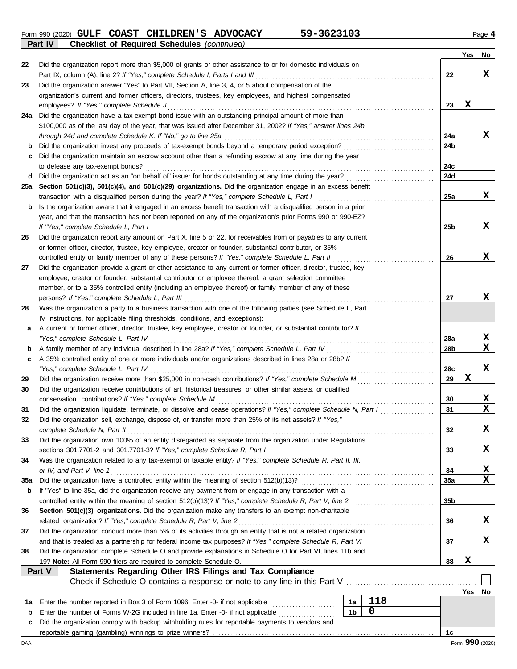**Form 990 (2020) GULF COAST CHILDREN'S ADVOCACY** 59-3623103 Page 4 **Part IV Checklist of Required Schedules** *(continued)*

|     |                                                                                                                                                                                 |                |   |     |          | Yes | No.         |
|-----|---------------------------------------------------------------------------------------------------------------------------------------------------------------------------------|----------------|---|-----|----------|-----|-------------|
| 22  | Did the organization report more than \$5,000 of grants or other assistance to or for domestic individuals on                                                                   |                |   |     |          |     |             |
|     |                                                                                                                                                                                 |                |   |     | 22       |     | X           |
| 23  | Did the organization answer "Yes" to Part VII, Section A, line 3, 4, or 5 about compensation of the                                                                             |                |   |     |          |     |             |
|     | organization's current and former officers, directors, trustees, key employees, and highest compensated                                                                         |                |   |     |          |     |             |
|     | employees? If "Yes," complete Schedule J                                                                                                                                        |                |   |     | 23       | х   |             |
| 24a | Did the organization have a tax-exempt bond issue with an outstanding principal amount of more than                                                                             |                |   |     |          |     |             |
|     | \$100,000 as of the last day of the year, that was issued after December 31, 2002? If "Yes," answer lines 24b                                                                   |                |   |     |          |     |             |
|     | through 24d and complete Schedule K. If "No," go to line 25a                                                                                                                    |                |   |     | 24a      |     | x           |
| b   |                                                                                                                                                                                 |                |   |     | 24b      |     |             |
| c   | Did the organization maintain an escrow account other than a refunding escrow at any time during the year                                                                       |                |   |     |          |     |             |
|     | to defease any tax-exempt bonds?                                                                                                                                                |                |   |     | 24c      |     |             |
| d   |                                                                                                                                                                                 |                |   |     | 24d      |     |             |
| 25a | Section 501(c)(3), 501(c)(4), and 501(c)(29) organizations. Did the organization engage in an excess benefit                                                                    |                |   |     |          |     |             |
|     |                                                                                                                                                                                 |                |   |     | 25a      |     | X           |
| b   | Is the organization aware that it engaged in an excess benefit transaction with a disqualified person in a prior                                                                |                |   |     |          |     |             |
|     | year, and that the transaction has not been reported on any of the organization's prior Forms 990 or 990-EZ?                                                                    |                |   |     |          |     |             |
|     | If "Yes," complete Schedule L, Part I                                                                                                                                           |                |   |     | 25b      |     | x           |
| 26  | Did the organization report any amount on Part X, line 5 or 22, for receivables from or payables to any current                                                                 |                |   |     |          |     |             |
|     | or former officer, director, trustee, key employee, creator or founder, substantial contributor, or 35%                                                                         |                |   |     |          |     |             |
|     | controlled entity or family member of any of these persons? If "Yes," complete Schedule L, Part II                                                                              |                |   |     | 26       |     | x           |
| 27  | Did the organization provide a grant or other assistance to any current or former officer, director, trustee, key                                                               |                |   |     |          |     |             |
|     | employee, creator or founder, substantial contributor or employee thereof, a grant selection committee                                                                          |                |   |     |          |     |             |
|     | member, or to a 35% controlled entity (including an employee thereof) or family member of any of these                                                                          |                |   |     |          |     |             |
|     |                                                                                                                                                                                 |                |   |     | 27       |     | x           |
| 28  | Was the organization a party to a business transaction with one of the following parties (see Schedule L, Part                                                                  |                |   |     |          |     |             |
|     | IV instructions, for applicable filing thresholds, conditions, and exceptions):                                                                                                 |                |   |     |          |     |             |
| а   | A current or former officer, director, trustee, key employee, creator or founder, or substantial contributor? If                                                                |                |   |     |          |     |             |
|     | "Yes," complete Schedule L, Part IV                                                                                                                                             |                |   |     | 28a      |     | X           |
| b   |                                                                                                                                                                                 |                |   |     | 28b      |     | $\mathbf x$ |
| c   | A 35% controlled entity of one or more individuals and/or organizations described in lines 28a or 28b? If                                                                       |                |   |     |          |     |             |
|     |                                                                                                                                                                                 |                |   |     | 28c      | x   | X           |
| 29  |                                                                                                                                                                                 |                |   |     | 29       |     |             |
| 30  | Did the organization receive contributions of art, historical treasures, or other similar assets, or qualified                                                                  |                |   |     |          |     | x           |
| 31  | conservation contributions? If "Yes," complete Schedule M<br>Did the organization liquidate, terminate, or dissolve and cease operations? If "Yes," complete Schedule N, Part I |                |   |     | 30<br>31 |     | $\mathbf x$ |
| 32  | Did the organization sell, exchange, dispose of, or transfer more than 25% of its net assets? If "Yes,"                                                                         |                |   |     |          |     |             |
|     | complete Schedule N, Part II                                                                                                                                                    |                |   |     | 32       |     | х           |
| 33  | Did the organization own 100% of an entity disregarded as separate from the organization under Regulations                                                                      |                |   |     |          |     |             |
|     | sections 301.7701-2 and 301.7701-3? If "Yes," complete Schedule R, Part I                                                                                                       |                |   |     | 33       |     | X           |
| 34  | Was the organization related to any tax-exempt or taxable entity? If "Yes," complete Schedule R, Part II, III,                                                                  |                |   |     |          |     |             |
|     | or IV, and Part V, line 1                                                                                                                                                       |                |   |     | 34       |     | $\mathbf x$ |
| 35a |                                                                                                                                                                                 |                |   |     | 35а      |     | $\mathbf x$ |
| b   | If "Yes" to line 35a, did the organization receive any payment from or engage in any transaction with a                                                                         |                |   |     |          |     |             |
|     | controlled entity within the meaning of section 512(b)(13)? If "Yes," complete Schedule R, Part V, line 2                                                                       |                |   |     | 35b      |     |             |
| 36  | Section 501(c)(3) organizations. Did the organization make any transfers to an exempt non-charitable                                                                            |                |   |     |          |     |             |
|     |                                                                                                                                                                                 |                |   |     | 36       |     | X           |
| 37  | Did the organization conduct more than 5% of its activities through an entity that is not a related organization                                                                |                |   |     |          |     |             |
|     |                                                                                                                                                                                 |                |   |     | 37       |     | x           |
| 38  | Did the organization complete Schedule O and provide explanations in Schedule O for Part VI, lines 11b and                                                                      |                |   |     |          |     |             |
|     | 19? Note: All Form 990 filers are required to complete Schedule O.                                                                                                              |                |   |     | 38       | X   |             |
|     | <b>Statements Regarding Other IRS Filings and Tax Compliance</b><br>Part V                                                                                                      |                |   |     |          |     |             |
|     |                                                                                                                                                                                 |                |   |     |          |     |             |
|     |                                                                                                                                                                                 |                |   |     |          | Yes | No          |
| 1а  | Enter the number reported in Box 3 of Form 1096. Enter -0- if not applicable [                                                                                                  | 1a             |   | 118 |          |     |             |
| b   | Enter the number of Forms W-2G included in line 1a. Enter -0- if not applicable                                                                                                 | 1 <sub>b</sub> | 0 |     |          |     |             |
| c   | Did the organization comply with backup withholding rules for reportable payments to vendors and                                                                                |                |   |     |          |     |             |
|     |                                                                                                                                                                                 |                |   |     | 1c       |     |             |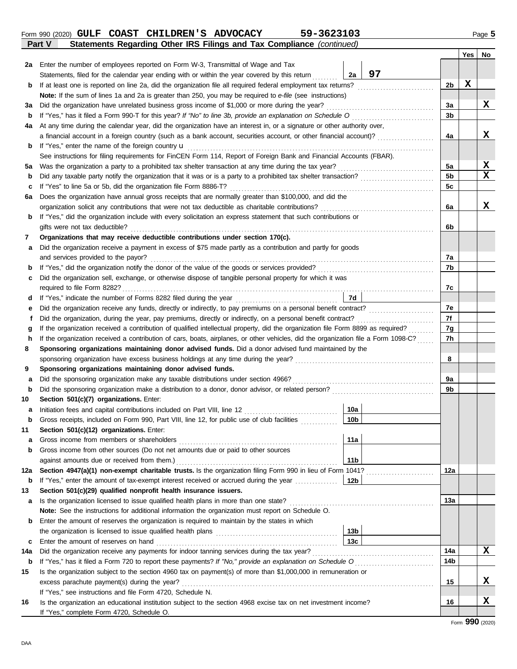|     | 59-3623103<br>Form 990 (2020) GULF COAST CHILDREN'S ADVOCACY                                                                       |                 |                |         | Page 5 |
|-----|------------------------------------------------------------------------------------------------------------------------------------|-----------------|----------------|---------|--------|
|     | Statements Regarding Other IRS Filings and Tax Compliance (continued)<br>Part V                                                    |                 |                |         |        |
| 2a  | Enter the number of employees reported on Form W-3, Transmittal of Wage and Tax                                                    |                 |                | Yes $ $ | No     |
|     | Statements, filed for the calendar year ending with or within the year covered by this return <i>contained</i>                     | 97<br>2a        |                |         |        |
| b   | If at least one is reported on line 2a, did the organization file all required federal employment tax returns?                     |                 | 2 <sub>b</sub> | X       |        |
|     | Note: If the sum of lines 1a and 2a is greater than 250, you may be required to e-file (see instructions)                          |                 |                |         |        |
| За  |                                                                                                                                    |                 | 3a             |         | x      |
| b   | If "Yes," has it filed a Form 990-T for this year? If "No" to line 3b, provide an explanation on Schedule O                        |                 | 3 <sub>b</sub> |         |        |
| 4a  | At any time during the calendar year, did the organization have an interest in, or a signature or other authority over,            |                 |                |         |        |
|     | a financial account in a foreign country (such as a bank account, securities account, or other financial account)?                 |                 | 4a             |         | X      |
| b   |                                                                                                                                    |                 |                |         |        |
|     | See instructions for filing requirements for FinCEN Form 114, Report of Foreign Bank and Financial Accounts (FBAR).                |                 |                |         |        |
| 5a  |                                                                                                                                    |                 | 5a             |         | X      |
| b   |                                                                                                                                    |                 | 5 <sub>b</sub> |         | x      |
| c   |                                                                                                                                    |                 | 5c             |         |        |
| 6а  | Does the organization have annual gross receipts that are normally greater than \$100,000, and did the                             |                 |                |         |        |
|     |                                                                                                                                    |                 | 6a             |         | x      |
| b   | If "Yes," did the organization include with every solicitation an express statement that such contributions or                     |                 |                |         |        |
|     |                                                                                                                                    |                 | 6b             |         |        |
| 7   | Organizations that may receive deductible contributions under section 170(c).                                                      |                 |                |         |        |
| a   | Did the organization receive a payment in excess of \$75 made partly as a contribution and partly for goods                        |                 |                |         |        |
|     |                                                                                                                                    |                 | 7a             |         |        |
| b   |                                                                                                                                    |                 | 7b             |         |        |
| с   | Did the organization sell, exchange, or otherwise dispose of tangible personal property for which it was                           |                 |                |         |        |
|     |                                                                                                                                    |                 | 7c             |         |        |
| d   |                                                                                                                                    | 7d              |                |         |        |
| е   | Did the organization receive any funds, directly or indirectly, to pay premiums on a personal benefit contract?                    |                 | 7e             |         |        |
| f   |                                                                                                                                    |                 | 7f             |         |        |
| g   | If the organization received a contribution of qualified intellectual property, did the organization file Form 8899 as required?   |                 | 7g             |         |        |
| h   | If the organization received a contribution of cars, boats, airplanes, or other vehicles, did the organization file a Form 1098-C? |                 | 7h             |         |        |
| 8   | Sponsoring organizations maintaining donor advised funds. Did a donor advised fund maintained by the                               |                 |                |         |        |
|     |                                                                                                                                    |                 | 8              |         |        |
| 9   | Sponsoring organizations maintaining donor advised funds.                                                                          |                 |                |         |        |
| а   |                                                                                                                                    |                 | 9a             |         |        |
| b   |                                                                                                                                    |                 | 9 <sub>b</sub> |         |        |
| 10  | Section 501(c)(7) organizations. Enter:                                                                                            |                 |                |         |        |
| а   |                                                                                                                                    | 10a             |                |         |        |
| b   | Gross receipts, included on Form 990, Part VIII, line 12, for public use of club facilities [[[[[[[[[[[[[[[[[                      | 10 <sub>b</sub> |                |         |        |
| 11  | Section 501(c)(12) organizations. Enter:                                                                                           |                 |                |         |        |
| а   |                                                                                                                                    | 11a             |                |         |        |
| b   | Gross income from other sources (Do not net amounts due or paid to other sources                                                   |                 |                |         |        |
|     |                                                                                                                                    | 11 <sub>b</sub> |                |         |        |
| 12a | Section 4947(a)(1) non-exempt charitable trusts. Is the organization filing Form 990 in lieu of Form 1041?                         |                 | 12a            |         |        |
| b   | If "Yes," enter the amount of tax-exempt interest received or accrued during the year                                              | 12b             |                |         |        |
| 13  | Section 501(c)(29) qualified nonprofit health insurance issuers.                                                                   |                 |                |         |        |
| а   |                                                                                                                                    |                 | 13a            |         |        |
|     | Note: See the instructions for additional information the organization must report on Schedule O.                                  |                 |                |         |        |
| b   | Enter the amount of reserves the organization is required to maintain by the states in which                                       |                 |                |         |        |
|     |                                                                                                                                    | 13 <sub>b</sub> |                |         |        |
| c   |                                                                                                                                    | 13 <sub>c</sub> |                |         |        |
| 14a |                                                                                                                                    |                 | 14a            |         | X      |
| b   | If "Yes," has it filed a Form 720 to report these payments? If "No," provide an explanation on Schedule O                          |                 | 14b            |         |        |

|    | <b>b</b> If "Yes," has it filed a Form 720 to report these payments? If "No," provide an explanation on Schedule O | 14b |  |
|----|--------------------------------------------------------------------------------------------------------------------|-----|--|
| 15 | Is the organization subject to the section 4960 tax on payment(s) of more than \$1,000,000 in remuneration or      |     |  |
|    | excess parachute payment(s) during the year?                                                                       | 15  |  |
|    | If "Yes," see instructions and file Form 4720, Schedule N.                                                         |     |  |
| 16 | Is the organization an educational institution subject to the section 4968 excise tax on net investment income?    | 16  |  |
|    | If "Yes," complete Form 4720, Schedule O.                                                                          |     |  |

**X**

Form **990** (2020)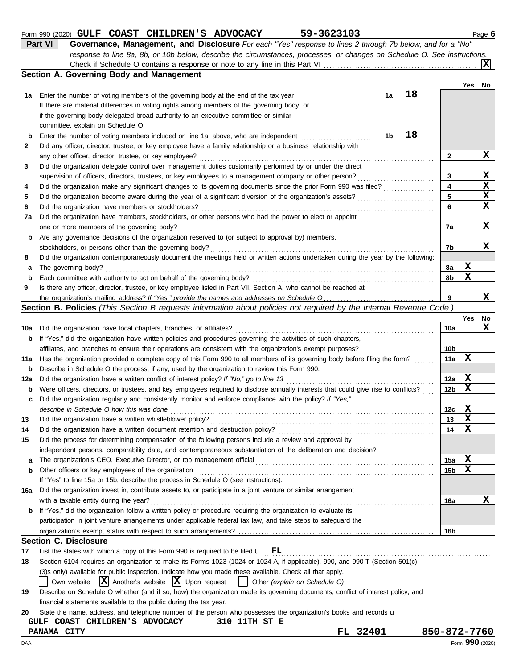### **Form 990 (2020) GULF COAST CHILDREN'S ADVOCACY** 59-3623103 Page 6

| <b>Part VI</b> | Governance, Management, and Disclosure For each "Yes" response to lines 2 through 7b below, and for a "No"                |
|----------------|---------------------------------------------------------------------------------------------------------------------------|
|                | response to line 8a, 8b, or 10b below, describe the circumstances, processes, or changes on Schedule O. See instructions. |
|                |                                                                                                                           |

|     | <b>Section A. Governing Body and Management</b>                                                                                                                                                                                 |    |    |                         |                 |             |
|-----|---------------------------------------------------------------------------------------------------------------------------------------------------------------------------------------------------------------------------------|----|----|-------------------------|-----------------|-------------|
|     |                                                                                                                                                                                                                                 |    |    |                         | Yes             | No          |
| 1а  | Enter the number of voting members of the governing body at the end of the tax year                                                                                                                                             | 1a | 18 |                         |                 |             |
|     | If there are material differences in voting rights among members of the governing body, or                                                                                                                                      |    |    |                         |                 |             |
|     | if the governing body delegated broad authority to an executive committee or similar                                                                                                                                            |    |    |                         |                 |             |
|     | committee, explain on Schedule O.                                                                                                                                                                                               |    |    |                         |                 |             |
| b   | Enter the number of voting members included on line 1a, above, who are independent                                                                                                                                              | 1b | 18 |                         |                 |             |
| 2   | Did any officer, director, trustee, or key employee have a family relationship or a business relationship with                                                                                                                  |    |    |                         |                 |             |
|     |                                                                                                                                                                                                                                 |    |    | $\mathbf{2}$            |                 | x           |
| 3   | Did the organization delegate control over management duties customarily performed by or under the direct                                                                                                                       |    |    |                         |                 |             |
|     | supervision of officers, directors, trustees, or key employees to a management company or other person?                                                                                                                         |    |    | 3                       |                 | х           |
| 4   | Did the organization make any significant changes to its governing documents since the prior Form 990 was filed?                                                                                                                |    |    | $\overline{\mathbf{4}}$ |                 | $\mathbf x$ |
| 5   | Did the organization become aware during the year of a significant diversion of the organization's assets?                                                                                                                      |    |    | 5                       |                 | $\mathbf x$ |
| 6   |                                                                                                                                                                                                                                 |    |    | 6                       |                 | $\mathbf x$ |
| 7a  | Did the organization have members, stockholders, or other persons who had the power to elect or appoint                                                                                                                         |    |    |                         |                 |             |
|     |                                                                                                                                                                                                                                 |    |    | 7a                      |                 | x           |
| b   | Are any governance decisions of the organization reserved to (or subject to approval by) members,                                                                                                                               |    |    |                         |                 |             |
|     |                                                                                                                                                                                                                                 |    |    | 7b                      |                 | x           |
| 8   | Did the organization contemporaneously document the meetings held or written actions undertaken during the year by the following:                                                                                               |    |    |                         |                 |             |
| a   |                                                                                                                                                                                                                                 |    |    | 8а                      | X               |             |
| b   |                                                                                                                                                                                                                                 |    |    | 8b                      | X               |             |
| 9   | Is there any officer, director, trustee, or key employee listed in Part VII, Section A, who cannot be reached at                                                                                                                |    |    |                         |                 |             |
|     |                                                                                                                                                                                                                                 |    |    | 9                       |                 | x           |
|     | Section B. Policies (This Section B requests information about policies not required by the Internal Revenue Code.)                                                                                                             |    |    |                         |                 |             |
|     |                                                                                                                                                                                                                                 |    |    |                         | Yes             | No          |
| 10a |                                                                                                                                                                                                                                 |    |    | 10a                     |                 | X           |
| b   | If "Yes," did the organization have written policies and procedures governing the activities of such chapters,                                                                                                                  |    |    |                         |                 |             |
|     |                                                                                                                                                                                                                                 |    |    | 10 <sub>b</sub>         |                 |             |
| 11a | Has the organization provided a complete copy of this Form 990 to all members of its governing body before filing the form?                                                                                                     |    |    | 11a                     | x               |             |
| b   | Describe in Schedule O the process, if any, used by the organization to review this Form 990.                                                                                                                                   |    |    |                         | X               |             |
| 12a |                                                                                                                                                                                                                                 |    |    |                         |                 |             |
| b   | Were officers, directors, or trustees, and key employees required to disclose annually interests that could give rise to conflicts?                                                                                             |    |    | 12 <sub>b</sub>         | X               |             |
| c   | Did the organization regularly and consistently monitor and enforce compliance with the policy? If "Yes,"                                                                                                                       |    |    |                         |                 |             |
|     | describe in Schedule O how this was done                                                                                                                                                                                        |    |    | 12c                     | X               |             |
| 13  |                                                                                                                                                                                                                                 |    |    | 13                      | X               |             |
| 14  |                                                                                                                                                                                                                                 |    |    | 14                      | $\mathbf x$     |             |
| 15  | Did the process for determining compensation of the following persons include a review and approval by                                                                                                                          |    |    |                         |                 |             |
|     | independent persons, comparability data, and contemporaneous substantiation of the deliberation and decision?                                                                                                                   |    |    |                         |                 |             |
| a   |                                                                                                                                                                                                                                 |    |    | 15a                     | X               |             |
| b   | Other officers or key employees of the organization                                                                                                                                                                             |    |    | 15b                     | х               |             |
|     | If "Yes" to line 15a or 15b, describe the process in Schedule O (see instructions).                                                                                                                                             |    |    |                         |                 |             |
| 16a | Did the organization invest in, contribute assets to, or participate in a joint venture or similar arrangement                                                                                                                  |    |    |                         |                 |             |
|     | with a taxable entity during the year?                                                                                                                                                                                          |    |    | 16a                     |                 | X           |
| b   | If "Yes," did the organization follow a written policy or procedure requiring the organization to evaluate its<br>participation in joint venture arrangements under applicable federal tax law, and take steps to safeguard the |    |    |                         |                 |             |
|     |                                                                                                                                                                                                                                 |    |    |                         |                 |             |
|     | <b>Section C. Disclosure</b>                                                                                                                                                                                                    |    |    | 16b                     |                 |             |
| 17  | List the states with which a copy of this Form 990 is required to be filed $\mathbf{u}$ $\mathbf{FL}$                                                                                                                           |    |    |                         |                 |             |
| 18  | Section 6104 requires an organization to make its Forms 1023 (1024 or 1024-A, if applicable), 990, and 990-T (Section 501(c)                                                                                                    |    |    |                         |                 |             |
|     | (3) sonly) available for public inspection. Indicate how you made these available. Check all that apply.                                                                                                                        |    |    |                         |                 |             |
|     | $ \mathbf{X} $ Another's website $ \mathbf{X} $ Upon request<br>Other (explain on Schedule O)<br>Own website                                                                                                                    |    |    |                         |                 |             |
| 19  | Describe on Schedule O whether (and if so, how) the organization made its governing documents, conflict of interest policy, and                                                                                                 |    |    |                         |                 |             |
|     | financial statements available to the public during the tax year.                                                                                                                                                               |    |    |                         |                 |             |
| 20  | State the name, address, and telephone number of the person who possesses the organization's books and records <b>u</b>                                                                                                         |    |    |                         |                 |             |
|     | 310 11TH ST E<br>GULF COAST CHILDREN'S ADVOCACY                                                                                                                                                                                 |    |    |                         |                 |             |
|     | FL 32401<br>PANAMA CITY                                                                                                                                                                                                         |    |    | 850-872-7760            |                 |             |
| DAA |                                                                                                                                                                                                                                 |    |    |                         | Form 990 (2020) |             |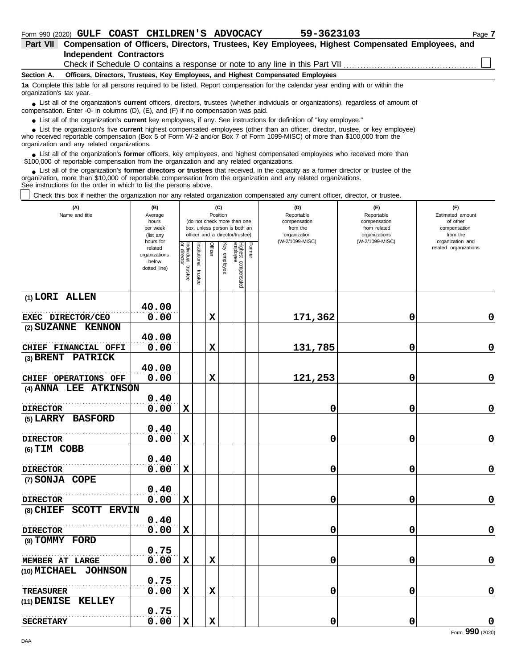| Part VII Compensation of Officers, Directors, Trustees, Key Employees, Highest Compensated Employees, and |  |
|-----------------------------------------------------------------------------------------------------------|--|
| Independent Contractors                                                                                   |  |
| Check if Schedule O contains a response or note to any line in this Part VII                              |  |

### **Section A. Officers, Directors, Trustees, Key Employees, and Highest Compensated Employees**

**1a** Complete this table for all persons required to be listed. Report compensation for the calendar year ending with or within the organization's tax year.

■ List all of the organization's **current** officers, directors, trustees (whether individuals or organizations), regardless of amount of compensation. Enter -0- in columns (D), (E), and (F) if no compensation was paid.

● List all of the organization's **current** key employees, if any. See instructions for definition of "key employee."

■ List the organization's five **current** highest compensated employees (other than an officer, director, trustee, or key employee)<br> **•** Preceived reportable compensation (Box 5 of Form M/-2 and/or Box 7 of Form 1099-MISC)

who received reportable compensation (Box 5 of Form W-2 and/or Box 7 of Form 1099-MISC) of more than \$100,000 from the organization and any related organizations.

■ List all of the organization's **former** officers, key employees, and highest compensated employees who received more than<br>00,000 of reportable compensation from the organization and any related organizations \$100,000 of reportable compensation from the organization and any related organizations.

■ List all of the organization's **former directors or trustees** that received, in the capacity as a former director or trustee of the anization more than \$10,000 of reportable compensation from the organization and any re organization, more than \$10,000 of reportable compensation from the organization and any related organizations. See instructions for the order in which to list the persons above.

Check this box if neither the organization nor any related organization compensated any current officer, director, or trustee.

| (A)<br>Name and title                   | (B)<br>Average<br>hours<br>per week<br>(list any<br>hours for                                                                                                                                 |             | (C)<br>Position | (do not check more than one<br>box, unless person is both an<br>officer and a director/trustee) |                                           | (D)<br>Reportable<br>compensation<br>from the<br>organization | (E)<br>Reportable<br>compensation<br>from related<br>organizations | (F)<br>Estimated amount<br>of other<br>compensation<br>from the |
|-----------------------------------------|-----------------------------------------------------------------------------------------------------------------------------------------------------------------------------------------------|-------------|-----------------|-------------------------------------------------------------------------------------------------|-------------------------------------------|---------------------------------------------------------------|--------------------------------------------------------------------|-----------------------------------------------------------------|
|                                         | Former<br>Individual<br>or director<br>Highest compensated<br>employee<br>Officer<br>Key employee<br>Institutional<br>related<br>organizations<br>below<br>trustee<br>dotted line)<br>trustee |             | (W-2/1099-MISC) | (W-2/1099-MISC)                                                                                 | organization and<br>related organizations |                                                               |                                                                    |                                                                 |
| (1) LORI ALLEN                          |                                                                                                                                                                                               |             |                 |                                                                                                 |                                           |                                                               |                                                                    |                                                                 |
|                                         | 40.00<br>0.00                                                                                                                                                                                 |             | X               |                                                                                                 |                                           | 171,362                                                       | 0                                                                  | 0                                                               |
| EXEC DIRECTOR/CEO<br>(2) SUZANNE KENNON |                                                                                                                                                                                               |             |                 |                                                                                                 |                                           |                                                               |                                                                    |                                                                 |
|                                         | 40.00                                                                                                                                                                                         |             |                 |                                                                                                 |                                           |                                                               |                                                                    |                                                                 |
| CHIEF FINANCIAL OFFI                    | 0.00                                                                                                                                                                                          |             | $\mathbf x$     |                                                                                                 |                                           | 131,785                                                       | $\mathbf 0$                                                        | $\mathbf 0$                                                     |
| (3) BRENT PATRICK                       |                                                                                                                                                                                               |             |                 |                                                                                                 |                                           |                                                               |                                                                    |                                                                 |
|                                         | 40.00                                                                                                                                                                                         |             |                 |                                                                                                 |                                           |                                                               |                                                                    |                                                                 |
| CHIEF OPERATIONS OFF                    | 0.00                                                                                                                                                                                          |             | $\mathbf x$     |                                                                                                 |                                           | 121,253                                                       | $\mathbf 0$                                                        | 0                                                               |
| (4) ANNA LEE ATKINSON                   |                                                                                                                                                                                               |             |                 |                                                                                                 |                                           |                                                               |                                                                    |                                                                 |
|                                         | 0.40                                                                                                                                                                                          |             |                 |                                                                                                 |                                           |                                                               |                                                                    |                                                                 |
| <b>DIRECTOR</b>                         | 0.00                                                                                                                                                                                          | X           |                 |                                                                                                 |                                           | 0                                                             | 0                                                                  | $\mathbf 0$                                                     |
| (5) LARRY BASFORD                       | 0.40                                                                                                                                                                                          |             |                 |                                                                                                 |                                           |                                                               |                                                                    |                                                                 |
| <b>DIRECTOR</b>                         | 0.00                                                                                                                                                                                          | $\mathbf x$ |                 |                                                                                                 |                                           | 0                                                             | 0                                                                  | $\pmb{0}$                                                       |
| (6) TIM COBB                            |                                                                                                                                                                                               |             |                 |                                                                                                 |                                           |                                                               |                                                                    |                                                                 |
|                                         | 0.40                                                                                                                                                                                          |             |                 |                                                                                                 |                                           |                                                               |                                                                    |                                                                 |
| <b>DIRECTOR</b>                         | 0.00                                                                                                                                                                                          | $\mathbf x$ |                 |                                                                                                 |                                           | 0                                                             | 0                                                                  | 0                                                               |
| (7) SONJA COPE                          |                                                                                                                                                                                               |             |                 |                                                                                                 |                                           |                                                               |                                                                    |                                                                 |
|                                         | 0.40                                                                                                                                                                                          |             |                 |                                                                                                 |                                           |                                                               |                                                                    |                                                                 |
| <b>DIRECTOR</b>                         | 0.00                                                                                                                                                                                          | $\mathbf x$ |                 |                                                                                                 |                                           | 0                                                             | 0                                                                  | $\mathbf 0$                                                     |
| (8) CHIEF SCOTT ERVIN                   |                                                                                                                                                                                               |             |                 |                                                                                                 |                                           |                                                               |                                                                    |                                                                 |
|                                         | 0.40                                                                                                                                                                                          |             |                 |                                                                                                 |                                           |                                                               |                                                                    |                                                                 |
| <b>DIRECTOR</b>                         | 0.00                                                                                                                                                                                          | X           |                 |                                                                                                 |                                           | 0                                                             | 0                                                                  | $\mathbf 0$                                                     |
| (9) TOMMY FORD                          |                                                                                                                                                                                               |             |                 |                                                                                                 |                                           |                                                               |                                                                    |                                                                 |
|                                         | 0.75                                                                                                                                                                                          |             |                 |                                                                                                 |                                           |                                                               |                                                                    |                                                                 |
| MEMBER AT LARGE                         | 0.00                                                                                                                                                                                          | $\mathbf x$ | $\mathbf x$     |                                                                                                 |                                           | 0                                                             | 0                                                                  | 0                                                               |
| (10) MICHAEL JOHNSON                    | 0.75                                                                                                                                                                                          |             |                 |                                                                                                 |                                           |                                                               |                                                                    |                                                                 |
| <b>TREASURER</b>                        | 0.00                                                                                                                                                                                          | X           | $\mathbf x$     |                                                                                                 |                                           | 0                                                             | 0                                                                  | $\mathbf 0$                                                     |
| KELLEY<br>$(11)$ DENISE                 |                                                                                                                                                                                               |             |                 |                                                                                                 |                                           |                                                               |                                                                    |                                                                 |
|                                         | 0.75                                                                                                                                                                                          |             |                 |                                                                                                 |                                           |                                                               |                                                                    |                                                                 |
| <b>SECRETARY</b>                        | 0.00                                                                                                                                                                                          | $\mathbf x$ | $\mathbf x$     |                                                                                                 |                                           | 0                                                             | $\mathbf 0$                                                        | $\pmb{0}$                                                       |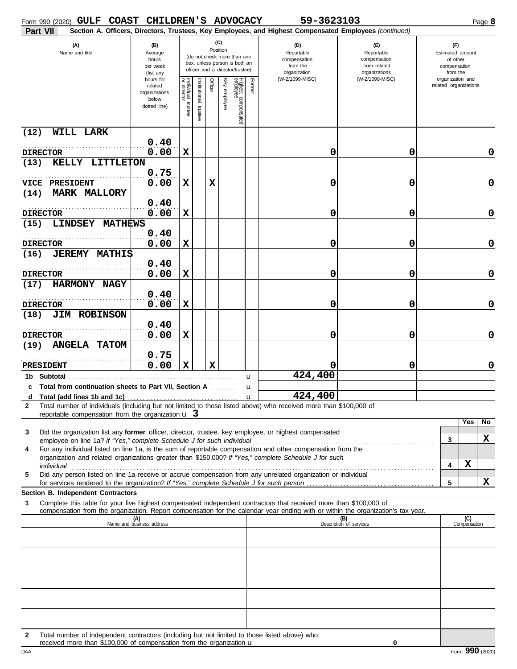| Form 990 (2020) GULF COAST CHILDREN'S ADVOCACY                                                                                                                                                                                                                                                                                                                                                                                                                     |                                                                |                                      |                         |          |                 |                                                                                                 |        | 59-3623103                                                                                             |                                                                    |                                                                 |                     | Page 8         |
|--------------------------------------------------------------------------------------------------------------------------------------------------------------------------------------------------------------------------------------------------------------------------------------------------------------------------------------------------------------------------------------------------------------------------------------------------------------------|----------------------------------------------------------------|--------------------------------------|-------------------------|----------|-----------------|-------------------------------------------------------------------------------------------------|--------|--------------------------------------------------------------------------------------------------------|--------------------------------------------------------------------|-----------------------------------------------------------------|---------------------|----------------|
| Part VII                                                                                                                                                                                                                                                                                                                                                                                                                                                           |                                                                |                                      |                         |          |                 |                                                                                                 |        | Section A. Officers, Directors, Trustees, Key Employees, and Highest Compensated Employees (continued) |                                                                    |                                                                 |                     |                |
| (A)<br>Name and title                                                                                                                                                                                                                                                                                                                                                                                                                                              | (B)<br>Average<br>hours<br>per week<br>(list any               |                                      |                         | Position | (C)             | (do not check more than one<br>box, unless person is both an<br>officer and a director/trustee) |        | (D)<br>Reportable<br>compensation<br>from the<br>organization                                          | (E)<br>Reportable<br>compensation<br>from related<br>organizations | (F)<br>Estimated amount<br>of other<br>compensation<br>from the |                     |                |
|                                                                                                                                                                                                                                                                                                                                                                                                                                                                    | hours for<br>related<br>organizations<br>below<br>dotted line) | Individual<br>or director<br>trustee | nstitutional<br>trustee | Officer  | Key<br>employee | Highest compensated<br>employee                                                                 | Former | (W-2/1099-MISC)                                                                                        | (W-2/1099-MISC)                                                    | organization and<br>related organizations                       |                     |                |
| WILL LARK<br>(12)                                                                                                                                                                                                                                                                                                                                                                                                                                                  |                                                                |                                      |                         |          |                 |                                                                                                 |        |                                                                                                        |                                                                    |                                                                 |                     |                |
| <b>DIRECTOR</b>                                                                                                                                                                                                                                                                                                                                                                                                                                                    | 0.40<br>0.00                                                   | X                                    |                         |          |                 |                                                                                                 |        | 0                                                                                                      | 0                                                                  |                                                                 |                     | 0              |
| LITTLETON<br>KELLY<br>(13)                                                                                                                                                                                                                                                                                                                                                                                                                                         |                                                                |                                      |                         |          |                 |                                                                                                 |        |                                                                                                        |                                                                    |                                                                 |                     |                |
|                                                                                                                                                                                                                                                                                                                                                                                                                                                                    | 0.75                                                           |                                      |                         |          |                 |                                                                                                 |        |                                                                                                        |                                                                    |                                                                 |                     |                |
| PRESIDENT<br>VICE<br><b>MARK MALLORY</b><br>(14)                                                                                                                                                                                                                                                                                                                                                                                                                   | 0.00                                                           | X                                    |                         | X        |                 |                                                                                                 |        | 0                                                                                                      | 0                                                                  |                                                                 |                     | 0              |
|                                                                                                                                                                                                                                                                                                                                                                                                                                                                    | 0.40                                                           |                                      |                         |          |                 |                                                                                                 |        |                                                                                                        |                                                                    |                                                                 |                     |                |
| <b>DIRECTOR</b><br><b>LINDSEY</b><br><b>MATHEWS</b><br>(15)                                                                                                                                                                                                                                                                                                                                                                                                        | 0.00                                                           | X                                    |                         |          |                 |                                                                                                 |        | 0                                                                                                      | 0                                                                  |                                                                 |                     | 0              |
|                                                                                                                                                                                                                                                                                                                                                                                                                                                                    | 0.40                                                           |                                      |                         |          |                 |                                                                                                 |        |                                                                                                        |                                                                    |                                                                 |                     |                |
| <b>DIRECTOR</b><br><b>MATHIS</b><br>(16)<br><b>JEREMY</b>                                                                                                                                                                                                                                                                                                                                                                                                          | 0.00                                                           | X                                    |                         |          |                 |                                                                                                 |        | 0                                                                                                      | 0                                                                  |                                                                 |                     | 0              |
|                                                                                                                                                                                                                                                                                                                                                                                                                                                                    | 0.40                                                           |                                      |                         |          |                 |                                                                                                 |        |                                                                                                        |                                                                    |                                                                 |                     |                |
| <b>DIRECTOR</b>                                                                                                                                                                                                                                                                                                                                                                                                                                                    | 0.00                                                           | X                                    |                         |          |                 |                                                                                                 |        | 0                                                                                                      | 0                                                                  |                                                                 |                     | 0              |
| <b>HARMONY NAGY</b><br>(17)                                                                                                                                                                                                                                                                                                                                                                                                                                        | 0.40                                                           |                                      |                         |          |                 |                                                                                                 |        |                                                                                                        |                                                                    |                                                                 |                     |                |
| <b>DIRECTOR</b>                                                                                                                                                                                                                                                                                                                                                                                                                                                    | 0.00                                                           | X                                    |                         |          |                 |                                                                                                 |        | 0                                                                                                      | 0                                                                  |                                                                 |                     | 0              |
| <b>ROBINSON</b><br>(18)<br>JIM                                                                                                                                                                                                                                                                                                                                                                                                                                     |                                                                |                                      |                         |          |                 |                                                                                                 |        |                                                                                                        |                                                                    |                                                                 |                     |                |
| <b>DIRECTOR</b>                                                                                                                                                                                                                                                                                                                                                                                                                                                    | 0.40<br>0.00                                                   | X                                    |                         |          |                 |                                                                                                 |        | 0                                                                                                      | 0                                                                  |                                                                 |                     | 0              |
| <b>ANGELA</b><br><b>TATOM</b><br>(19)                                                                                                                                                                                                                                                                                                                                                                                                                              |                                                                |                                      |                         |          |                 |                                                                                                 |        |                                                                                                        |                                                                    |                                                                 |                     |                |
| <b>PRESIDENT</b>                                                                                                                                                                                                                                                                                                                                                                                                                                                   | 0.75<br>0.00                                                   | $\mathbf x$                          |                         | X        |                 |                                                                                                 |        |                                                                                                        | 0                                                                  |                                                                 |                     | 0              |
| 1b Subtotal                                                                                                                                                                                                                                                                                                                                                                                                                                                        |                                                                |                                      |                         |          |                 |                                                                                                 | u      | 424,400                                                                                                |                                                                    |                                                                 |                     |                |
| c Total from continuation sheets to Part VII, Section A                                                                                                                                                                                                                                                                                                                                                                                                            |                                                                |                                      |                         |          |                 |                                                                                                 | u      |                                                                                                        |                                                                    |                                                                 |                     |                |
| d Total (add lines 1b and 1c) $\ldots$ $\ldots$ $\ldots$ $\ldots$ $\ldots$ $\ldots$ $\ldots$ $\ldots$ $\ldots$ $\ldots$ $\ldots$ $\ldots$ $\ldots$ $\ldots$ $\ldots$ $\ldots$ $\ldots$ $\ldots$ $\ldots$ $\ldots$ $\ldots$ $\ldots$ $\ldots$ $\ldots$ $\ldots$ $\ldots$ $\ldots$ $\ldots$ $\ldots$ $\ldots$ $\ldots$ $\ldots$<br>Total number of individuals (including but not limited to those listed above) who received more than \$100,000 of<br>$\mathbf{2}$ |                                                                |                                      |                         |          |                 |                                                                                                 |        |                                                                                                        |                                                                    |                                                                 |                     |                |
| reportable compensation from the organization $\mathbf{u}$ 3                                                                                                                                                                                                                                                                                                                                                                                                       |                                                                |                                      |                         |          |                 |                                                                                                 |        |                                                                                                        |                                                                    |                                                                 | Yes                 | $\overline{N}$ |
| Did the organization list any former officer, director, trustee, key employee, or highest compensated<br>3                                                                                                                                                                                                                                                                                                                                                         |                                                                |                                      |                         |          |                 |                                                                                                 |        |                                                                                                        |                                                                    |                                                                 |                     |                |
| employee on line 1a? If "Yes," complete Schedule J for such individual<br>For any individual listed on line 1a, is the sum of reportable compensation and other compensation from the<br>4                                                                                                                                                                                                                                                                         |                                                                |                                      |                         |          |                 |                                                                                                 |        |                                                                                                        |                                                                    | 3                                                               |                     | X              |
| organization and related organizations greater than \$150,000? If "Yes," complete Schedule J for such                                                                                                                                                                                                                                                                                                                                                              |                                                                |                                      |                         |          |                 |                                                                                                 |        |                                                                                                        |                                                                    |                                                                 | $\mathbf x$         |                |
| Did any person listed on line 1a receive or accrue compensation from any unrelated organization or individual<br>5                                                                                                                                                                                                                                                                                                                                                 |                                                                |                                      |                         |          |                 |                                                                                                 |        |                                                                                                        |                                                                    | 4                                                               |                     |                |
|                                                                                                                                                                                                                                                                                                                                                                                                                                                                    |                                                                |                                      |                         |          |                 |                                                                                                 |        |                                                                                                        |                                                                    | 5                                                               |                     | $\mathbf x$    |
| Section B. Independent Contractors<br>Complete this table for your five highest compensated independent contractors that received more than \$100,000 of<br>1                                                                                                                                                                                                                                                                                                      |                                                                |                                      |                         |          |                 |                                                                                                 |        |                                                                                                        |                                                                    |                                                                 |                     |                |
| compensation from the organization. Report compensation for the calendar year ending with or within the organization's tax year.                                                                                                                                                                                                                                                                                                                                   |                                                                |                                      |                         |          |                 |                                                                                                 |        |                                                                                                        |                                                                    |                                                                 |                     |                |
|                                                                                                                                                                                                                                                                                                                                                                                                                                                                    | (A)<br>Name and business address                               |                                      |                         |          |                 |                                                                                                 |        |                                                                                                        | (B)<br>Description of services                                     |                                                                 | (C)<br>Compensation |                |
|                                                                                                                                                                                                                                                                                                                                                                                                                                                                    |                                                                |                                      |                         |          |                 |                                                                                                 |        |                                                                                                        |                                                                    |                                                                 |                     |                |
|                                                                                                                                                                                                                                                                                                                                                                                                                                                                    |                                                                |                                      |                         |          |                 |                                                                                                 |        |                                                                                                        |                                                                    |                                                                 |                     |                |
|                                                                                                                                                                                                                                                                                                                                                                                                                                                                    |                                                                |                                      |                         |          |                 |                                                                                                 |        |                                                                                                        |                                                                    |                                                                 |                     |                |
|                                                                                                                                                                                                                                                                                                                                                                                                                                                                    |                                                                |                                      |                         |          |                 |                                                                                                 |        |                                                                                                        |                                                                    |                                                                 |                     |                |
|                                                                                                                                                                                                                                                                                                                                                                                                                                                                    |                                                                |                                      |                         |          |                 |                                                                                                 |        |                                                                                                        |                                                                    |                                                                 |                     |                |
|                                                                                                                                                                                                                                                                                                                                                                                                                                                                    |                                                                |                                      |                         |          |                 |                                                                                                 |        |                                                                                                        |                                                                    |                                                                 |                     |                |
|                                                                                                                                                                                                                                                                                                                                                                                                                                                                    |                                                                |                                      |                         |          |                 |                                                                                                 |        |                                                                                                        |                                                                    |                                                                 |                     |                |
| Total number of independent contractors (including but not limited to those listed above) who<br>2<br>received more than \$100,000 of compensation from the organization u                                                                                                                                                                                                                                                                                         |                                                                |                                      |                         |          |                 |                                                                                                 |        |                                                                                                        | 0                                                                  |                                                                 |                     |                |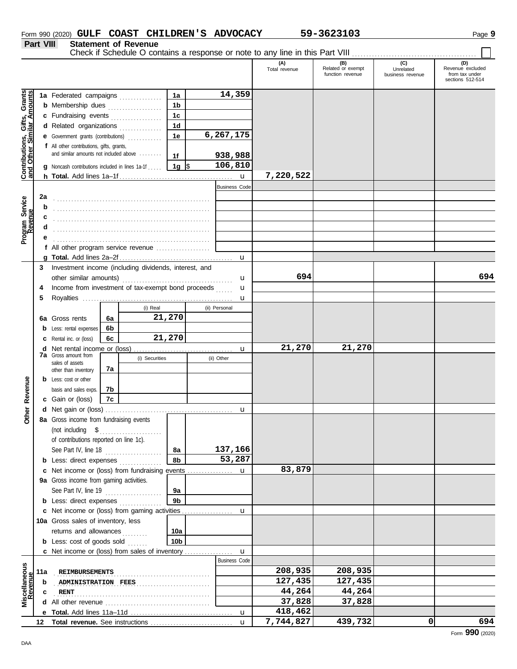| Form 990 (2020) $G \text{ULF}$ |                             | COAST CHILDREN'S ADVOCACY | 59-3623103 | Page $9$ |
|--------------------------------|-----------------------------|---------------------------|------------|----------|
| <b>Part VIII</b>               | <b>Statement of Revenue</b> |                           |            |          |

|                                                                  |     |                                                                                     |    |                |                |   |                      | (A)<br>Total revenue | (B)<br>Related or exempt<br>function revenue | (C)<br>Unrelated<br>business revenue | (D)<br>Revenue excluded<br>from tax under<br>sections 512-514 |
|------------------------------------------------------------------|-----|-------------------------------------------------------------------------------------|----|----------------|----------------|---|----------------------|----------------------|----------------------------------------------|--------------------------------------|---------------------------------------------------------------|
|                                                                  |     | 1a Federated campaigns                                                              |    |                | 1a             |   | 14,359               |                      |                                              |                                      |                                                               |
|                                                                  |     | <b>b</b> Membership dues                                                            |    |                | 1 <sub>b</sub> |   |                      |                      |                                              |                                      |                                                               |
|                                                                  |     | c Fundraising events                                                                |    |                | 1 <sub>c</sub> |   |                      |                      |                                              |                                      |                                                               |
|                                                                  |     |                                                                                     |    |                | 1 <sub>d</sub> |   |                      |                      |                                              |                                      |                                                               |
|                                                                  |     | d Related organizations                                                             |    |                |                |   |                      |                      |                                              |                                      |                                                               |
|                                                                  |     | e Government grants (contributions)                                                 |    |                | 1е             |   | 6,267,175            |                      |                                              |                                      |                                                               |
|                                                                  |     | f All other contributions, gifts, grants,<br>and similar amounts not included above |    |                |                |   |                      |                      |                                              |                                      |                                                               |
|                                                                  |     |                                                                                     |    |                | 1f             |   | 938,988              |                      |                                              |                                      |                                                               |
| <b>Contributions, Gifts, Grants</b><br>and Other Similar Amounts |     | <b>q</b> Noncash contributions included in lines 1a-1f                              |    |                | 1g $\sqrt{3}$  |   | 106,810              |                      |                                              |                                      |                                                               |
|                                                                  |     |                                                                                     |    |                |                |   | u                    | 7,220,522            |                                              |                                      |                                                               |
|                                                                  |     |                                                                                     |    |                |                |   | <b>Business Code</b> |                      |                                              |                                      |                                                               |
|                                                                  | 2a  |                                                                                     |    |                |                |   |                      |                      |                                              |                                      |                                                               |
|                                                                  | b   |                                                                                     |    |                |                |   |                      |                      |                                              |                                      |                                                               |
| Program Service<br>Revenue                                       | c   |                                                                                     |    |                |                |   |                      |                      |                                              |                                      |                                                               |
|                                                                  | d   |                                                                                     |    |                |                |   |                      |                      |                                              |                                      |                                                               |
|                                                                  |     |                                                                                     |    |                |                |   |                      |                      |                                              |                                      |                                                               |
|                                                                  |     | f All other program service revenue $\ldots, \ldots, \ldots, \ldots$                |    |                |                |   |                      |                      |                                              |                                      |                                                               |
|                                                                  |     |                                                                                     |    |                |                |   |                      |                      |                                              |                                      |                                                               |
|                                                                  |     |                                                                                     |    |                |                |   |                      |                      |                                              |                                      |                                                               |
|                                                                  | 3   | Investment income (including dividends, interest, and                               |    |                |                |   |                      |                      |                                              |                                      |                                                               |
|                                                                  |     |                                                                                     |    |                |                |   | u                    | 694                  |                                              |                                      | 694                                                           |
|                                                                  | 4   | Income from investment of tax-exempt bond proceeds                                  |    |                |                |   | u                    |                      |                                              |                                      |                                                               |
|                                                                  | 5   |                                                                                     |    |                |                |   | u                    |                      |                                              |                                      |                                                               |
|                                                                  |     |                                                                                     |    | (i) Real       |                |   | (ii) Personal        |                      |                                              |                                      |                                                               |
|                                                                  |     | 6a Gross rents                                                                      | 6a |                | 21,270         |   |                      |                      |                                              |                                      |                                                               |
|                                                                  |     | <b>b</b> Less: rental expenses                                                      | 6b |                |                |   |                      |                      |                                              |                                      |                                                               |
|                                                                  |     | <b>c</b> Rental inc. or (loss)                                                      | 6c |                | 21,270         |   |                      |                      |                                              |                                      |                                                               |
|                                                                  |     |                                                                                     |    |                |                |   | u                    | 21,270               | 21,270                                       |                                      |                                                               |
|                                                                  |     | <b>7a</b> Gross amount from                                                         |    | (i) Securities |                |   | (ii) Other           |                      |                                              |                                      |                                                               |
|                                                                  |     | sales of assets                                                                     | 7а |                |                |   |                      |                      |                                              |                                      |                                                               |
|                                                                  |     | other than inventory<br><b>b</b> Less: cost or other                                |    |                |                |   |                      |                      |                                              |                                      |                                                               |
|                                                                  |     |                                                                                     |    |                |                |   |                      |                      |                                              |                                      |                                                               |
| Revenue                                                          |     | basis and sales exps.                                                               | 7b |                |                |   |                      |                      |                                              |                                      |                                                               |
|                                                                  |     | c Gain or (loss)                                                                    | 7c |                |                |   |                      |                      |                                              |                                      |                                                               |
| Other                                                            |     |                                                                                     |    |                |                |   | u                    |                      |                                              |                                      |                                                               |
|                                                                  |     | 8a Gross income from fundraising events                                             |    |                |                |   |                      |                      |                                              |                                      |                                                               |
|                                                                  |     | (not including $$$                                                                  |    |                |                |   |                      |                      |                                              |                                      |                                                               |
|                                                                  |     | of contributions reported on line 1c).                                              |    |                |                |   |                      |                      |                                              |                                      |                                                               |
|                                                                  |     | See Part IV, line 18 $\ldots$                                                       |    |                | 8а             |   | 137,166              |                      |                                              |                                      |                                                               |
|                                                                  |     | <b>b</b> Less: direct expenses                                                      |    |                | 8b             |   | 53,287               |                      |                                              |                                      |                                                               |
|                                                                  |     |                                                                                     |    |                |                |   | u                    | 83,879               |                                              |                                      |                                                               |
|                                                                  |     | 9a Gross income from gaming activities.                                             |    |                |                |   |                      |                      |                                              |                                      |                                                               |
|                                                                  |     | See Part IV, line 19 $\ldots$                                                       |    |                | 9а             |   |                      |                      |                                              |                                      |                                                               |
|                                                                  |     | <b>b</b> Less: direct expenses                                                      |    |                | 9b             |   |                      |                      |                                              |                                      |                                                               |
|                                                                  |     |                                                                                     |    |                |                |   | u                    |                      |                                              |                                      |                                                               |
|                                                                  |     | 10a Gross sales of inventory, less                                                  |    |                |                |   |                      |                      |                                              |                                      |                                                               |
|                                                                  |     |                                                                                     |    |                |                |   |                      |                      |                                              |                                      |                                                               |
|                                                                  |     | returns and allowances                                                              |    |                | 10a            |   |                      |                      |                                              |                                      |                                                               |
|                                                                  |     | <b>b</b> Less: cost of goods sold<br>10b                                            |    |                |                |   |                      |                      |                                              |                                      |                                                               |
|                                                                  |     | <b>c</b> Net income or (loss) from sales of inventory                               |    |                |                | u |                      |                      |                                              |                                      |                                                               |
|                                                                  |     |                                                                                     |    |                |                |   | <b>Business Code</b> |                      |                                              |                                      |                                                               |
|                                                                  | 11a | REIMBURSEMENTS                                                                      |    |                |                |   |                      | 208,935              | 208,935                                      |                                      |                                                               |
|                                                                  | b   | ADMINISTRATION FEES                                                                 |    |                |                |   |                      | 127,435              | 127,435                                      |                                      |                                                               |
| Miscellaneous<br>Revenue                                         | c   | <b>RENT</b>                                                                         |    |                |                |   |                      | 44,264               | 44,264                                       |                                      |                                                               |
|                                                                  |     |                                                                                     |    |                |                |   |                      | 37,828               | 37,828                                       |                                      |                                                               |
|                                                                  |     |                                                                                     |    |                |                |   |                      | 418,462              |                                              |                                      |                                                               |
|                                                                  |     |                                                                                     |    |                |                |   | $\mathbf{u}$         | 7,744,827            | 439,732                                      | 0                                    | 694                                                           |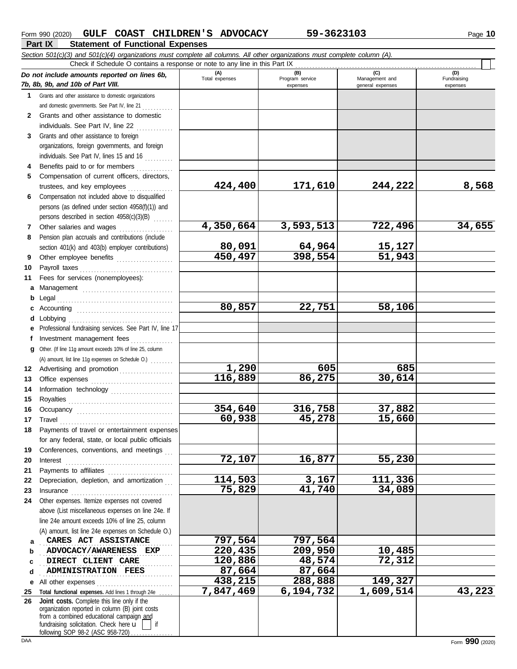|  | Form 990 (2020) GULF COAST CHILDREN'S ADVOCACY | 59-3623103 | Page 10 |
|--|------------------------------------------------|------------|---------|
|  |                                                |            |         |

**Part IX Statement of Functional Expenses** *Section 501(c)(3) and 501(c)(4) organizations must complete all columns. All other organizations must complete column (A).* Check if Schedule O contains a response or note to any line in this Part IX . . . . . . . . . . . . . . . . . . . . . . . . . . . . . . . . . . . . . . . . . . . . . . . . . . . . . . . . . . . . . . . .

|              | Do not include amounts reported on lines 6b,                                                                                                                                                                                                                                                                                                                                                                                                                                                                                                                                          | (A)<br>Total expenses | (B)<br>Program service | (C)<br>Management and | (D)<br>Fundraising |
|--------------|---------------------------------------------------------------------------------------------------------------------------------------------------------------------------------------------------------------------------------------------------------------------------------------------------------------------------------------------------------------------------------------------------------------------------------------------------------------------------------------------------------------------------------------------------------------------------------------|-----------------------|------------------------|-----------------------|--------------------|
|              | 7b, 8b, 9b, and 10b of Part VIII.                                                                                                                                                                                                                                                                                                                                                                                                                                                                                                                                                     |                       | expenses               | general expenses      | expenses           |
| $\mathbf{1}$ | Grants and other assistance to domestic organizations                                                                                                                                                                                                                                                                                                                                                                                                                                                                                                                                 |                       |                        |                       |                    |
|              | and domestic governments. See Part IV, line 21                                                                                                                                                                                                                                                                                                                                                                                                                                                                                                                                        |                       |                        |                       |                    |
| $\mathbf{2}$ | Grants and other assistance to domestic                                                                                                                                                                                                                                                                                                                                                                                                                                                                                                                                               |                       |                        |                       |                    |
|              | individuals. See Part IV, line 22                                                                                                                                                                                                                                                                                                                                                                                                                                                                                                                                                     |                       |                        |                       |                    |
| 3            | Grants and other assistance to foreign                                                                                                                                                                                                                                                                                                                                                                                                                                                                                                                                                |                       |                        |                       |                    |
|              | organizations, foreign governments, and foreign                                                                                                                                                                                                                                                                                                                                                                                                                                                                                                                                       |                       |                        |                       |                    |
|              | individuals. See Part IV, lines 15 and 16                                                                                                                                                                                                                                                                                                                                                                                                                                                                                                                                             |                       |                        |                       |                    |
| 4            | Benefits paid to or for members                                                                                                                                                                                                                                                                                                                                                                                                                                                                                                                                                       |                       |                        |                       |                    |
| 5            | Compensation of current officers, directors,                                                                                                                                                                                                                                                                                                                                                                                                                                                                                                                                          |                       |                        |                       |                    |
|              | trustees, and key employees                                                                                                                                                                                                                                                                                                                                                                                                                                                                                                                                                           | 424,400               | 171,610                | 244,222               | 8,568              |
| 6            | Compensation not included above to disqualified                                                                                                                                                                                                                                                                                                                                                                                                                                                                                                                                       |                       |                        |                       |                    |
|              | persons (as defined under section 4958(f)(1)) and                                                                                                                                                                                                                                                                                                                                                                                                                                                                                                                                     |                       |                        |                       |                    |
|              | persons described in section 4958(c)(3)(B)                                                                                                                                                                                                                                                                                                                                                                                                                                                                                                                                            |                       |                        |                       |                    |
| 7            | Other salaries and wages                                                                                                                                                                                                                                                                                                                                                                                                                                                                                                                                                              | 4,350,664             | 3,593,513              | 722,496               | 34,655             |
| 8            | Pension plan accruals and contributions (include                                                                                                                                                                                                                                                                                                                                                                                                                                                                                                                                      |                       |                        |                       |                    |
|              | section 401(k) and 403(b) employer contributions)                                                                                                                                                                                                                                                                                                                                                                                                                                                                                                                                     | 80,091                | <u>64,964</u>          | <u>15,127</u>         |                    |
| 9            | Other employee benefits                                                                                                                                                                                                                                                                                                                                                                                                                                                                                                                                                               | 450,497               | 398,554                | 51,943                |                    |
| 10           |                                                                                                                                                                                                                                                                                                                                                                                                                                                                                                                                                                                       |                       |                        |                       |                    |
| 11           | Fees for services (nonemployees):                                                                                                                                                                                                                                                                                                                                                                                                                                                                                                                                                     |                       |                        |                       |                    |
| a            |                                                                                                                                                                                                                                                                                                                                                                                                                                                                                                                                                                                       |                       |                        |                       |                    |
| b            |                                                                                                                                                                                                                                                                                                                                                                                                                                                                                                                                                                                       |                       |                        |                       |                    |
| c            |                                                                                                                                                                                                                                                                                                                                                                                                                                                                                                                                                                                       | 80,857                | 22,751                 | 58,106                |                    |
| d            |                                                                                                                                                                                                                                                                                                                                                                                                                                                                                                                                                                                       |                       |                        |                       |                    |
| е            | Professional fundraising services. See Part IV, line 17                                                                                                                                                                                                                                                                                                                                                                                                                                                                                                                               |                       |                        |                       |                    |
| f            |                                                                                                                                                                                                                                                                                                                                                                                                                                                                                                                                                                                       |                       |                        |                       |                    |
|              | Investment management fees                                                                                                                                                                                                                                                                                                                                                                                                                                                                                                                                                            |                       |                        |                       |                    |
| q            | Other. (If line 11g amount exceeds 10% of line 25, column                                                                                                                                                                                                                                                                                                                                                                                                                                                                                                                             |                       |                        |                       |                    |
|              | (A) amount, list line 11g expenses on Schedule O.)                                                                                                                                                                                                                                                                                                                                                                                                                                                                                                                                    |                       | 605                    | 685                   |                    |
| 12           | Advertising and promotion                                                                                                                                                                                                                                                                                                                                                                                                                                                                                                                                                             | 1,290<br>116,889      | 86,275                 |                       |                    |
| 13           |                                                                                                                                                                                                                                                                                                                                                                                                                                                                                                                                                                                       |                       |                        | 30,614                |                    |
| 14           | Information technology                                                                                                                                                                                                                                                                                                                                                                                                                                                                                                                                                                |                       |                        |                       |                    |
| 15           |                                                                                                                                                                                                                                                                                                                                                                                                                                                                                                                                                                                       |                       |                        |                       |                    |
| 16           |                                                                                                                                                                                                                                                                                                                                                                                                                                                                                                                                                                                       | 354,640               | 316,758                | 37,882                |                    |
| 17           | $\begin{minipage}[c]{0.9\linewidth} \begin{tabular}{l} \textbf{Travel} \end{tabular} \end{minipage} \end{minipage} \begin{minipage}[c]{0.9\linewidth} \begin{tabular}{l} \textbf{True} \end{tabular} \end{minipage} \end{minipage} \begin{minipage}[c]{0.9\linewidth} \begin{tabular}{l} \textbf{True} \end{tabular} \end{minipage} \end{minipage} \begin{minipage}[c]{0.9\linewidth} \begin{tabular}{l} \textbf{True} \end{tabular} \end{minipage} \end{minipage} \begin{minipage}[c]{0.9\linewidth} \begin{tabular}{l} \$                                                           | 60,938                | 45,278                 | 15,660                |                    |
| 18           | Payments of travel or entertainment expenses                                                                                                                                                                                                                                                                                                                                                                                                                                                                                                                                          |                       |                        |                       |                    |
|              | for any federal, state, or local public officials                                                                                                                                                                                                                                                                                                                                                                                                                                                                                                                                     |                       |                        |                       |                    |
| 19           | Conferences, conventions, and meetings                                                                                                                                                                                                                                                                                                                                                                                                                                                                                                                                                |                       |                        |                       |                    |
| 20           | Interest                                                                                                                                                                                                                                                                                                                                                                                                                                                                                                                                                                              | 72,107                | 16,877                 | 55,230                |                    |
| 21           | Payments to affiliates                                                                                                                                                                                                                                                                                                                                                                                                                                                                                                                                                                |                       |                        |                       |                    |
| 22           | Depreciation, depletion, and amortization                                                                                                                                                                                                                                                                                                                                                                                                                                                                                                                                             | 114,503               | 3,167                  | 111,336               |                    |
| 23           | $In surface \begin{equation} \begin{minipage}{0.5\textwidth} \includegraphics[width=0.5\textwidth]{figures/cross-1} \end{minipage} \begin{minipage}{0.5\textwidth} \includegraphics[width=0.5\textwidth]{figures/cross-1} \end{minipage} \begin{minipage}{0.5\textwidth} \includegraphics[width=0.5\textwidth]{figures/cross-1} \end{minipage} \begin{minipage}{0.5\textwidth} \includegraphics[width=0.5\textwidth]{figures/cross-1} \end{minipage} \begin{minipage}{0.5\textwidth} \includegraphics[width=0.5\textwidth]{figures/cross-1} \end{minipage} \begin{minipage}{0.5\text$ | 75,829                | 41,740                 | 34,089                |                    |
| 24           | Other expenses. Itemize expenses not covered                                                                                                                                                                                                                                                                                                                                                                                                                                                                                                                                          |                       |                        |                       |                    |
|              | above (List miscellaneous expenses on line 24e. If                                                                                                                                                                                                                                                                                                                                                                                                                                                                                                                                    |                       |                        |                       |                    |
|              | line 24e amount exceeds 10% of line 25, column                                                                                                                                                                                                                                                                                                                                                                                                                                                                                                                                        |                       |                        |                       |                    |
|              | (A) amount, list line 24e expenses on Schedule O.)                                                                                                                                                                                                                                                                                                                                                                                                                                                                                                                                    |                       |                        |                       |                    |
| a            | CARES ACT ASSISTANCE                                                                                                                                                                                                                                                                                                                                                                                                                                                                                                                                                                  | 797,564               | 797,564                |                       |                    |
| b            | ADVOCACY/AWARENESS EXP                                                                                                                                                                                                                                                                                                                                                                                                                                                                                                                                                                | 220,435               | 209,950                | 10,485                |                    |
| C            | DIRECT CLIENT CARE                                                                                                                                                                                                                                                                                                                                                                                                                                                                                                                                                                    | 120,886               | 48,574                 | 72,312                |                    |
| d            | <b>ADMINISTRATION FEES</b>                                                                                                                                                                                                                                                                                                                                                                                                                                                                                                                                                            | 87,664                | 87,664                 |                       |                    |
| е            |                                                                                                                                                                                                                                                                                                                                                                                                                                                                                                                                                                                       | 438,215               | 288,888                | 149,327               |                    |
| 25           | Total functional expenses. Add lines 1 through 24e                                                                                                                                                                                                                                                                                                                                                                                                                                                                                                                                    | 7,847,469             | 6,194,732              | 1,609,514             | 43,223             |
| 26           | Joint costs. Complete this line only if the                                                                                                                                                                                                                                                                                                                                                                                                                                                                                                                                           |                       |                        |                       |                    |
|              | organization reported in column (B) joint costs<br>from a combined educational campaign and                                                                                                                                                                                                                                                                                                                                                                                                                                                                                           |                       |                        |                       |                    |
|              | fundraising solicitation. Check here $\mathbf{u}$  <br>if                                                                                                                                                                                                                                                                                                                                                                                                                                                                                                                             |                       |                        |                       |                    |
|              | following SOP 98-2 (ASC 958-720)                                                                                                                                                                                                                                                                                                                                                                                                                                                                                                                                                      |                       |                        |                       |                    |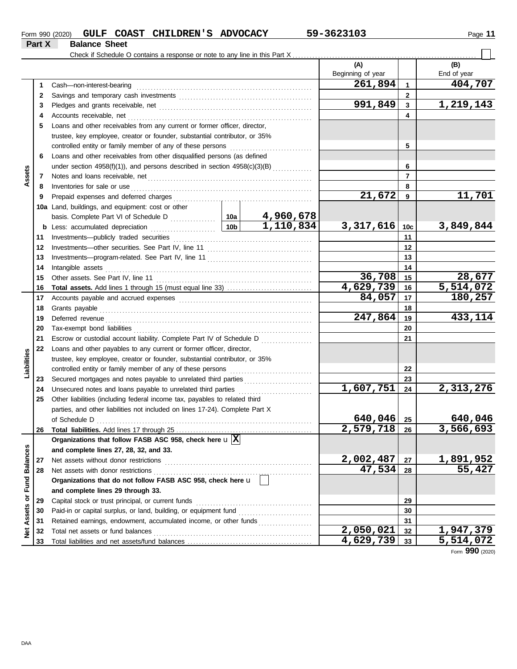|  | Form 990 (2020) |  |  | GULF COAST CHILDREN'S ADVOCACY |  | 59-3623103 | Page |
|--|-----------------|--|--|--------------------------------|--|------------|------|
|--|-----------------|--|--|--------------------------------|--|------------|------|

|                  | Part X | <b>Balance Sheet</b>                                                                                                                                                                                                          |         |           |                   |                 |             |
|------------------|--------|-------------------------------------------------------------------------------------------------------------------------------------------------------------------------------------------------------------------------------|---------|-----------|-------------------|-----------------|-------------|
|                  |        | Check if Schedule O contains a response or note to any line in this Part X                                                                                                                                                    |         |           |                   |                 |             |
|                  |        |                                                                                                                                                                                                                               |         |           | (A)               |                 | (B)         |
|                  |        |                                                                                                                                                                                                                               |         |           | Beginning of year |                 | End of year |
|                  | 1      | Cash-non-interest-bearing                                                                                                                                                                                                     |         |           | 261,894           | $\mathbf{1}$    | 404,707     |
|                  | 2      | Savings and temporary cash investments [11] contain the state of the same state of the same state of the state of the state of the state of the state of the state of the state of the state of the state of the state of the |         |           |                   | $\mathbf{2}$    |             |
|                  | 3      |                                                                                                                                                                                                                               |         |           | 991,849           | 3               | 1,219,143   |
|                  | 4      |                                                                                                                                                                                                                               |         |           |                   | 4               |             |
|                  | 5      | Loans and other receivables from any current or former officer, director,                                                                                                                                                     |         |           |                   |                 |             |
|                  |        | trustee, key employee, creator or founder, substantial contributor, or 35%                                                                                                                                                    |         |           |                   |                 |             |
|                  |        |                                                                                                                                                                                                                               |         |           |                   | 5               |             |
|                  | 6      | Loans and other receivables from other disqualified persons (as defined                                                                                                                                                       |         |           |                   |                 |             |
|                  |        | under section 4958(f)(1)), and persons described in section 4958(c)(3)(B)                                                                                                                                                     |         |           |                   | 6               |             |
| Assets           | 7      |                                                                                                                                                                                                                               |         |           |                   | $\overline{7}$  |             |
|                  | 8      |                                                                                                                                                                                                                               |         |           | 8                 |                 |             |
|                  | 9      |                                                                                                                                                                                                                               |         |           | 21,672            | 9               | 11,701      |
|                  |        | <b>10a</b> Land, buildings, and equipment: cost or other                                                                                                                                                                      |         |           |                   |                 |             |
|                  |        |                                                                                                                                                                                                                               |         | 4,960,678 |                   |                 |             |
|                  | b      |                                                                                                                                                                                                                               |         | 1,110,834 | 3,317,616         | 10 <sub>c</sub> | 3,849,844   |
|                  | 11     |                                                                                                                                                                                                                               |         |           |                   | 11              |             |
|                  | 12     |                                                                                                                                                                                                                               |         |           |                   | 12              |             |
|                  | 13     |                                                                                                                                                                                                                               |         |           | 13                |                 |             |
|                  | 14     |                                                                                                                                                                                                                               |         |           | 14                |                 |             |
|                  | 15     |                                                                                                                                                                                                                               |         |           | 36,708            | 15              | 28,677      |
|                  | 16     |                                                                                                                                                                                                                               |         |           | 4,629,739         | 16              | 5,514,072   |
|                  | 17     |                                                                                                                                                                                                                               |         | 84,057    | 17                | 180,257         |             |
|                  | 18     |                                                                                                                                                                                                                               |         |           | 18                |                 |             |
|                  | 19     |                                                                                                                                                                                                                               | 247,864 | 19        | 433,114           |                 |             |
|                  | 20     |                                                                                                                                                                                                                               |         |           | 20                |                 |             |
|                  | 21     | Escrow or custodial account liability. Complete Part IV of Schedule D                                                                                                                                                         |         |           | 21                |                 |             |
|                  | 22     | Loans and other payables to any current or former officer, director,                                                                                                                                                          |         |           |                   |                 |             |
|                  |        | trustee, key employee, creator or founder, substantial contributor, or 35%                                                                                                                                                    |         |           |                   |                 |             |
| Liabilities      |        |                                                                                                                                                                                                                               |         |           |                   | 22              |             |
|                  | 23     | Secured mortgages and notes payable to unrelated third parties                                                                                                                                                                |         |           |                   | 23              |             |
|                  | 24     |                                                                                                                                                                                                                               |         |           | 1,607,751         | 24              | 2,313,276   |
|                  | 25     | Other liabilities (including federal income tax, payables to related third                                                                                                                                                    |         |           |                   |                 |             |
|                  |        | parties, and other liabilities not included on lines 17-24). Complete Part X                                                                                                                                                  |         |           |                   |                 |             |
|                  |        | of Schedule D                                                                                                                                                                                                                 |         |           | 640,046           | 25              | 640,046     |
|                  | 26     |                                                                                                                                                                                                                               |         |           | 2,579,718         | 26              | 3,566,693   |
|                  |        | Organizations that follow FASB ASC 958, check here $\mathbf{u} \overline{X}$                                                                                                                                                  |         |           |                   |                 |             |
|                  |        | and complete lines 27, 28, 32, and 33.                                                                                                                                                                                        |         |           |                   |                 |             |
|                  | 27     | Net assets without donor restrictions                                                                                                                                                                                         |         |           | 2,002,487         | 27              | 1,891,952   |
|                  | 28     | Net assets with donor restrictions                                                                                                                                                                                            |         |           | 47,534            | 28              | 55,427      |
|                  |        | Organizations that do not follow FASB ASC 958, check here u                                                                                                                                                                   |         |           |                   |                 |             |
| or Fund Balances |        | and complete lines 29 through 33.                                                                                                                                                                                             |         |           |                   |                 |             |
|                  | 29     | Capital stock or trust principal, or current funds                                                                                                                                                                            |         |           |                   | 29              |             |
| Assets           | 30     |                                                                                                                                                                                                                               |         |           |                   | 30              |             |
|                  | 31     | Retained earnings, endowment, accumulated income, or other funds                                                                                                                                                              |         |           |                   | 31              |             |
| <b>Net</b>       | 32     | Total net assets or fund balances                                                                                                                                                                                             |         |           | 2,050,021         | 32              | 1,947,379   |
|                  | 33     |                                                                                                                                                                                                                               |         |           | 4,629,739         | 33              | 5,514,072   |

Form **990** (2020)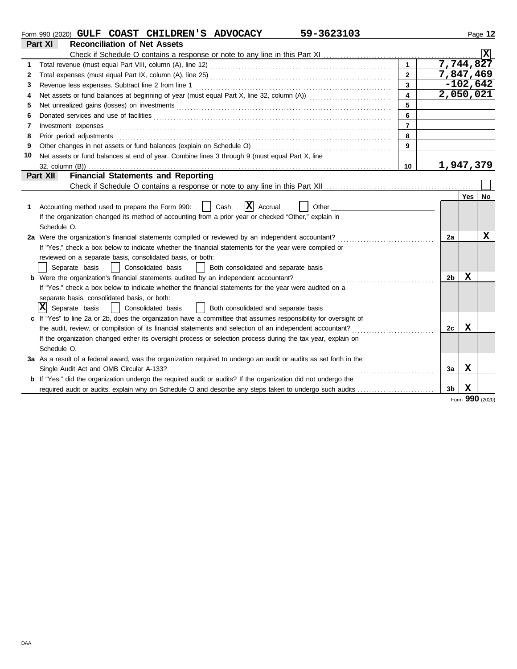|    | 59-3623103<br>Form 990 (2020) GULF COAST CHILDREN'S ADVOCACY                                                                                                                                                                   |                         |                |             | Page 12 |
|----|--------------------------------------------------------------------------------------------------------------------------------------------------------------------------------------------------------------------------------|-------------------------|----------------|-------------|---------|
|    | Part XI<br><b>Reconciliation of Net Assets</b>                                                                                                                                                                                 |                         |                |             |         |
|    |                                                                                                                                                                                                                                |                         |                |             | Ιxι     |
| 1  | Total revenue (must equal Part VIII, column (A), line 12) [2010] [2010] [2010] [2010] [2010] [2010] [2010] [20                                                                                                                 | $\mathbf{1}$            | 7,744,827      |             |         |
| 2  |                                                                                                                                                                                                                                | $\overline{2}$          | 7,847,469      |             |         |
| 3  | Revenue less expenses. Subtract line 2 from line 1                                                                                                                                                                             | $\overline{3}$          |                | $-102,642$  |         |
| 4  |                                                                                                                                                                                                                                | $\overline{\mathbf{4}}$ | 2,050,021      |             |         |
| 5  |                                                                                                                                                                                                                                | 5                       |                |             |         |
| 6  |                                                                                                                                                                                                                                | 6                       |                |             |         |
| 7  |                                                                                                                                                                                                                                | $\overline{7}$          |                |             |         |
| 8  | Prior period adjustments [11] production and an intervention of the contract of the contract of the contract of the contract of the contract of the contract of the contract of the contract of the contract of the contract o | 8                       |                |             |         |
| 9  |                                                                                                                                                                                                                                | 9                       |                |             |         |
| 10 | Net assets or fund balances at end of year. Combine lines 3 through 9 (must equal Part X, line                                                                                                                                 |                         |                |             |         |
|    | 32, column (B))                                                                                                                                                                                                                | 10                      | 1,947,379      |             |         |
|    | <b>Financial Statements and Reporting</b><br>Part XII                                                                                                                                                                          |                         |                |             |         |
|    |                                                                                                                                                                                                                                |                         |                |             |         |
|    |                                                                                                                                                                                                                                |                         |                | Yes $ $     | No      |
| 1. | $ \mathbf{x} $<br>Accounting method used to prepare the Form 990:<br>Cash<br>Accrual<br>Other                                                                                                                                  |                         |                |             |         |
|    | If the organization changed its method of accounting from a prior year or checked "Other," explain in                                                                                                                          |                         |                |             |         |
|    | Schedule O.                                                                                                                                                                                                                    |                         |                |             |         |
|    | 2a Were the organization's financial statements compiled or reviewed by an independent accountant?                                                                                                                             |                         | 2a             |             | x       |
|    | If "Yes," check a box below to indicate whether the financial statements for the year were compiled or                                                                                                                         |                         |                |             |         |
|    | reviewed on a separate basis, consolidated basis, or both:                                                                                                                                                                     |                         |                |             |         |
|    | Separate basis<br>Consolidated basis<br>Both consolidated and separate basis                                                                                                                                                   |                         |                |             |         |
|    |                                                                                                                                                                                                                                |                         | 2 <sub>b</sub> | x           |         |
|    | If "Yes," check a box below to indicate whether the financial statements for the year were audited on a                                                                                                                        |                         |                |             |         |
|    | separate basis, consolidated basis, or both:                                                                                                                                                                                   |                         |                |             |         |
|    | X <br>Separate basis<br>Consolidated basis<br>Both consolidated and separate basis                                                                                                                                             |                         |                |             |         |
|    | c If "Yes" to line 2a or 2b, does the organization have a committee that assumes responsibility for oversight of                                                                                                               |                         |                |             |         |
|    | the audit, review, or compilation of its financial statements and selection of an independent accountant?                                                                                                                      |                         | 2c             | X           |         |
|    | If the organization changed either its oversight process or selection process during the tax year, explain on                                                                                                                  |                         |                |             |         |
|    | Schedule O.                                                                                                                                                                                                                    |                         |                |             |         |
|    | 3a As a result of a federal award, was the organization required to undergo an audit or audits as set forth in the                                                                                                             |                         |                |             |         |
|    | Single Audit Act and OMB Circular A-133?                                                                                                                                                                                       |                         | 3a             | x           |         |
|    | <b>b</b> If "Yes," did the organization undergo the required audit or audits? If the organization did not undergo the                                                                                                          |                         |                |             |         |
|    |                                                                                                                                                                                                                                |                         | 3b             | $\mathbf x$ |         |
|    |                                                                                                                                                                                                                                |                         |                | nnn         |         |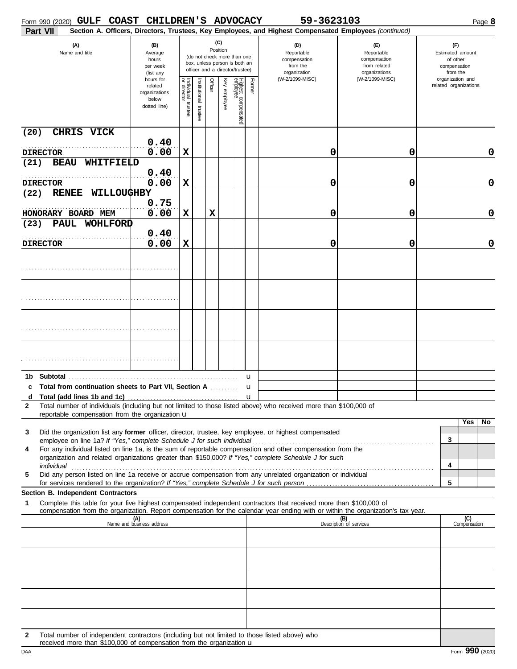| Form 990 (2020) GULF COAST CHILDREN'S ADVOCACY                                                                                                                                    |                                                                |                                   |                         |          |              |                                                                                                 |        | 59-3623103                                                                                                                                                                                                                                                                                                                                           |                                                                               | Page 8                                                          |
|-----------------------------------------------------------------------------------------------------------------------------------------------------------------------------------|----------------------------------------------------------------|-----------------------------------|-------------------------|----------|--------------|-------------------------------------------------------------------------------------------------|--------|------------------------------------------------------------------------------------------------------------------------------------------------------------------------------------------------------------------------------------------------------------------------------------------------------------------------------------------------------|-------------------------------------------------------------------------------|-----------------------------------------------------------------|
| Part VII                                                                                                                                                                          |                                                                |                                   |                         |          |              |                                                                                                 |        | Section A. Officers, Directors, Trustees, Key Employees, and Highest Compensated Employees (continued)                                                                                                                                                                                                                                               |                                                                               |                                                                 |
| (A)<br>Name and title                                                                                                                                                             | (B)<br>Average<br>hours<br>per week<br>(list any               |                                   |                         | Position | (C)          | (do not check more than one<br>box, unless person is both an<br>officer and a director/trustee) |        | (D)<br>Reportable<br>compensation<br>from the<br>organization                                                                                                                                                                                                                                                                                        | $(\mathsf{E})$<br>Reportable<br>compensation<br>from related<br>organizations | (F)<br>Estimated amount<br>of other<br>compensation<br>from the |
|                                                                                                                                                                                   | hours for<br>related<br>organizations<br>below<br>dotted line) | Individual trustee<br>or director | nstitutional<br>trustee | Officer  | Key employee | Highest compensated<br>employee                                                                 | Former | (W-2/1099-MISC)                                                                                                                                                                                                                                                                                                                                      | (W-2/1099-MISC)                                                               | organization and<br>related organizations                       |
| CHRIS VICK<br>(20)<br><b>DIRECTOR</b>                                                                                                                                             | 0.40<br>0.00                                                   | $\mathbf x$                       |                         |          |              |                                                                                                 |        | 0                                                                                                                                                                                                                                                                                                                                                    | 0                                                                             | 0                                                               |
| <b>BEAU</b><br>WHITFIELD<br>(21)                                                                                                                                                  |                                                                |                                   |                         |          |              |                                                                                                 |        |                                                                                                                                                                                                                                                                                                                                                      |                                                                               |                                                                 |
|                                                                                                                                                                                   | 0.40                                                           |                                   |                         |          |              |                                                                                                 |        |                                                                                                                                                                                                                                                                                                                                                      |                                                                               |                                                                 |
| <b>DIRECTOR</b>                                                                                                                                                                   | 0.00                                                           | $\mathbf x$                       |                         |          |              |                                                                                                 |        | 0                                                                                                                                                                                                                                                                                                                                                    | 0                                                                             | 0                                                               |
| <b>RENEE</b><br>(22)<br>HONORARY BOARD MEM                                                                                                                                        | WILLOUGHBY<br>0.75<br>0.00                                     | X                                 |                         | X        |              |                                                                                                 |        | 0                                                                                                                                                                                                                                                                                                                                                    | 0                                                                             | 0                                                               |
| PAUL WOHLFORD<br>(23)                                                                                                                                                             |                                                                |                                   |                         |          |              |                                                                                                 |        |                                                                                                                                                                                                                                                                                                                                                      |                                                                               |                                                                 |
| 0.40<br>0.00<br>$\mathbf x$<br>0<br>0<br><b>DIRECTOR</b>                                                                                                                          |                                                                |                                   |                         |          |              |                                                                                                 |        | 0                                                                                                                                                                                                                                                                                                                                                    |                                                                               |                                                                 |
|                                                                                                                                                                                   |                                                                |                                   |                         |          |              |                                                                                                 |        |                                                                                                                                                                                                                                                                                                                                                      |                                                                               |                                                                 |
|                                                                                                                                                                                   |                                                                |                                   |                         |          |              |                                                                                                 |        |                                                                                                                                                                                                                                                                                                                                                      |                                                                               |                                                                 |
|                                                                                                                                                                                   |                                                                |                                   |                         |          |              |                                                                                                 |        |                                                                                                                                                                                                                                                                                                                                                      |                                                                               |                                                                 |
|                                                                                                                                                                                   |                                                                |                                   |                         |          |              |                                                                                                 |        |                                                                                                                                                                                                                                                                                                                                                      |                                                                               |                                                                 |
|                                                                                                                                                                                   |                                                                |                                   |                         |          |              |                                                                                                 |        |                                                                                                                                                                                                                                                                                                                                                      |                                                                               |                                                                 |
| Total from continuation sheets to Part VII, Section A<br>c                                                                                                                        |                                                                |                                   |                         |          |              |                                                                                                 | u<br>u |                                                                                                                                                                                                                                                                                                                                                      |                                                                               |                                                                 |
| $\mathbf{2}$                                                                                                                                                                      |                                                                |                                   |                         |          |              |                                                                                                 |        |                                                                                                                                                                                                                                                                                                                                                      |                                                                               |                                                                 |
| reportable compensation from the organization u                                                                                                                                   |                                                                |                                   |                         |          |              |                                                                                                 |        | Total number of individuals (including but not limited to those listed above) who received more than \$100,000 of                                                                                                                                                                                                                                    |                                                                               |                                                                 |
| 3<br>employee on line 1a? If "Yes," complete Schedule J for such individual                                                                                                       |                                                                |                                   |                         |          |              |                                                                                                 |        | Did the organization list any former officer, director, trustee, key employee, or highest compensated                                                                                                                                                                                                                                                |                                                                               | Yes<br>No<br>3                                                  |
| 4                                                                                                                                                                                 |                                                                |                                   |                         |          |              |                                                                                                 |        | For any individual listed on line 1a, is the sum of reportable compensation and other compensation from the<br>organization and related organizations greater than \$150,000? If "Yes," complete Schedule J for such                                                                                                                                 |                                                                               | 4                                                               |
| 5                                                                                                                                                                                 |                                                                |                                   |                         |          |              |                                                                                                 |        | individual <b>construction in the construction of the construction</b> in the construction of the construction of the construction of the construction of the construction of the construction of the construction of the construct<br>Did any person listed on line 1a receive or accrue compensation from any unrelated organization or individual |                                                                               | 5                                                               |
| Section B. Independent Contractors<br>1                                                                                                                                           |                                                                |                                   |                         |          |              |                                                                                                 |        | Complete this table for your five highest compensated independent contractors that received more than \$100,000 of                                                                                                                                                                                                                                   |                                                                               |                                                                 |
|                                                                                                                                                                                   |                                                                |                                   |                         |          |              |                                                                                                 |        | compensation from the organization. Report compensation for the calendar year ending with or within the organization's tax year.                                                                                                                                                                                                                     |                                                                               |                                                                 |
|                                                                                                                                                                                   | (A)<br>Name and business address                               |                                   |                         |          |              |                                                                                                 |        |                                                                                                                                                                                                                                                                                                                                                      | (B)<br>Description of services                                                | (C)<br>Compensation                                             |
|                                                                                                                                                                                   |                                                                |                                   |                         |          |              |                                                                                                 |        |                                                                                                                                                                                                                                                                                                                                                      |                                                                               |                                                                 |
|                                                                                                                                                                                   |                                                                |                                   |                         |          |              |                                                                                                 |        |                                                                                                                                                                                                                                                                                                                                                      |                                                                               |                                                                 |
|                                                                                                                                                                                   |                                                                |                                   |                         |          |              |                                                                                                 |        |                                                                                                                                                                                                                                                                                                                                                      |                                                                               |                                                                 |
|                                                                                                                                                                                   |                                                                |                                   |                         |          |              |                                                                                                 |        |                                                                                                                                                                                                                                                                                                                                                      |                                                                               |                                                                 |
| Total number of independent contractors (including but not limited to those listed above) who<br>2<br>received more than \$100,000 of compensation from the organization <b>u</b> |                                                                |                                   |                         |          |              |                                                                                                 |        |                                                                                                                                                                                                                                                                                                                                                      |                                                                               |                                                                 |

received more than \$100,000 of compensation from the organization u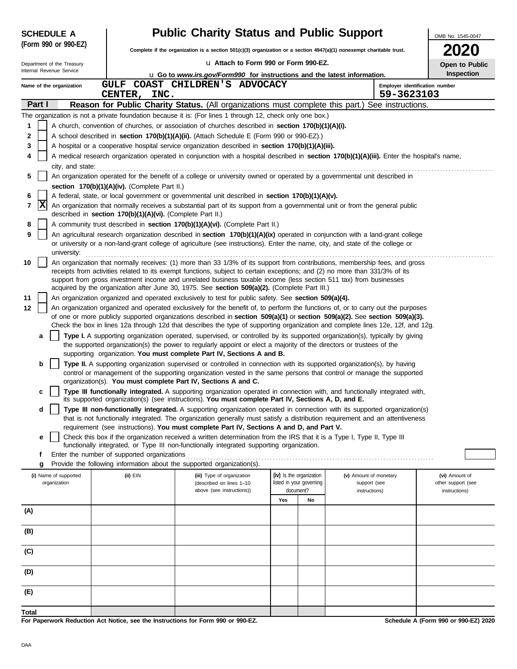|                                                                      | <b>SCHEDULE A</b>                                                                                                                                                                                                                                              |                                                                                                      | <b>Public Charity Status and Public Support</b><br>OMB No. 1545-0047                                                                                                                          |  |                          |                                                                                                                                            |                                      |  |  |  |  |  |  |
|----------------------------------------------------------------------|----------------------------------------------------------------------------------------------------------------------------------------------------------------------------------------------------------------------------------------------------------------|------------------------------------------------------------------------------------------------------|-----------------------------------------------------------------------------------------------------------------------------------------------------------------------------------------------|--|--------------------------|--------------------------------------------------------------------------------------------------------------------------------------------|--------------------------------------|--|--|--|--|--|--|
|                                                                      | (Form 990 or 990-EZ)                                                                                                                                                                                                                                           |                                                                                                      | Complete if the organization is a section 501(c)(3) organization or a section 4947(a)(1) nonexempt charitable trust.                                                                          |  |                          |                                                                                                                                            |                                      |  |  |  |  |  |  |
|                                                                      | Department of the Treasury                                                                                                                                                                                                                                     |                                                                                                      | La Attach to Form 990 or Form 990-EZ.                                                                                                                                                         |  |                          |                                                                                                                                            | Open to Public                       |  |  |  |  |  |  |
|                                                                      | Internal Revenue Service                                                                                                                                                                                                                                       |                                                                                                      | <b>u</b> Go to www.irs.gov/Form990 for instructions and the latest information.                                                                                                               |  |                          |                                                                                                                                            | Inspection                           |  |  |  |  |  |  |
|                                                                      | Name of the organization                                                                                                                                                                                                                                       | <b>GULF</b>                                                                                          | COAST CHILDREN'S ADVOCACY                                                                                                                                                                     |  |                          | Employer identification number                                                                                                             |                                      |  |  |  |  |  |  |
|                                                                      | Part I                                                                                                                                                                                                                                                         | CENTER, INC.                                                                                         |                                                                                                                                                                                               |  |                          | 59-3623103<br><b>Reason for Public Charity Status.</b> (All organizations must complete this part.) See instructions.                      |                                      |  |  |  |  |  |  |
|                                                                      |                                                                                                                                                                                                                                                                |                                                                                                      | The organization is not a private foundation because it is: (For lines 1 through 12, check only one box.)                                                                                     |  |                          |                                                                                                                                            |                                      |  |  |  |  |  |  |
| 1                                                                    |                                                                                                                                                                                                                                                                |                                                                                                      | A church, convention of churches, or association of churches described in section 170(b)(1)(A)(i).                                                                                            |  |                          |                                                                                                                                            |                                      |  |  |  |  |  |  |
| 2                                                                    |                                                                                                                                                                                                                                                                |                                                                                                      | A school described in section 170(b)(1)(A)(ii). (Attach Schedule E (Form 990 or 990-EZ).)                                                                                                     |  |                          |                                                                                                                                            |                                      |  |  |  |  |  |  |
| 3                                                                    |                                                                                                                                                                                                                                                                |                                                                                                      | A hospital or a cooperative hospital service organization described in section 170(b)(1)(A)(iii).                                                                                             |  |                          |                                                                                                                                            |                                      |  |  |  |  |  |  |
| 4                                                                    |                                                                                                                                                                                                                                                                |                                                                                                      |                                                                                                                                                                                               |  |                          | A medical research organization operated in conjunction with a hospital described in section 170(b)(1)(A)(iii). Enter the hospital's name, |                                      |  |  |  |  |  |  |
|                                                                      |                                                                                                                                                                                                                                                                |                                                                                                      | city, and state: <b>contract and state</b> contract and state and state and state contract and state contract and state                                                                       |  |                          |                                                                                                                                            |                                      |  |  |  |  |  |  |
| 5                                                                    |                                                                                                                                                                                                                                                                |                                                                                                      | An organization operated for the benefit of a college or university owned or operated by a governmental unit described in                                                                     |  |                          |                                                                                                                                            |                                      |  |  |  |  |  |  |
| 6                                                                    | section 170(b)(1)(A)(iv). (Complete Part II.)<br>A federal, state, or local government or governmental unit described in section 170(b)(1)(A)(v).                                                                                                              |                                                                                                      |                                                                                                                                                                                               |  |                          |                                                                                                                                            |                                      |  |  |  |  |  |  |
| 7                                                                    | X<br>An organization that normally receives a substantial part of its support from a governmental unit or from the general public<br>described in section 170(b)(1)(A)(vi). (Complete Part II.)                                                                |                                                                                                      |                                                                                                                                                                                               |  |                          |                                                                                                                                            |                                      |  |  |  |  |  |  |
| 8                                                                    | A community trust described in section 170(b)(1)(A)(vi). (Complete Part II.)                                                                                                                                                                                   |                                                                                                      |                                                                                                                                                                                               |  |                          |                                                                                                                                            |                                      |  |  |  |  |  |  |
| 9                                                                    | An agricultural research organization described in <b>section 170(b)(1)(A)(ix)</b> operated in conjunction with a land-grant college                                                                                                                           |                                                                                                      |                                                                                                                                                                                               |  |                          |                                                                                                                                            |                                      |  |  |  |  |  |  |
|                                                                      | or university or a non-land-grant college of agriculture (see instructions). Enter the name, city, and state of the college or<br>university:                                                                                                                  |                                                                                                      |                                                                                                                                                                                               |  |                          |                                                                                                                                            |                                      |  |  |  |  |  |  |
| 10                                                                   |                                                                                                                                                                                                                                                                |                                                                                                      |                                                                                                                                                                                               |  |                          | An organization that normally receives: (1) more than 33 1/3% of its support from contributions, membership fees, and gross                |                                      |  |  |  |  |  |  |
|                                                                      |                                                                                                                                                                                                                                                                |                                                                                                      | receipts from activities related to its exempt functions, subject to certain exceptions; and (2) no more than 331/3% of its                                                                   |  |                          |                                                                                                                                            |                                      |  |  |  |  |  |  |
|                                                                      | support from gross investment income and unrelated business taxable income (less section 511 tax) from businesses<br>acquired by the organization after June 30, 1975. See section 509(a)(2). (Complete Part III.)                                             |                                                                                                      |                                                                                                                                                                                               |  |                          |                                                                                                                                            |                                      |  |  |  |  |  |  |
| 11                                                                   |                                                                                                                                                                                                                                                                | An organization organized and operated exclusively to test for public safety. See section 509(a)(4). |                                                                                                                                                                                               |  |                          |                                                                                                                                            |                                      |  |  |  |  |  |  |
| 12                                                                   | An organization organized and operated exclusively for the benefit of, to perform the functions of, or to carry out the purposes                                                                                                                               |                                                                                                      |                                                                                                                                                                                               |  |                          |                                                                                                                                            |                                      |  |  |  |  |  |  |
|                                                                      | of one or more publicly supported organizations described in section 509(a)(1) or section 509(a)(2). See section 509(a)(3).<br>Check the box in lines 12a through 12d that describes the type of supporting organization and complete lines 12e, 12f, and 12g. |                                                                                                      |                                                                                                                                                                                               |  |                          |                                                                                                                                            |                                      |  |  |  |  |  |  |
|                                                                      | a                                                                                                                                                                                                                                                              |                                                                                                      |                                                                                                                                                                                               |  |                          | Type I. A supporting organization operated, supervised, or controlled by its supported organization(s), typically by giving                |                                      |  |  |  |  |  |  |
|                                                                      |                                                                                                                                                                                                                                                                |                                                                                                      | the supported organization(s) the power to regularly appoint or elect a majority of the directors or trustees of the<br>supporting organization. You must complete Part IV, Sections A and B. |  |                          |                                                                                                                                            |                                      |  |  |  |  |  |  |
|                                                                      | b                                                                                                                                                                                                                                                              |                                                                                                      | Type II. A supporting organization supervised or controlled in connection with its supported organization(s), by having                                                                       |  |                          |                                                                                                                                            |                                      |  |  |  |  |  |  |
|                                                                      |                                                                                                                                                                                                                                                                |                                                                                                      |                                                                                                                                                                                               |  |                          | control or management of the supporting organization vested in the same persons that control or manage the supported                       |                                      |  |  |  |  |  |  |
|                                                                      | c                                                                                                                                                                                                                                                              |                                                                                                      | organization(s). You must complete Part IV, Sections A and C.                                                                                                                                 |  |                          | Type III functionally integrated. A supporting organization operated in connection with, and functionally integrated with,                 |                                      |  |  |  |  |  |  |
|                                                                      |                                                                                                                                                                                                                                                                |                                                                                                      | its supported organization(s) (see instructions). You must complete Part IV, Sections A, D, and E.                                                                                            |  |                          |                                                                                                                                            |                                      |  |  |  |  |  |  |
|                                                                      | d                                                                                                                                                                                                                                                              |                                                                                                      |                                                                                                                                                                                               |  |                          | Type III non-functionally integrated. A supporting organization operated in connection with its supported organization(s)                  |                                      |  |  |  |  |  |  |
|                                                                      |                                                                                                                                                                                                                                                                |                                                                                                      | requirement (see instructions). You must complete Part IV, Sections A and D, and Part V.                                                                                                      |  |                          | that is not functionally integrated. The organization generally must satisfy a distribution requirement and an attentiveness               |                                      |  |  |  |  |  |  |
|                                                                      | е                                                                                                                                                                                                                                                              |                                                                                                      | Check this box if the organization received a written determination from the IRS that it is a Type I, Type II, Type III                                                                       |  |                          |                                                                                                                                            |                                      |  |  |  |  |  |  |
|                                                                      |                                                                                                                                                                                                                                                                |                                                                                                      | functionally integrated, or Type III non-functionally integrated supporting organization.                                                                                                     |  |                          |                                                                                                                                            |                                      |  |  |  |  |  |  |
|                                                                      | f<br>g                                                                                                                                                                                                                                                         | Enter the number of supported organizations                                                          | Provide the following information about the supported organization(s).                                                                                                                        |  |                          |                                                                                                                                            |                                      |  |  |  |  |  |  |
|                                                                      | (i) Name of supported                                                                                                                                                                                                                                          | $(ii)$ EIN                                                                                           | (iii) Type of organization                                                                                                                                                                    |  | (iv) Is the organization | (v) Amount of monetary                                                                                                                     | (vi) Amount of                       |  |  |  |  |  |  |
|                                                                      | organization                                                                                                                                                                                                                                                   |                                                                                                      | (described on lines 1-10                                                                                                                                                                      |  | listed in your governing | support (see                                                                                                                               | other support (see                   |  |  |  |  |  |  |
| document?<br>above (see instructions))<br>instructions)<br>Yes<br>No |                                                                                                                                                                                                                                                                |                                                                                                      |                                                                                                                                                                                               |  |                          |                                                                                                                                            | instructions)                        |  |  |  |  |  |  |
| (A)                                                                  |                                                                                                                                                                                                                                                                |                                                                                                      |                                                                                                                                                                                               |  |                          |                                                                                                                                            |                                      |  |  |  |  |  |  |
|                                                                      |                                                                                                                                                                                                                                                                |                                                                                                      |                                                                                                                                                                                               |  |                          |                                                                                                                                            |                                      |  |  |  |  |  |  |
| (B)                                                                  |                                                                                                                                                                                                                                                                |                                                                                                      |                                                                                                                                                                                               |  |                          |                                                                                                                                            |                                      |  |  |  |  |  |  |
| (C)                                                                  |                                                                                                                                                                                                                                                                |                                                                                                      |                                                                                                                                                                                               |  |                          |                                                                                                                                            |                                      |  |  |  |  |  |  |
| (D)                                                                  |                                                                                                                                                                                                                                                                |                                                                                                      |                                                                                                                                                                                               |  |                          |                                                                                                                                            |                                      |  |  |  |  |  |  |
|                                                                      |                                                                                                                                                                                                                                                                |                                                                                                      |                                                                                                                                                                                               |  |                          |                                                                                                                                            |                                      |  |  |  |  |  |  |
| (E)                                                                  |                                                                                                                                                                                                                                                                |                                                                                                      |                                                                                                                                                                                               |  |                          |                                                                                                                                            |                                      |  |  |  |  |  |  |
| Total                                                                |                                                                                                                                                                                                                                                                |                                                                                                      | For Paperwork Reduction Act Notice, see the Instructions for Form 990 or 990-EZ.                                                                                                              |  |                          |                                                                                                                                            | Schedule A (Form 990 or 990-EZ) 2020 |  |  |  |  |  |  |

**For Paperwork Reduction Act Notice, see the Instructions for Form 990 or 990-EZ.**

**Schedule A (Form 990 or 990-EZ) 2020**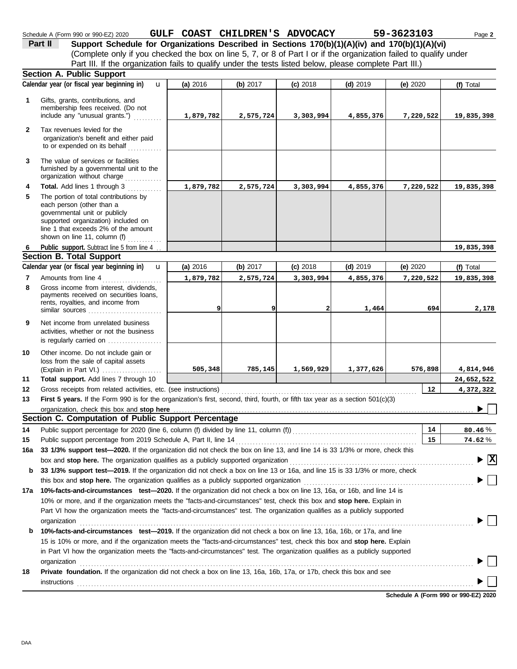| 1            | Gifts, grants, contributions, and<br>membership fees received. (Do not<br>include any "unusual grants.")                                                                                                                         | 1,879,782 | 2,575,724  | 3,303,994  | 4,855,376  |          | 7,220,522       | 19,835,398                           |  |  |  |  |  |
|--------------|----------------------------------------------------------------------------------------------------------------------------------------------------------------------------------------------------------------------------------|-----------|------------|------------|------------|----------|-----------------|--------------------------------------|--|--|--|--|--|
| $\mathbf{2}$ | Tax revenues levied for the<br>organization's benefit and either paid<br>to or expended on its behalf                                                                                                                            |           |            |            |            |          |                 |                                      |  |  |  |  |  |
| 3            | The value of services or facilities<br>furnished by a governmental unit to the<br>organization without charge                                                                                                                    |           |            |            |            |          |                 |                                      |  |  |  |  |  |
| 4            | Total. Add lines 1 through 3                                                                                                                                                                                                     | 1,879,782 | 2,575,724  | 3,303,994  | 4,855,376  |          | 7,220,522       | 19,835,398                           |  |  |  |  |  |
| 5            | The portion of total contributions by<br>each person (other than a<br>governmental unit or publicly<br>supported organization) included on<br>line 1 that exceeds 2% of the amount<br>shown on line 11, column (f)               |           |            |            |            |          |                 |                                      |  |  |  |  |  |
| -6           | Public support. Subtract line 5 from line 4<br><b>Section B. Total Support</b>                                                                                                                                                   |           |            |            |            |          |                 | 19,835,398                           |  |  |  |  |  |
|              | Calendar year (or fiscal year beginning in)<br>$\mathbf{u}$                                                                                                                                                                      | (a) 2016  | (b) $2017$ | $(c)$ 2018 | $(d)$ 2019 | (e) 2020 |                 | (f) Total                            |  |  |  |  |  |
| 7            | Amounts from line 4                                                                                                                                                                                                              | 1,879,782 | 2,575,724  | 3,303,994  | 4,855,376  |          | 7,220,522       | 19,835,398                           |  |  |  |  |  |
| 8            | Gross income from interest, dividends,<br>payments received on securities loans,<br>rents, royalties, and income from<br>$\overline{9}$<br>9<br>694<br>1,464<br>2,178<br>$\mathbf{2}$<br>similar sources                         |           |            |            |            |          |                 |                                      |  |  |  |  |  |
| 9            | Net income from unrelated business<br>activities, whether or not the business<br>is regularly carried on                                                                                                                         |           |            |            |            |          |                 |                                      |  |  |  |  |  |
| 10           | Other income. Do not include gain or<br>loss from the sale of capital assets<br>(Explain in Part VI.) $\ldots$ , $\ldots$                                                                                                        | 505,348   | 785,145    | 1,569,929  | 1,377,626  |          | 576,898         | 4,814,946                            |  |  |  |  |  |
| 11           | Total support. Add lines 7 through 10                                                                                                                                                                                            |           |            |            |            |          |                 | 24,652,522                           |  |  |  |  |  |
| 12           |                                                                                                                                                                                                                                  |           |            |            |            |          | 12 <sup>7</sup> | 4,372,322                            |  |  |  |  |  |
| 13           | First 5 years. If the Form 990 is for the organization's first, second, third, fourth, or fifth tax year as a section 501(c)(3)                                                                                                  |           |            |            |            |          |                 |                                      |  |  |  |  |  |
|              |                                                                                                                                                                                                                                  |           |            |            |            |          |                 |                                      |  |  |  |  |  |
|              | Section C. Computation of Public Support Percentage                                                                                                                                                                              |           |            |            |            |          |                 |                                      |  |  |  |  |  |
| 14           |                                                                                                                                                                                                                                  |           |            |            |            |          | 14<br>15        | $80.46\,\%$                          |  |  |  |  |  |
| 15<br>16a    | 33 1/3% support test-2020. If the organization did not check the box on line 13, and line 14 is 33 1/3% or more, check this                                                                                                      |           |            |            |            |          |                 | 74.62%                               |  |  |  |  |  |
|              |                                                                                                                                                                                                                                  |           |            |            |            |          |                 | $\blacktriangleright$ $ \mathbf{X} $ |  |  |  |  |  |
|              | b 33 1/3% support test-2019. If the organization did not check a box on line 13 or 16a, and line 15 is 33 1/3% or more, check                                                                                                    |           |            |            |            |          |                 |                                      |  |  |  |  |  |
|              | this box and stop here. The organization qualifies as a publicly supported organization                                                                                                                                          |           |            |            |            |          |                 | $\Box$                               |  |  |  |  |  |
| 17а          | 10%-facts-and-circumstances test-2020. If the organization did not check a box on line 13, 16a, or 16b, and line 14 is                                                                                                           |           |            |            |            |          |                 |                                      |  |  |  |  |  |
|              | 10% or more, and if the organization meets the "facts-and-circumstances" test, check this box and stop here. Explain in                                                                                                          |           |            |            |            |          |                 |                                      |  |  |  |  |  |
|              | Part VI how the organization meets the "facts-and-circumstances" test. The organization qualifies as a publicly supported                                                                                                        |           |            |            |            |          |                 |                                      |  |  |  |  |  |
|              | organization<br>and the contract of the contract of the contract of the contract of the contract of the contract of the contract of the contract of the contract of the contract of the contract of the contract of the contract |           |            |            |            |          |                 |                                      |  |  |  |  |  |
| b            | 10%-facts-and-circumstances test-2019. If the organization did not check a box on line 13, 16a, 16b, or 17a, and line                                                                                                            |           |            |            |            |          |                 |                                      |  |  |  |  |  |
|              | 15 is 10% or more, and if the organization meets the "facts-and-circumstances" test, check this box and stop here. Explain                                                                                                       |           |            |            |            |          |                 |                                      |  |  |  |  |  |
|              | in Part VI how the organization meets the "facts-and-circumstances" test. The organization qualifies as a publicly supported                                                                                                     |           |            |            |            |          |                 |                                      |  |  |  |  |  |
|              | organization<br><u>expanization</u>                                                                                                                                                                                              |           |            |            |            |          |                 |                                      |  |  |  |  |  |
| 18           | Private foundation. If the organization did not check a box on line 13, 16a, 16b, 17a, or 17b, check this box and see                                                                                                            |           |            |            |            |          |                 |                                      |  |  |  |  |  |
|              | <b>instructions</b>                                                                                                                                                                                                              |           |            |            |            |          |                 |                                      |  |  |  |  |  |

Schedule A (Form 990 or 990-EZ) 2020 **GULF COAST CHILDREN'S ADVOCACY** 59-3623103 Page 2

**Calendar year (or fiscal year beginning in) <b>u** (a) 2016 (b) 2017 (c) 2018 (d) 2019 (e) 2020 (f) Total

Part III. If the organization fails to qualify under the tests listed below, please complete Part III.)

**Part II** Support Schedule for Organizations Described in Sections 170(b)(1)(A)(iv) and 170(b)(1)(A)(vi)

u

(Complete only if you checked the box on line 5, 7, or 8 of Part I or if the organization failed to qualify under

**(a)** 2016 **(b)** 2017 **(c)** 2018 **(d)** 2019 **(e)** 2020

**Schedule A (Form 990 or 990-EZ) 2020**

**Section A. Public Support**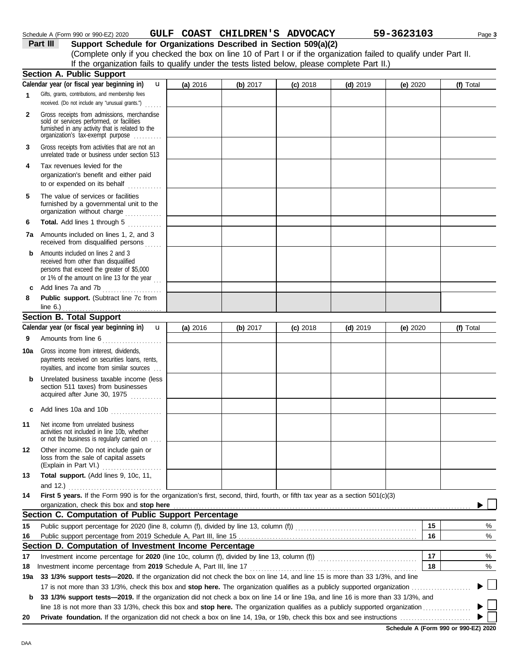|              | received. (Do not include any unusual grants.) $\frac{1}{2}$                                                                                                                      |          |          |            |            |            |          |                                      |
|--------------|-----------------------------------------------------------------------------------------------------------------------------------------------------------------------------------|----------|----------|------------|------------|------------|----------|--------------------------------------|
| $\mathbf{2}$ | Gross receipts from admissions, merchandise<br>sold or services performed, or facilities<br>furnished in any activity that is related to the<br>organization's tax-exempt purpose |          |          |            |            |            |          |                                      |
| 3            | Gross receipts from activities that are not an<br>unrelated trade or business under section 513                                                                                   |          |          |            |            |            |          |                                      |
| 4            | Tax revenues levied for the                                                                                                                                                       |          |          |            |            |            |          |                                      |
|              | organization's benefit and either paid<br>to or expended on its behalf<br><u>.</u><br>1980 - Johann Louis, amerikansk fotograf                                                    |          |          |            |            |            |          |                                      |
| 5            | The value of services or facilities<br>furnished by a governmental unit to the<br>organization without charge                                                                     |          |          |            |            |            |          |                                      |
| 6            | Total. Add lines 1 through 5                                                                                                                                                      |          |          |            |            |            |          |                                      |
|              | <b>7a</b> Amounts included on lines 1, 2, and 3<br>received from disqualified persons                                                                                             |          |          |            |            |            |          |                                      |
| b            | Amounts included on lines 2 and 3<br>received from other than disqualified<br>persons that exceed the greater of \$5,000<br>or 1% of the amount on line 13 for the year $\ldots$  |          |          |            |            |            |          |                                      |
| c            | Add lines 7a and 7b                                                                                                                                                               |          |          |            |            |            |          |                                      |
| 8            | Public support. (Subtract line 7c from                                                                                                                                            |          |          |            |            |            |          |                                      |
|              | <b>Section B. Total Support</b>                                                                                                                                                   |          |          |            |            |            |          |                                      |
|              | Calendar year (or fiscal year beginning in)<br>$\mathbf u$                                                                                                                        | (a) 2016 | (b) 2017 | $(c)$ 2018 | $(d)$ 2019 | (e) $2020$ |          | (f) Total                            |
| 9            | Amounts from line 6                                                                                                                                                               |          |          |            |            |            |          |                                      |
| 10a          | Gross income from interest, dividends,<br>payments received on securities loans, rents,<br>royalties, and income from similar sources                                             |          |          |            |            |            |          |                                      |
| b            | Unrelated business taxable income (less<br>section 511 taxes) from businesses<br>acquired after June 30, 1975                                                                     |          |          |            |            |            |          |                                      |
| c            | Add lines 10a and 10b $\ldots$                                                                                                                                                    |          |          |            |            |            |          |                                      |
| 11           | Net income from unrelated business<br>activities not included in line 10b, whether<br>or not the business is regularly carried on                                                 |          |          |            |            |            |          |                                      |
| 12           | Other income. Do not include gain or<br>loss from the sale of capital assets<br>(Explain in Part VI.)                                                                             |          |          |            |            |            |          |                                      |
| 13           | Total support. (Add lines 9, 10c, 11,                                                                                                                                             |          |          |            |            |            |          |                                      |
|              | and 12.)                                                                                                                                                                          |          |          |            |            |            |          |                                      |
| 14           | First 5 years. If the Form 990 is for the organization's first, second, third, fourth, or fifth tax year as a section 501(c)(3)                                                   |          |          |            |            |            |          |                                      |
|              | organization, check this box and stop here                                                                                                                                        |          |          |            |            |            |          |                                      |
|              | Section C. Computation of Public Support Percentage                                                                                                                               |          |          |            |            |            |          |                                      |
| 15           |                                                                                                                                                                                   |          |          |            |            |            | 15<br>16 | %<br>%                               |
| 16           | Section D. Computation of Investment Income Percentage                                                                                                                            |          |          |            |            |            |          |                                      |
| 17           | Investment income percentage for 2020 (line 10c, column (f), divided by line 13, column (f)) [[[[[[[[[[[[[[[[                                                                     |          |          |            |            |            | 17       | %                                    |
| 18           |                                                                                                                                                                                   |          |          |            |            |            | 18       | %                                    |
| 19a          | 33 1/3% support tests-2020. If the organization did not check the box on line 14, and line 15 is more than 33 1/3%, and line                                                      |          |          |            |            |            |          |                                      |
|              |                                                                                                                                                                                   |          |          |            |            |            |          |                                      |
| b            | 33 1/3% support tests—2019. If the organization did not check a box on line 14 or line 19a, and line 16 is more than 33 1/3%, and                                                 |          |          |            |            |            |          |                                      |
|              | line 18 is not more than 33 1/3%, check this box and stop here. The organization qualifies as a publicly supported organization                                                   |          |          |            |            |            |          |                                      |
| 20           |                                                                                                                                                                                   |          |          |            |            |            |          |                                      |
|              |                                                                                                                                                                                   |          |          |            |            |            |          | Schedule A (Form 990 or 990-EZ) 2020 |

## Schedule A (Form 990 or 990-EZ) 2020 **GULF COAST CHILDREN'S ADVOCACY** 59-3623103 Page 3

 $\overline{\mathbf{u}}$ 

**Part III Support Schedule for Organizations Described in Section 509(a)(2)** (Complete only if you checked the box on line 10 of Part I or if the organization failed to qualify under Part II. If the organization fails to qualify under the tests listed below, please complete Part II.)

**(a)** 2016 **(b)** 2017 **(c)** 2018 **(d)** 2019 **(e)** 2020 **(f)** Total

DAA

**1**

Gifts, grants, contributions, and membership fees received. (Do not include any "unusual grants.")

**Calendar year (or fiscal year beginning in)** 

**Section A. Public Support**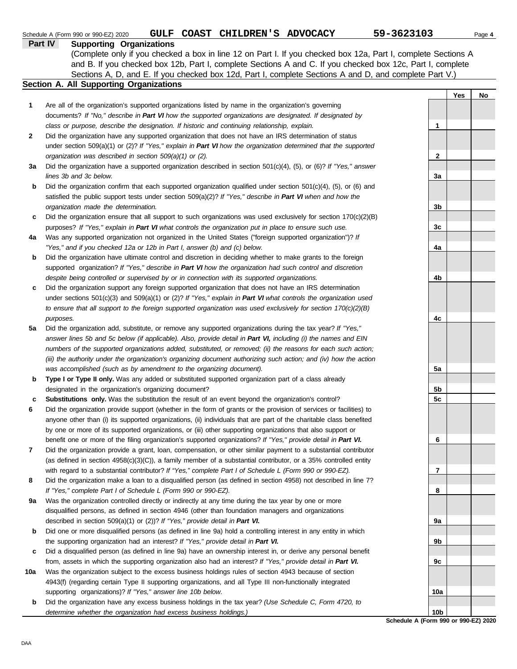|     | GULF COAST CHILDREN'S ADVOCACY<br>Schedule A (Form 990 or 990-EZ) 2020                                                                                                                                                                 | 59-3623103      |     | Page 4    |
|-----|----------------------------------------------------------------------------------------------------------------------------------------------------------------------------------------------------------------------------------------|-----------------|-----|-----------|
|     | <b>Part IV</b><br><b>Supporting Organizations</b>                                                                                                                                                                                      |                 |     |           |
|     | (Complete only if you checked a box in line 12 on Part I. If you checked box 12a, Part I, complete Sections A                                                                                                                          |                 |     |           |
|     | and B. If you checked box 12b, Part I, complete Sections A and C. If you checked box 12c, Part I, complete                                                                                                                             |                 |     |           |
|     | Sections A, D, and E. If you checked box 12d, Part I, complete Sections A and D, and complete Part V.)                                                                                                                                 |                 |     |           |
|     | Section A. All Supporting Organizations                                                                                                                                                                                                |                 |     |           |
|     |                                                                                                                                                                                                                                        |                 | Yes | <b>No</b> |
| 1   | Are all of the organization's supported organizations listed by name in the organization's governing                                                                                                                                   |                 |     |           |
|     | documents? If "No," describe in Part VI how the supported organizations are designated. If designated by                                                                                                                               |                 |     |           |
|     | class or purpose, describe the designation. If historic and continuing relationship, explain.                                                                                                                                          | 1               |     |           |
| 2   | Did the organization have any supported organization that does not have an IRS determination of status                                                                                                                                 |                 |     |           |
|     | under section 509(a)(1) or (2)? If "Yes," explain in Part VI how the organization determined that the supported                                                                                                                        |                 |     |           |
|     | organization was described in section 509(a)(1) or (2).                                                                                                                                                                                | $\mathbf{2}$    |     |           |
| За  | Did the organization have a supported organization described in section $501(c)(4)$ , (5), or (6)? If "Yes," answer                                                                                                                    |                 |     |           |
|     | lines 3b and 3c below.                                                                                                                                                                                                                 | 3a              |     |           |
| b   | Did the organization confirm that each supported organization qualified under section $501(c)(4)$ , $(5)$ , or $(6)$ and<br>satisfied the public support tests under section 509(a)(2)? If "Yes," describe in Part VI when and how the |                 |     |           |
|     | organization made the determination.                                                                                                                                                                                                   | 3 <sub>b</sub>  |     |           |
| C   | Did the organization ensure that all support to such organizations was used exclusively for section $170(c)(2)(B)$                                                                                                                     |                 |     |           |
|     | purposes? If "Yes," explain in Part VI what controls the organization put in place to ensure such use.                                                                                                                                 | 3c              |     |           |
| 4a  | Was any supported organization not organized in the United States ("foreign supported organization")? If                                                                                                                               |                 |     |           |
|     | "Yes," and if you checked 12a or 12b in Part I, answer (b) and (c) below.                                                                                                                                                              | 4a              |     |           |
| b   | Did the organization have ultimate control and discretion in deciding whether to make grants to the foreign                                                                                                                            |                 |     |           |
|     | supported organization? If "Yes," describe in Part VI how the organization had such control and discretion                                                                                                                             |                 |     |           |
|     | despite being controlled or supervised by or in connection with its supported organizations.                                                                                                                                           | 4b              |     |           |
| C   | Did the organization support any foreign supported organization that does not have an IRS determination                                                                                                                                |                 |     |           |
|     | under sections $501(c)(3)$ and $509(a)(1)$ or (2)? If "Yes," explain in Part VI what controls the organization used                                                                                                                    |                 |     |           |
|     | to ensure that all support to the foreign supported organization was used exclusively for section $170(c)(2)(B)$                                                                                                                       |                 |     |           |
|     | purposes.                                                                                                                                                                                                                              | 4c              |     |           |
| 5a  | Did the organization add, substitute, or remove any supported organizations during the tax year? If "Yes,"                                                                                                                             |                 |     |           |
|     | answer lines 5b and 5c below (if applicable). Also, provide detail in Part VI, including (i) the names and EIN                                                                                                                         |                 |     |           |
|     | numbers of the supported organizations added, substituted, or removed; (ii) the reasons for each such action;                                                                                                                          |                 |     |           |
|     | (iii) the authority under the organization's organizing document authorizing such action; and (iv) how the action                                                                                                                      |                 |     |           |
|     | was accomplished (such as by amendment to the organizing document).                                                                                                                                                                    | 5а              |     |           |
| b   | Type I or Type II only. Was any added or substituted supported organization part of a class already                                                                                                                                    |                 |     |           |
|     | designated in the organization's organizing document?                                                                                                                                                                                  | 5b              |     |           |
| с   | Substitutions only. Was the substitution the result of an event beyond the organization's control?                                                                                                                                     | 5c              |     |           |
|     | Did the organization provide support (whether in the form of grants or the provision of services or facilities) to                                                                                                                     |                 |     |           |
|     | anyone other than (i) its supported organizations, (ii) individuals that are part of the charitable class benefited                                                                                                                    |                 |     |           |
|     | by one or more of its supported organizations, or (iii) other supporting organizations that also support or                                                                                                                            |                 |     |           |
|     | benefit one or more of the filing organization's supported organizations? If "Yes," provide detail in Part VI.                                                                                                                         | 6               |     |           |
| 7   | Did the organization provide a grant, loan, compensation, or other similar payment to a substantial contributor                                                                                                                        |                 |     |           |
|     | (as defined in section $4958(c)(3)(C)$ ), a family member of a substantial contributor, or a 35% controlled entity<br>with regard to a substantial contributor? If "Yes," complete Part I of Schedule L (Form 990 or 990-EZ).          | 7               |     |           |
| 8   | Did the organization make a loan to a disqualified person (as defined in section 4958) not described in line 7?                                                                                                                        |                 |     |           |
|     | If "Yes," complete Part I of Schedule L (Form 990 or 990-EZ).                                                                                                                                                                          | 8               |     |           |
| 9а  | Was the organization controlled directly or indirectly at any time during the tax year by one or more                                                                                                                                  |                 |     |           |
|     | disqualified persons, as defined in section 4946 (other than foundation managers and organizations                                                                                                                                     |                 |     |           |
|     | described in section 509(a)(1) or (2))? If "Yes," provide detail in Part VI.                                                                                                                                                           | 9а              |     |           |
| b   | Did one or more disqualified persons (as defined in line 9a) hold a controlling interest in any entity in which                                                                                                                        |                 |     |           |
|     | the supporting organization had an interest? If "Yes," provide detail in Part VI.                                                                                                                                                      | 9b              |     |           |
| c   | Did a disqualified person (as defined in line 9a) have an ownership interest in, or derive any personal benefit                                                                                                                        |                 |     |           |
|     | from, assets in which the supporting organization also had an interest? If "Yes," provide detail in Part VI.                                                                                                                           | 9с              |     |           |
| 10a | Was the organization subject to the excess business holdings rules of section 4943 because of section                                                                                                                                  |                 |     |           |
|     | 4943(f) (regarding certain Type II supporting organizations, and all Type III non-functionally integrated                                                                                                                              |                 |     |           |
|     | supporting organizations)? If "Yes," answer line 10b below.                                                                                                                                                                            | 10a             |     |           |
| b   | Did the organization have any excess business holdings in the tax year? (Use Schedule C, Form 4720, to                                                                                                                                 |                 |     |           |
|     | determine whether the organization had excess business holdings.)                                                                                                                                                                      | 10 <sub>b</sub> |     |           |

**Schedule A (Form 990 or 990-EZ) 2020**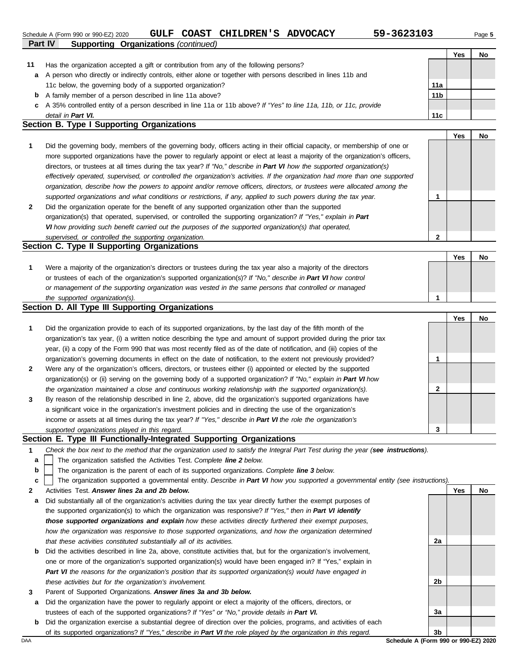### Schedule A (Form 990 or 990-EZ) 2020 **GULF COAST CHILDREN'S ADVOCACY** 59-3623103 Page 5

| 59-3623103 |  |  |  |
|------------|--|--|--|
|------------|--|--|--|

| <b>Part IV</b> | <b>Supporting Organizations (continued)</b>                                                                        |                 |     |    |
|----------------|--------------------------------------------------------------------------------------------------------------------|-----------------|-----|----|
|                |                                                                                                                    |                 | Yes | No |
| 11             | Has the organization accepted a gift or contribution from any of the following persons?                            |                 |     |    |
| а              | A person who directly or indirectly controls, either alone or together with persons described in lines 11b and     |                 |     |    |
|                | 11c below, the governing body of a supported organization?                                                         | 11a             |     |    |
| b              | A family member of a person described in line 11a above?                                                           | 11 <sub>b</sub> |     |    |
| C.             | A 35% controlled entity of a person described in line 11a or 11b above? If "Yes" to line 11a, 11b, or 11c, provide |                 |     |    |
|                | detail in Part VI.                                                                                                 | 11c             |     |    |

### **Section B. Type I Supporting Organizations**

|              |                                                                                                                                                                                                                                                                                                                                                                                                                                                                                                                                                                                                                                                      |   | Yes | No. |
|--------------|------------------------------------------------------------------------------------------------------------------------------------------------------------------------------------------------------------------------------------------------------------------------------------------------------------------------------------------------------------------------------------------------------------------------------------------------------------------------------------------------------------------------------------------------------------------------------------------------------------------------------------------------------|---|-----|-----|
| $\mathbf 1$  | Did the governing body, members of the governing body, officers acting in their official capacity, or membership of one or<br>more supported organizations have the power to regularly appoint or elect at least a majority of the organization's officers,<br>directors, or trustees at all times during the tax year? If "No," describe in Part VI how the supported organization(s)<br>effectively operated, supervised, or controlled the organization's activities. If the organization had more than one supported<br>organization, describe how the powers to appoint and/or remove officers, directors, or trustees were allocated among the |   |     |     |
|              | supported organizations and what conditions or restrictions, if any, applied to such powers during the tax year.                                                                                                                                                                                                                                                                                                                                                                                                                                                                                                                                     |   |     |     |
| $\mathbf{2}$ | Did the organization operate for the benefit of any supported organization other than the supported<br>organization(s) that operated, supervised, or controlled the supporting organization? If "Yes," explain in Part<br>VI how providing such benefit carried out the purposes of the supported organization(s) that operated,                                                                                                                                                                                                                                                                                                                     |   |     |     |
|              | supervised or controlled the supporting organization                                                                                                                                                                                                                                                                                                                                                                                                                                                                                                                                                                                                 | っ |     |     |

### *supervised, or controlled the supporting organization.* **Section C. Type II Supporting Organizations**

|                                                                                                                  |  | N. |
|------------------------------------------------------------------------------------------------------------------|--|----|
| Were a majority of the organization's directors or trustees during the tax year also a majority of the directors |  |    |
| or trustees of each of the organization's supported organization(s)? If "No," describe in Part VI how control    |  |    |
| or management of the supporting organization was vested in the same persons that controlled or managed           |  |    |
| the supported organization(s).                                                                                   |  |    |

### **Section D. All Type III Supporting Organizations**

|                |                                                                                                                        |   | Yes | No |
|----------------|------------------------------------------------------------------------------------------------------------------------|---|-----|----|
| $\mathbf{1}$   | Did the organization provide to each of its supported organizations, by the last day of the fifth month of the         |   |     |    |
|                | organization's tax year, (i) a written notice describing the type and amount of support provided during the prior tax  |   |     |    |
|                | year, (ii) a copy of the Form 990 that was most recently filed as of the date of notification, and (iii) copies of the |   |     |    |
|                | organization's governing documents in effect on the date of notification, to the extent not previously provided?       |   |     |    |
| $\overline{2}$ | Were any of the organization's officers, directors, or trustees either (i) appointed or elected by the supported       |   |     |    |
|                | organization(s) or (ii) serving on the governing body of a supported organization? If "No," explain in Part VI how     |   |     |    |
|                | the organization maintained a close and continuous working relationship with the supported organization(s).            | 2 |     |    |
| $\mathbf{3}$   | By reason of the relationship described in line 2, above, did the organization's supported organizations have          |   |     |    |
|                | a significant voice in the organization's investment policies and in directing the use of the organization's           |   |     |    |
|                | income or assets at all times during the tax year? If "Yes," describe in Part VI the role the organization's           |   |     |    |
|                | supported organizations played in this regard.                                                                         | 3 |     |    |

### **Section E. Type III Functionally-Integrated Supporting Organizations**

- **1** *Check the box next to the method that the organization used to satisfy the Integral Part Test during the year (see instructions).*
	- The organization satisfied the Activities Test. *Complete line 2 below.* **a**
	- The organization is the parent of each of its supported organizations. *Complete line 3 below.* **b**
	- The organization supported a governmental entity. *Describe in Part VI how you supported a governmental entity (see instructions).* **c**
- **2** Activities Test. *Answer lines 2a and 2b below.*
- **a** Did substantially all of the organization's activities during the tax year directly further the exempt purposes of the supported organization(s) to which the organization was responsive? *If "Yes," then in Part VI identify those supported organizations and explain how these activities directly furthered their exempt purposes, how the organization was responsive to those supported organizations, and how the organization determined that these activities constituted substantially all of its activities.*
- **b** Did the activities described in line 2a, above, constitute activities that, but for the organization's involvement, one or more of the organization's supported organization(s) would have been engaged in? If "Yes," explain in *Part VI the reasons for the organization's position that its supported organization(s) would have engaged in these activities but for the organization's involvement.*
- **3** Parent of Supported Organizations. *Answer lines 3a and 3b below.*
- **a** Did the organization have the power to regularly appoint or elect a majority of the officers, directors, or trustees of each of the supported organizations? *If "Yes" or "No," provide details in Part VI.*
- **b** Did the organization exercise a substantial degree of direction over the policies, programs, and activities of each of its supported organizations? *If "Yes," describe in Part VI the role played by the organization in this regard.*

DAA **Schedule A (Form 990 or 990-EZ) 2020 3b**

**2a**

**2b**

**3a**

**Yes No**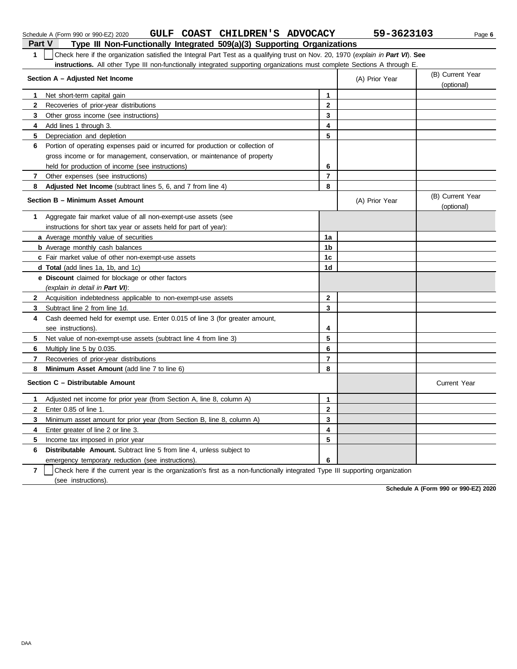| Part V<br>Type III Non-Functionally Integrated 509(a)(3) Supporting Organizations                                                                |                |                |                                |  |  |  |  |
|--------------------------------------------------------------------------------------------------------------------------------------------------|----------------|----------------|--------------------------------|--|--|--|--|
| $\mathbf{1}$<br>Check here if the organization satisfied the Integral Part Test as a qualifying trust on Nov. 20, 1970 (explain in Part VI). See |                |                |                                |  |  |  |  |
| instructions. All other Type III non-functionally integrated supporting organizations must complete Sections A through E.                        |                |                |                                |  |  |  |  |
| Section A - Adjusted Net Income                                                                                                                  |                | (A) Prior Year | (B) Current Year               |  |  |  |  |
|                                                                                                                                                  |                |                | (optional)                     |  |  |  |  |
| Net short-term capital gain<br>1.                                                                                                                | 1              |                |                                |  |  |  |  |
| $\mathbf{2}$<br>Recoveries of prior-year distributions                                                                                           | $\mathbf{2}$   |                |                                |  |  |  |  |
| Other gross income (see instructions)<br>3.                                                                                                      | 3              |                |                                |  |  |  |  |
| 4<br>Add lines 1 through 3.                                                                                                                      | 4              |                |                                |  |  |  |  |
| 5<br>Depreciation and depletion                                                                                                                  | 5              |                |                                |  |  |  |  |
| 6<br>Portion of operating expenses paid or incurred for production or collection of                                                              |                |                |                                |  |  |  |  |
| gross income or for management, conservation, or maintenance of property                                                                         |                |                |                                |  |  |  |  |
| held for production of income (see instructions)                                                                                                 | 6              |                |                                |  |  |  |  |
| $\overline{7}$<br>Other expenses (see instructions)                                                                                              | $\overline{7}$ |                |                                |  |  |  |  |
| Adjusted Net Income (subtract lines 5, 6, and 7 from line 4)<br>8                                                                                | 8              |                |                                |  |  |  |  |
| Section B - Minimum Asset Amount                                                                                                                 |                | (A) Prior Year | (B) Current Year<br>(optional) |  |  |  |  |
| Aggregate fair market value of all non-exempt-use assets (see<br>1                                                                               |                |                |                                |  |  |  |  |
| instructions for short tax year or assets held for part of year):                                                                                |                |                |                                |  |  |  |  |
| a Average monthly value of securities                                                                                                            | 1a             |                |                                |  |  |  |  |
| <b>b</b> Average monthly cash balances                                                                                                           | 1b             |                |                                |  |  |  |  |
| c Fair market value of other non-exempt-use assets                                                                                               | 1c             |                |                                |  |  |  |  |
| <b>d Total</b> (add lines 1a, 1b, and 1c)                                                                                                        | 1 <sub>d</sub> |                |                                |  |  |  |  |
| e Discount claimed for blockage or other factors                                                                                                 |                |                |                                |  |  |  |  |
| (explain in detail in Part VI):                                                                                                                  |                |                |                                |  |  |  |  |
| $\mathbf{2}$<br>Acquisition indebtedness applicable to non-exempt-use assets                                                                     | $\mathbf{2}$   |                |                                |  |  |  |  |
| Subtract line 2 from line 1d.<br>3                                                                                                               | 3              |                |                                |  |  |  |  |
| Cash deemed held for exempt use. Enter 0.015 of line 3 (for greater amount,<br>4                                                                 |                |                |                                |  |  |  |  |
| see instructions).                                                                                                                               | 4              |                |                                |  |  |  |  |
| 5<br>Net value of non-exempt-use assets (subtract line 4 from line 3)                                                                            | 5              |                |                                |  |  |  |  |
| Multiply line 5 by 0.035.<br>6                                                                                                                   | 6              |                |                                |  |  |  |  |
| 7<br>Recoveries of prior-year distributions                                                                                                      | $\overline{7}$ |                |                                |  |  |  |  |
| Minimum Asset Amount (add line 7 to line 6)<br>8                                                                                                 | 8              |                |                                |  |  |  |  |
| Section C - Distributable Amount                                                                                                                 |                |                | <b>Current Year</b>            |  |  |  |  |
| 1<br>Adjusted net income for prior year (from Section A, line 8, column A)                                                                       | $\mathbf{1}$   |                |                                |  |  |  |  |
| $\mathbf{2}$<br>Enter 0.85 of line 1.                                                                                                            | $\mathbf{2}$   |                |                                |  |  |  |  |
| 3<br>Minimum asset amount for prior year (from Section B, line 8, column A)                                                                      | 3              |                |                                |  |  |  |  |
| Enter greater of line 2 or line 3.<br>4                                                                                                          | 4              |                |                                |  |  |  |  |
| 5.<br>Income tax imposed in prior year                                                                                                           | 5              |                |                                |  |  |  |  |
| 6<br>Distributable Amount. Subtract line 5 from line 4, unless subject to                                                                        |                |                |                                |  |  |  |  |
| emergency temporary reduction (see instructions).                                                                                                | 6              |                |                                |  |  |  |  |
| 7<br>Check here if the current year is the organization's first as a non-functionally integrated Type III supporting organization                |                |                |                                |  |  |  |  |

Schedule A (Form 990 or 990-EZ) 2020 **GULF COAST CHILDREN'S ADVOCACY** 59-3623103 Page 6

(see instructions).

**Schedule A (Form 990 or 990-EZ) 2020**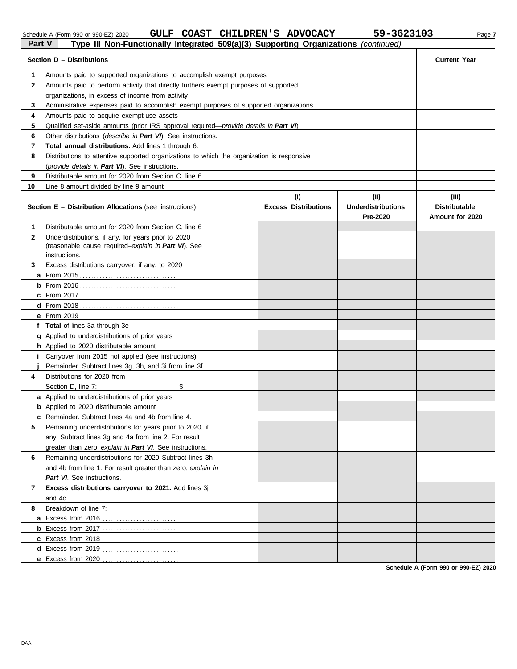| Schedule A (Form 990 or 990-EZ) 2020 |  | GULF COAST CHILDREN'S ADVOCACY | 59-3623103 | Page <sup>-</sup> |
|--------------------------------------|--|--------------------------------|------------|-------------------|
|                                      |  |                                |            |                   |

# **Part V Type III Non-Functionally Integrated 509(a)(3) Supporting Organizations** *(continued)*

| Section D - Distributions | <b>Current Year</b>                                                                                                         |                                    |                                               |                                                  |
|---------------------------|-----------------------------------------------------------------------------------------------------------------------------|------------------------------------|-----------------------------------------------|--------------------------------------------------|
| 1                         | Amounts paid to supported organizations to accomplish exempt purposes                                                       |                                    |                                               |                                                  |
| $\mathbf{2}$              | Amounts paid to perform activity that directly furthers exempt purposes of supported                                        |                                    |                                               |                                                  |
|                           | organizations, in excess of income from activity                                                                            |                                    |                                               |                                                  |
| 3                         | Administrative expenses paid to accomplish exempt purposes of supported organizations                                       |                                    |                                               |                                                  |
| 4                         | Amounts paid to acquire exempt-use assets                                                                                   |                                    |                                               |                                                  |
| 5                         | Qualified set-aside amounts (prior IRS approval required-provide details in Part VI)                                        |                                    |                                               |                                                  |
| 6                         | Other distributions (describe in Part VI). See instructions.                                                                |                                    |                                               |                                                  |
| 7                         | <b>Total annual distributions.</b> Add lines 1 through 6.                                                                   |                                    |                                               |                                                  |
| 8                         | Distributions to attentive supported organizations to which the organization is responsive                                  |                                    |                                               |                                                  |
|                           | (provide details in Part VI). See instructions.                                                                             |                                    |                                               |                                                  |
| 9                         | Distributable amount for 2020 from Section C, line 6                                                                        |                                    |                                               |                                                  |
| 10                        | Line 8 amount divided by line 9 amount                                                                                      |                                    |                                               |                                                  |
|                           | <b>Section E - Distribution Allocations (see instructions)</b>                                                              | (i)<br><b>Excess Distributions</b> | (ii)<br><b>Underdistributions</b><br>Pre-2020 | (iii)<br><b>Distributable</b><br>Amount for 2020 |
| 1                         | Distributable amount for 2020 from Section C, line 6                                                                        |                                    |                                               |                                                  |
| $\mathbf{2}$              | Underdistributions, if any, for years prior to 2020<br>(reasonable cause required-explain in Part VI). See<br>instructions. |                                    |                                               |                                                  |
| 3                         | Excess distributions carryover, if any, to 2020                                                                             |                                    |                                               |                                                  |
|                           |                                                                                                                             |                                    |                                               |                                                  |
|                           |                                                                                                                             |                                    |                                               |                                                  |
|                           |                                                                                                                             |                                    |                                               |                                                  |
|                           |                                                                                                                             |                                    |                                               |                                                  |
|                           |                                                                                                                             |                                    |                                               |                                                  |
|                           | f Total of lines 3a through 3e                                                                                              |                                    |                                               |                                                  |
|                           | g Applied to underdistributions of prior years                                                                              |                                    |                                               |                                                  |
|                           | h Applied to 2020 distributable amount                                                                                      |                                    |                                               |                                                  |
|                           | <i>i</i> Carryover from 2015 not applied (see instructions)                                                                 |                                    |                                               |                                                  |
|                           | Remainder. Subtract lines 3g, 3h, and 3i from line 3f.                                                                      |                                    |                                               |                                                  |
| 4                         | Distributions for 2020 from                                                                                                 |                                    |                                               |                                                  |
|                           | \$<br>Section D, line 7:                                                                                                    |                                    |                                               |                                                  |
|                           | a Applied to underdistributions of prior years<br><b>b</b> Applied to 2020 distributable amount                             |                                    |                                               |                                                  |
|                           | <b>c</b> Remainder. Subtract lines 4a and 4b from line 4.                                                                   |                                    |                                               |                                                  |
| 5                         | Remaining underdistributions for years prior to 2020, if                                                                    |                                    |                                               |                                                  |
|                           | any. Subtract lines 3g and 4a from line 2. For result                                                                       |                                    |                                               |                                                  |
|                           | greater than zero, explain in Part VI. See instructions.                                                                    |                                    |                                               |                                                  |
| 6                         | Remaining underdistributions for 2020 Subtract lines 3h                                                                     |                                    |                                               |                                                  |
|                           | and 4b from line 1. For result greater than zero, explain in                                                                |                                    |                                               |                                                  |
|                           | Part VI. See instructions.                                                                                                  |                                    |                                               |                                                  |
| 7                         | Excess distributions carryover to 2021. Add lines 3j                                                                        |                                    |                                               |                                                  |
|                           | and 4c.                                                                                                                     |                                    |                                               |                                                  |
| 8                         | Breakdown of line 7:                                                                                                        |                                    |                                               |                                                  |
|                           | a Excess from 2016                                                                                                          |                                    |                                               |                                                  |
|                           | <b>b</b> Excess from 2017                                                                                                   |                                    |                                               |                                                  |
|                           |                                                                                                                             |                                    |                                               |                                                  |
|                           | d Excess from 2019                                                                                                          |                                    |                                               |                                                  |
|                           | e Excess from 2020                                                                                                          |                                    |                                               |                                                  |
|                           |                                                                                                                             |                                    |                                               | Schedule A (Form 990 or 990-EZ) 2020             |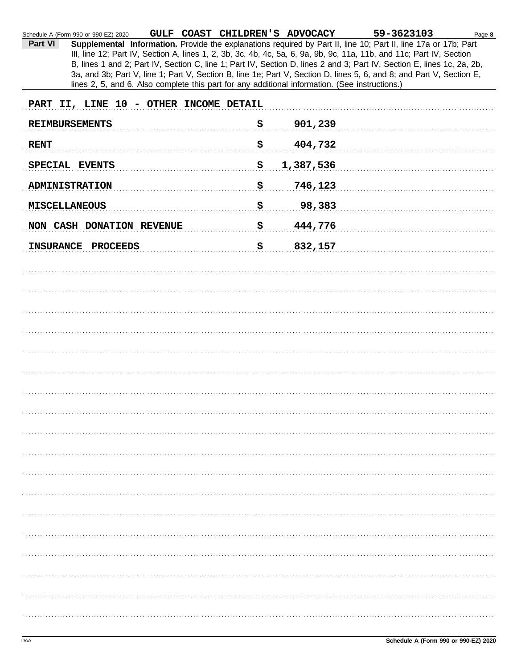| Schedule A (Form 990 or 990-EZ) 2020                                                                                                                                                                                                                                                                                                                                                                                                                                                                                                                                                                   | GULF COAST CHILDREN'S ADVOCACY |           | 59-3623103 | Page 8 |
|--------------------------------------------------------------------------------------------------------------------------------------------------------------------------------------------------------------------------------------------------------------------------------------------------------------------------------------------------------------------------------------------------------------------------------------------------------------------------------------------------------------------------------------------------------------------------------------------------------|--------------------------------|-----------|------------|--------|
| Part VI<br>Supplemental Information. Provide the explanations required by Part II, line 10; Part II, line 17a or 17b; Part<br>III, line 12; Part IV, Section A, lines 1, 2, 3b, 3c, 4b, 4c, 5a, 6, 9a, 9b, 9c, 11a, 11b, and 11c; Part IV, Section<br>B, lines 1 and 2; Part IV, Section C, line 1; Part IV, Section D, lines 2 and 3; Part IV, Section E, lines 1c, 2a, 2b,<br>3a, and 3b; Part V, line 1; Part V, Section B, line 1e; Part V, Section D, lines 5, 6, and 8; and Part V, Section E,<br>lines 2, 5, and 6. Also complete this part for any additional information. (See instructions.) |                                |           |            |        |
| PART II, LINE 10 - OTHER INCOME DETAIL                                                                                                                                                                                                                                                                                                                                                                                                                                                                                                                                                                 |                                |           |            |        |
| <b>REIMBURSEMENTS</b>                                                                                                                                                                                                                                                                                                                                                                                                                                                                                                                                                                                  | \$                             | 901,239   |            |        |
|                                                                                                                                                                                                                                                                                                                                                                                                                                                                                                                                                                                                        | \$                             | 404,732   |            |        |
| <b>RENT</b>                                                                                                                                                                                                                                                                                                                                                                                                                                                                                                                                                                                            |                                |           |            |        |
| SPECIAL EVENTS                                                                                                                                                                                                                                                                                                                                                                                                                                                                                                                                                                                         | \$                             | 1,387,536 |            |        |
| <b>ADMINISTRATION</b>                                                                                                                                                                                                                                                                                                                                                                                                                                                                                                                                                                                  | \$                             | 746,123   |            |        |
| <b>MISCELLANEOUS</b>                                                                                                                                                                                                                                                                                                                                                                                                                                                                                                                                                                                   | \$                             | 98,383    |            |        |
| NON CASH DONATION REVENUE                                                                                                                                                                                                                                                                                                                                                                                                                                                                                                                                                                              | \$                             | 444,776   |            |        |
| INSURANCE PROCEEDS                                                                                                                                                                                                                                                                                                                                                                                                                                                                                                                                                                                     | \$                             | 832,157   |            |        |
|                                                                                                                                                                                                                                                                                                                                                                                                                                                                                                                                                                                                        |                                |           |            |        |
|                                                                                                                                                                                                                                                                                                                                                                                                                                                                                                                                                                                                        |                                |           |            |        |
|                                                                                                                                                                                                                                                                                                                                                                                                                                                                                                                                                                                                        |                                |           |            |        |
|                                                                                                                                                                                                                                                                                                                                                                                                                                                                                                                                                                                                        |                                |           |            |        |
|                                                                                                                                                                                                                                                                                                                                                                                                                                                                                                                                                                                                        |                                |           |            |        |
|                                                                                                                                                                                                                                                                                                                                                                                                                                                                                                                                                                                                        |                                |           |            |        |
|                                                                                                                                                                                                                                                                                                                                                                                                                                                                                                                                                                                                        |                                |           |            |        |
|                                                                                                                                                                                                                                                                                                                                                                                                                                                                                                                                                                                                        |                                |           |            |        |
|                                                                                                                                                                                                                                                                                                                                                                                                                                                                                                                                                                                                        |                                |           |            |        |
|                                                                                                                                                                                                                                                                                                                                                                                                                                                                                                                                                                                                        |                                |           |            |        |
|                                                                                                                                                                                                                                                                                                                                                                                                                                                                                                                                                                                                        |                                |           |            |        |
|                                                                                                                                                                                                                                                                                                                                                                                                                                                                                                                                                                                                        |                                |           |            |        |
|                                                                                                                                                                                                                                                                                                                                                                                                                                                                                                                                                                                                        |                                |           |            |        |
|                                                                                                                                                                                                                                                                                                                                                                                                                                                                                                                                                                                                        |                                |           |            |        |
|                                                                                                                                                                                                                                                                                                                                                                                                                                                                                                                                                                                                        |                                |           |            |        |
|                                                                                                                                                                                                                                                                                                                                                                                                                                                                                                                                                                                                        |                                |           |            |        |
|                                                                                                                                                                                                                                                                                                                                                                                                                                                                                                                                                                                                        |                                |           |            |        |
|                                                                                                                                                                                                                                                                                                                                                                                                                                                                                                                                                                                                        |                                |           |            |        |
|                                                                                                                                                                                                                                                                                                                                                                                                                                                                                                                                                                                                        |                                |           |            |        |
|                                                                                                                                                                                                                                                                                                                                                                                                                                                                                                                                                                                                        |                                |           |            |        |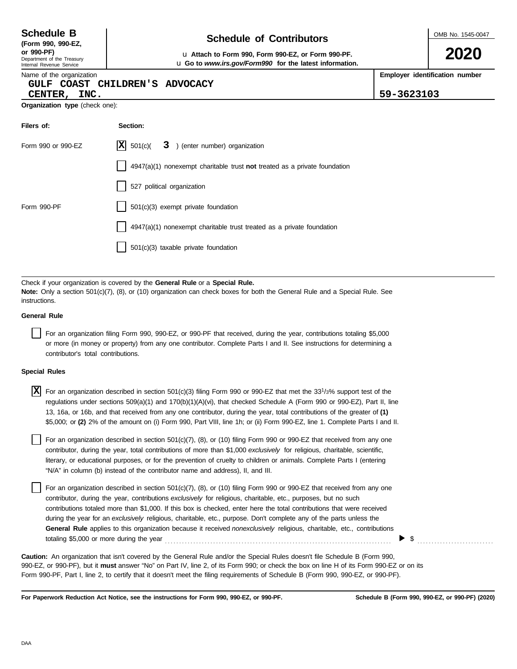Department of the Treasury **(Form 990, 990-EZ,**

### Internal Revenue Service

# **Schedule of Contributors Schedule B**

**or 990-PF)** u **Attach to Form 990, Form 990-EZ, or Form 990-PF.** u **Go to** *www.irs.gov/Form990* **for the latest information.** OMB No. 1545-0047

**2020**

**Employer identification number**

Name of the organization

### **GULF COAST CHILDREN'S ADVOCACY**

**CENTER, INC. 59-3623103**

**Organization type** (check one):

| Filers of:         | Section:                                                                    |
|--------------------|-----------------------------------------------------------------------------|
| Form 990 or 990-EZ | $ \mathbf{X} $ 501(c)(<br>3 ) (enter number) organization                   |
|                    | $4947(a)(1)$ nonexempt charitable trust not treated as a private foundation |
|                    | 527 political organization                                                  |
| Form 990-PF        | 501(c)(3) exempt private foundation                                         |
|                    | 4947(a)(1) nonexempt charitable trust treated as a private foundation       |
|                    | 501(c)(3) taxable private foundation                                        |

Check if your organization is covered by the **General Rule** or a **Special Rule. Note:** Only a section 501(c)(7), (8), or (10) organization can check boxes for both the General Rule and a Special Rule. See instructions.

### **General Rule**

For an organization filing Form 990, 990-EZ, or 990-PF that received, during the year, contributions totaling \$5,000 or more (in money or property) from any one contributor. Complete Parts I and II. See instructions for determining a contributor's total contributions.

### **Special Rules**

For an organization described in section 501(c)(3) filing Form 990 or 990-EZ that met the 33<sup>1</sup> /3% support test of the **X**regulations under sections 509(a)(1) and 170(b)(1)(A)(vi), that checked Schedule A (Form 990 or 990-EZ), Part II, line 13, 16a, or 16b, and that received from any one contributor, during the year, total contributions of the greater of **(1)** \$5,000; or **(2)** 2% of the amount on (i) Form 990, Part VIII, line 1h; or (ii) Form 990-EZ, line 1. Complete Parts I and II.

literary, or educational purposes, or for the prevention of cruelty to children or animals. Complete Parts I (entering For an organization described in section  $501(c)(7)$ , (8), or (10) filing Form 990 or 990-EZ that received from any one contributor, during the year, total contributions of more than \$1,000 *exclusively* for religious, charitable, scientific, "N/A" in column (b) instead of the contributor name and address), II, and III.

For an organization described in section 501(c)(7), (8), or (10) filing Form 990 or 990-EZ that received from any one contributor, during the year, contributions *exclusively* for religious, charitable, etc., purposes, but no such contributions totaled more than \$1,000. If this box is checked, enter here the total contributions that were received during the year for an *exclusively* religious, charitable, etc., purpose. Don't complete any of the parts unless the **General Rule** applies to this organization because it received *nonexclusively* religious, charitable, etc., contributions totaling \$5,000 or more during the year . . . . . . . . . . . . . . . . . . . . . . . . . . . . . . . . . . . . . . . . . . . . . . . . . . . . . . . . . . . . . . . . . . . . . . . . . . . . . . . .

990-EZ, or 990-PF), but it **must** answer "No" on Part IV, line 2, of its Form 990; or check the box on line H of its Form 990-EZ or on its Form 990-PF, Part I, line 2, to certify that it doesn't meet the filing requirements of Schedule B (Form 990, 990-EZ, or 990-PF). **Caution:** An organization that isn't covered by the General Rule and/or the Special Rules doesn't file Schedule B (Form 990,

**For Paperwork Reduction Act Notice, see the instructions for Form 990, 990-EZ, or 990-PF.**

 $\triangleright$  \$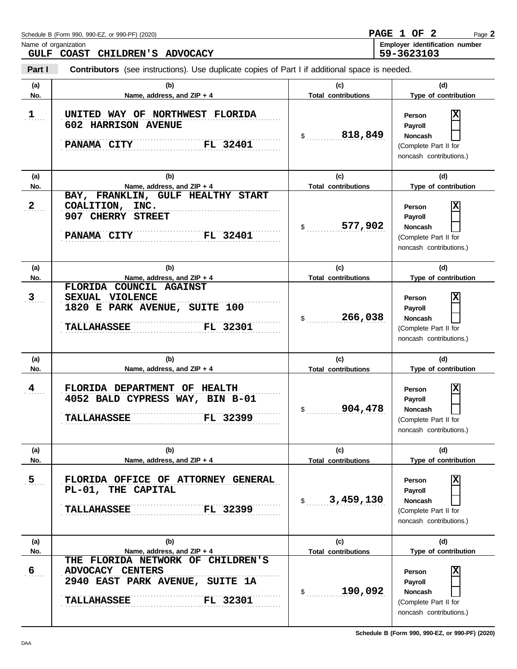| <b>GULF</b>      | COAST CHILDREN'S ADVOCACY                                                                                                  |                                   | 59-3623103                                                                                                         |
|------------------|----------------------------------------------------------------------------------------------------------------------------|-----------------------------------|--------------------------------------------------------------------------------------------------------------------|
| Part I           | <b>Contributors</b> (see instructions). Use duplicate copies of Part I if additional space is needed.                      |                                   |                                                                                                                    |
| (a)<br>No.       | (b)<br>Name, address, and ZIP + 4                                                                                          | (c)<br><b>Total contributions</b> | (d)<br>Type of contribution                                                                                        |
| 1                | UNITED WAY OF NORTHWEST FLORIDA<br>602 HARRISON AVENUE<br>PANAMA CITY<br>FL 32401                                          | 818,849<br>$\mathsf{\$}$          | Ιx<br>Person<br>Payroll<br><b>Noncash</b><br>(Complete Part II for<br>noncash contributions.)                      |
| (a)              | (b)                                                                                                                        | (c)                               | (d)                                                                                                                |
| No.              | Name, address, and ZIP + 4                                                                                                 | <b>Total contributions</b>        | Type of contribution                                                                                               |
| 2                | BAY, FRANKLIN, GULF HEALTHY START<br>COALITION, INC.<br>907 CHERRY STREET<br>PANAMA CITY<br>FL 32401                       | 577,902<br>$\mathsf{\$}$          | $\overline{\mathbf{x}}$<br>Person<br>Payroll<br><b>Noncash</b><br>(Complete Part II for<br>noncash contributions.) |
| (a)              | (b)                                                                                                                        | (c)                               | (d)                                                                                                                |
| No.              | Name, address, and ZIP + 4                                                                                                 | <b>Total contributions</b>        | Type of contribution                                                                                               |
| 3                | FLORIDA COUNCIL AGAINST<br>SEXUAL VIOLENCE<br>1820 E PARK AVENUE, SUITE 100<br>TALLAHASSEE<br>FL 32301                     | 266,038<br>$\mathsf{\$}$          | $\overline{\mathbf{x}}$<br>Person<br>Payroll<br><b>Noncash</b><br>(Complete Part II for<br>noncash contributions.) |
| (a)              | (b)                                                                                                                        | (c)                               | (d)                                                                                                                |
| No.              | Name, address, and ZIP + 4                                                                                                 | <b>Total contributions</b>        | Type of contribution                                                                                               |
| $4 \ldots$       | FLORIDA DEPARTMENT OF HEALTH<br>4052 BALD CYPRESS WAY, BIN B-01<br><b>TALLAHASSEE</b><br>FL 32399                          | 904,478<br>$\frac{1}{2}$          | $\overline{\mathbf{x}}$<br>Person<br>Payroll<br><b>Noncash</b><br>(Complete Part II for<br>noncash contributions.) |
| (a)              | (b)                                                                                                                        | (c)                               | (d)                                                                                                                |
| No.              | Name, address, and ZIP + 4                                                                                                 | <b>Total contributions</b>        | Type of contribution                                                                                               |
| $\overline{5}$   | FLORIDA OFFICE OF ATTORNEY GENERAL<br>PL-01, THE CAPITAL<br>FL 32399<br><b>TALLAHASSEE</b>                                 | 3,459,130<br>$\mathbb{S}$         | x<br>Person<br>Payroll<br><b>Noncash</b><br>(Complete Part II for<br>noncash contributions.)                       |
| (a)<br>No.       | (b)<br>Name, address, and ZIP + 4                                                                                          | (c)<br><b>Total contributions</b> | (d)<br>Type of contribution                                                                                        |
| $6 \overline{6}$ | THE FLORIDA NETWORK OF CHILDREN'S<br>ADVOCACY CENTERS<br>2940 EAST PARK AVENUE, SUITE 1A<br>FL 32301<br><b>TALLAHASSEE</b> | 190,092<br>$\mathsf{\$}$          | X<br>Person<br>Payroll<br><b>Noncash</b><br>(Complete Part II for<br>noncash contributions.)                       |

Name of organization **Employer identification number Employer identification number** 

Page **2**

**PAGE 1 OF 2**

Schedule B (Form 990, 990-EZ, or 990-PF) (2020)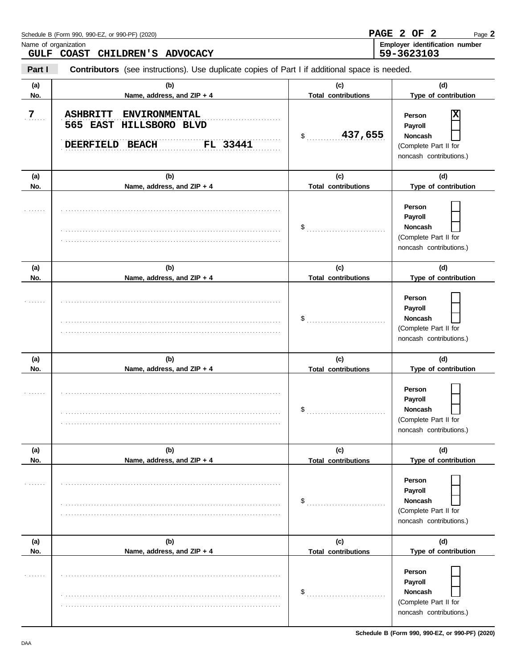|                      | Schedule B (Form 990, 990-EZ, or 990-PF) (2020)                                                      |                                   | $\overline{\mathbf{2}}$<br>PAGE 2 OF<br>Page 2                                        |
|----------------------|------------------------------------------------------------------------------------------------------|-----------------------------------|---------------------------------------------------------------------------------------|
| Name of organization | <b>CHILDREN'S</b><br><b>GULF COAST</b><br><b>ADVOCACY</b>                                            |                                   | Employer identification number<br>59-3623103                                          |
| Part I               | Contributors (see instructions). Use duplicate copies of Part I if additional space is needed.       |                                   |                                                                                       |
| (a)<br>No.           | (b)<br>Name, address, and ZIP + 4                                                                    | (c)<br><b>Total contributions</b> | (d)<br>Type of contribution                                                           |
| $\overline{7}$       | <b>ASHBRITT</b><br><b>ENVIRONMENTAL</b><br>565 EAST<br>HILLSBORO BLVD<br>FL 33441<br>DEERFIELD BEACH | 437,655<br>$$^{\circ}$            | X<br>Person<br>Payroll<br>Noncash<br>(Complete Part II for<br>noncash contributions.) |
| (a)                  | (b)                                                                                                  | (c)                               | (d)                                                                                   |
| No.                  | Name, address, and ZIP + 4                                                                           | <b>Total contributions</b>        | Type of contribution                                                                  |
|                      |                                                                                                      | $\mathsf{S}$                      | Person<br>Payroll<br>Noncash<br>(Complete Part II for<br>noncash contributions.)      |
| (a)                  | (b)                                                                                                  | (c)                               | (d)                                                                                   |
| No.                  | Name, address, and ZIP + 4                                                                           | <b>Total contributions</b>        | Type of contribution                                                                  |
|                      |                                                                                                      | \$                                | Person<br>Payroll<br>Noncash<br>(Complete Part II for<br>noncash contributions.)      |
| (a)                  | (b)                                                                                                  | (c)                               | (d)                                                                                   |
| No.                  | Name, address, and ZIP + 4                                                                           | <b>Total contributions</b>        | Type of contribution                                                                  |
|                      |                                                                                                      | $\mathsf{\$}$                     | Person<br>Payroll<br>Noncash<br>(Complete Part II for<br>noncash contributions.)      |
| (a)                  | (b)                                                                                                  | (c)                               | (d)                                                                                   |
| No.                  | Name, address, and ZIP + 4                                                                           | <b>Total contributions</b>        | Type of contribution                                                                  |
|                      |                                                                                                      | \$                                | Person<br>Payroll<br>Noncash<br>(Complete Part II for<br>noncash contributions.)      |
| (a)                  | (b)                                                                                                  | (c)                               | (d)                                                                                   |
| No.                  | Name, address, and ZIP + 4                                                                           | <b>Total contributions</b>        | Type of contribution                                                                  |
|                      |                                                                                                      | \$                                | Person<br>Payroll<br>Noncash<br>(Complete Part II for<br>noncash contributions.)      |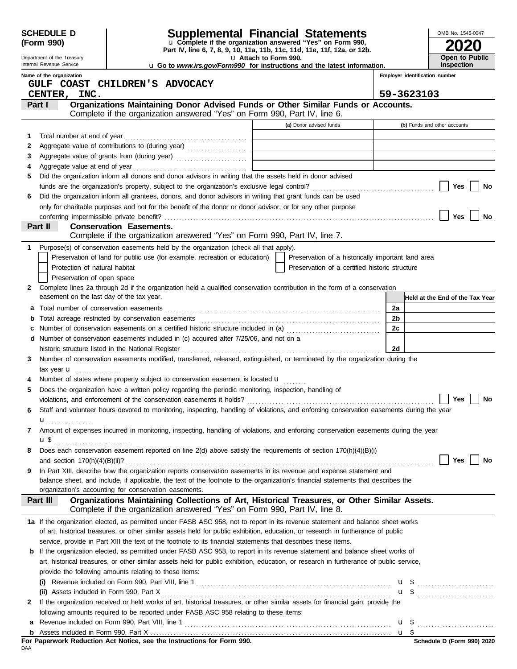|     | <b>SCHEDULE D</b><br>(Form 990)                        | <b>Supplemental Financial Statements</b><br>u Complete if the organization answered "Yes" on Form 990,<br>Part IV, line 6, 7, 8, 9, 10, 11a, 11b, 11c, 11d, 11e, 11f, 12a, or 12b.                               |                                                    | OMB No. 1545-0047                                   |
|-----|--------------------------------------------------------|------------------------------------------------------------------------------------------------------------------------------------------------------------------------------------------------------------------|----------------------------------------------------|-----------------------------------------------------|
|     | Department of the Treasury<br>Internal Revenue Service | <b>u</b> Go to www.irs.gov/Form990 for instructions and the latest information.                                                                                                                                  | <b>Open to Public</b><br>Inspection                |                                                     |
|     | Name of the organization                               |                                                                                                                                                                                                                  |                                                    | Employer identification number                      |
|     |                                                        | GULF COAST CHILDREN'S ADVOCACY                                                                                                                                                                                   |                                                    |                                                     |
|     | CENTER,<br>INC.                                        |                                                                                                                                                                                                                  |                                                    | 59-3623103                                          |
|     | Part I                                                 | Organizations Maintaining Donor Advised Funds or Other Similar Funds or Accounts.<br>Complete if the organization answered "Yes" on Form 990, Part IV, line 6.                                                   |                                                    |                                                     |
|     |                                                        | (a) Donor advised funds                                                                                                                                                                                          |                                                    | (b) Funds and other accounts                        |
| 1   |                                                        |                                                                                                                                                                                                                  |                                                    |                                                     |
| 2   |                                                        | Aggregate value of contributions to (during year)                                                                                                                                                                |                                                    |                                                     |
| 3   |                                                        |                                                                                                                                                                                                                  |                                                    |                                                     |
| 4   |                                                        |                                                                                                                                                                                                                  |                                                    |                                                     |
| 5   |                                                        | Did the organization inform all donors and donor advisors in writing that the assets held in donor advised                                                                                                       |                                                    | Yes<br>No                                           |
| 6   |                                                        | Did the organization inform all grantees, donors, and donor advisors in writing that grant funds can be used                                                                                                     |                                                    |                                                     |
|     |                                                        | only for charitable purposes and not for the benefit of the donor or donor advisor, or for any other purpose                                                                                                     |                                                    |                                                     |
|     |                                                        |                                                                                                                                                                                                                  |                                                    | Yes<br>No                                           |
|     | Part II                                                | <b>Conservation Easements.</b>                                                                                                                                                                                   |                                                    |                                                     |
|     |                                                        | Complete if the organization answered "Yes" on Form 990, Part IV, line 7.                                                                                                                                        |                                                    |                                                     |
| 1   |                                                        | Purpose(s) of conservation easements held by the organization (check all that apply).                                                                                                                            |                                                    |                                                     |
|     |                                                        | Preservation of land for public use (for example, recreation or education)                                                                                                                                       | Preservation of a historically important land area |                                                     |
|     | Protection of natural habitat                          |                                                                                                                                                                                                                  | Preservation of a certified historic structure     |                                                     |
| 2   | Preservation of open space                             | Complete lines 2a through 2d if the organization held a qualified conservation contribution in the form of a conservation                                                                                        |                                                    |                                                     |
|     | easement on the last day of the tax year.              |                                                                                                                                                                                                                  |                                                    | Held at the End of the Tax Year                     |
| a   |                                                        |                                                                                                                                                                                                                  | 2a                                                 |                                                     |
| b   |                                                        |                                                                                                                                                                                                                  | 2b                                                 |                                                     |
| c   |                                                        | Number of conservation easements on a certified historic structure included in (a) [[[[[[[[[[[[[[[[[[[[[[[[[]]]]]]]                                                                                              | 2c                                                 |                                                     |
| d   |                                                        | Number of conservation easements included in (c) acquired after 7/25/06, and not on a                                                                                                                            |                                                    |                                                     |
|     |                                                        | historic structure listed in the National Register                                                                                                                                                               | 2d                                                 |                                                     |
| 3   |                                                        | Number of conservation easements modified, transferred, released, extinguished, or terminated by the organization during the                                                                                     |                                                    |                                                     |
|     | tax year <b>u</b><br>.                                 |                                                                                                                                                                                                                  |                                                    |                                                     |
|     |                                                        | Number of states where property subject to conservation easement is located u                                                                                                                                    |                                                    |                                                     |
| 5   |                                                        | Does the organization have a written policy regarding the periodic monitoring, inspection, handling of                                                                                                           |                                                    | Yes                                                 |
| 6   |                                                        | violations, and enforcement of the conservation easements it holds?<br>Staff and volunteer hours devoted to monitoring, inspecting, handling of violations, and enforcing conservation easements during the year |                                                    | No                                                  |
|     | u                                                      |                                                                                                                                                                                                                  |                                                    |                                                     |
| 7   |                                                        | Amount of expenses incurred in monitoring, inspecting, handling of violations, and enforcing conservation easements during the year                                                                              |                                                    |                                                     |
|     |                                                        |                                                                                                                                                                                                                  |                                                    |                                                     |
| 8   |                                                        | Does each conservation easement reported on line 2(d) above satisfy the requirements of section 170(h)(4)(B)(i)                                                                                                  |                                                    |                                                     |
|     |                                                        |                                                                                                                                                                                                                  |                                                    | Yes<br>No                                           |
| 9   |                                                        | In Part XIII, describe how the organization reports conservation easements in its revenue and expense statement and                                                                                              |                                                    |                                                     |
|     |                                                        | balance sheet, and include, if applicable, the text of the footnote to the organization's financial statements that describes the                                                                                |                                                    |                                                     |
|     |                                                        | organization's accounting for conservation easements.                                                                                                                                                            |                                                    |                                                     |
|     | Part III                                               | Organizations Maintaining Collections of Art, Historical Treasures, or Other Similar Assets.<br>Complete if the organization answered "Yes" on Form 990, Part IV, line 8.                                        |                                                    |                                                     |
|     |                                                        | 1a If the organization elected, as permitted under FASB ASC 958, not to report in its revenue statement and balance sheet works                                                                                  |                                                    |                                                     |
|     |                                                        | of art, historical treasures, or other similar assets held for public exhibition, education, or research in furtherance of public                                                                                |                                                    |                                                     |
|     |                                                        | service, provide in Part XIII the text of the footnote to its financial statements that describes these items.                                                                                                   |                                                    |                                                     |
|     |                                                        | <b>b</b> If the organization elected, as permitted under FASB ASC 958, to report in its revenue statement and balance sheet works of                                                                             |                                                    |                                                     |
|     |                                                        | art, historical treasures, or other similar assets held for public exhibition, education, or research in furtherance of public service,                                                                          |                                                    |                                                     |
|     |                                                        | provide the following amounts relating to these items:                                                                                                                                                           |                                                    |                                                     |
|     | (i)                                                    |                                                                                                                                                                                                                  |                                                    |                                                     |
|     |                                                        |                                                                                                                                                                                                                  |                                                    | $\mathbf{u}$ \$ $\ldots$ $\ldots$ $\ldots$ $\ldots$ |
| 2   |                                                        | If the organization received or held works of art, historical treasures, or other similar assets for financial gain, provide the                                                                                 |                                                    |                                                     |
| a   |                                                        | following amounts required to be reported under FASB ASC 958 relating to these items:                                                                                                                            |                                                    |                                                     |
| b   |                                                        |                                                                                                                                                                                                                  |                                                    |                                                     |
|     |                                                        | For Paperwork Reduction Act Notice, see the Instructions for Form 990.                                                                                                                                           |                                                    | Schedule D (Form 990) 2020                          |
| DAA |                                                        |                                                                                                                                                                                                                  |                                                    |                                                     |

| For Paperwork Reduction Act Notice, see the Instructions for Form 990. |  |  |  |
|------------------------------------------------------------------------|--|--|--|
| DAA                                                                    |  |  |  |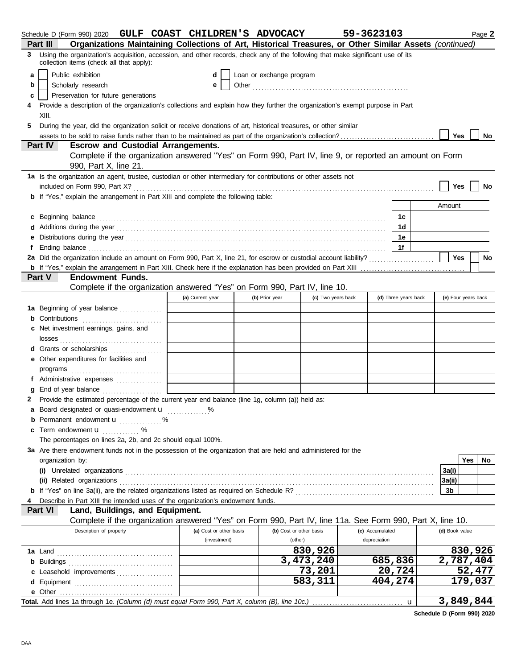|    | Schedule D (Form 990) 2020 GULF COAST CHILDREN'S ADVOCACY                                                                                                                                                                            |  |                                         |  |                                    |                    | 59-3623103 |                                 |                      |  |                     |     | Page 2    |
|----|--------------------------------------------------------------------------------------------------------------------------------------------------------------------------------------------------------------------------------------|--|-----------------------------------------|--|------------------------------------|--------------------|------------|---------------------------------|----------------------|--|---------------------|-----|-----------|
|    | Organizations Maintaining Collections of Art, Historical Treasures, or Other Similar Assets (continued)<br>Part III                                                                                                                  |  |                                         |  |                                    |                    |            |                                 |                      |  |                     |     |           |
| 3  | Using the organization's acquisition, accession, and other records, check any of the following that make significant use of its<br>collection items (check all that apply):                                                          |  |                                         |  |                                    |                    |            |                                 |                      |  |                     |     |           |
| a  | Public exhibition                                                                                                                                                                                                                    |  | d                                       |  | Loan or exchange program           |                    |            |                                 |                      |  |                     |     |           |
| b  | Scholarly research                                                                                                                                                                                                                   |  | е                                       |  |                                    |                    |            |                                 |                      |  |                     |     |           |
| c  | Preservation for future generations                                                                                                                                                                                                  |  |                                         |  |                                    |                    |            |                                 |                      |  |                     |     |           |
|    | Provide a description of the organization's collections and explain how they further the organization's exempt purpose in Part                                                                                                       |  |                                         |  |                                    |                    |            |                                 |                      |  |                     |     |           |
|    | XIII.                                                                                                                                                                                                                                |  |                                         |  |                                    |                    |            |                                 |                      |  |                     |     |           |
| 5. | During the year, did the organization solicit or receive donations of art, historical treasures, or other similar                                                                                                                    |  |                                         |  |                                    |                    |            |                                 |                      |  |                     |     |           |
|    |                                                                                                                                                                                                                                      |  |                                         |  |                                    |                    |            |                                 |                      |  | Yes                 |     | No        |
|    | Part IV<br><b>Escrow and Custodial Arrangements.</b>                                                                                                                                                                                 |  |                                         |  |                                    |                    |            |                                 |                      |  |                     |     |           |
|    | Complete if the organization answered "Yes" on Form 990, Part IV, line 9, or reported an amount on Form<br>990, Part X, line 21.                                                                                                     |  |                                         |  |                                    |                    |            |                                 |                      |  |                     |     |           |
|    | 1a Is the organization an agent, trustee, custodian or other intermediary for contributions or other assets not                                                                                                                      |  |                                         |  |                                    |                    |            |                                 |                      |  |                     |     |           |
|    |                                                                                                                                                                                                                                      |  |                                         |  |                                    |                    |            |                                 |                      |  | Yes                 |     | No        |
|    | <b>b</b> If "Yes," explain the arrangement in Part XIII and complete the following table:                                                                                                                                            |  |                                         |  |                                    |                    |            |                                 |                      |  |                     |     |           |
|    |                                                                                                                                                                                                                                      |  |                                         |  |                                    |                    |            |                                 |                      |  | Amount              |     |           |
|    | c Beginning balance <b>contract to the contract of the contract of the contract of the contract of the contract of the contract of the contract of the contract of the contract of the contract of the contract of the contract </b> |  |                                         |  |                                    |                    |            |                                 | 1c                   |  |                     |     |           |
|    |                                                                                                                                                                                                                                      |  |                                         |  |                                    |                    |            |                                 | 1d                   |  |                     |     |           |
|    |                                                                                                                                                                                                                                      |  |                                         |  |                                    |                    |            |                                 | 1e                   |  |                     |     |           |
|    |                                                                                                                                                                                                                                      |  |                                         |  |                                    |                    |            |                                 | 1f                   |  |                     |     |           |
|    | 2a Did the organization include an amount on Form 990, Part X, line 21, for escrow or custodial account liability?                                                                                                                   |  |                                         |  |                                    |                    |            |                                 |                      |  | Yes                 |     | <b>No</b> |
|    |                                                                                                                                                                                                                                      |  |                                         |  |                                    |                    |            |                                 |                      |  |                     |     |           |
|    | <b>Endowment Funds.</b><br><b>Part V</b>                                                                                                                                                                                             |  |                                         |  |                                    |                    |            |                                 |                      |  |                     |     |           |
|    | Complete if the organization answered "Yes" on Form 990, Part IV, line 10.                                                                                                                                                           |  |                                         |  |                                    |                    |            |                                 |                      |  |                     |     |           |
|    |                                                                                                                                                                                                                                      |  | (a) Current year                        |  | (b) Prior year                     | (c) Two years back |            |                                 | (d) Three years back |  | (e) Four years back |     |           |
|    | 1a Beginning of year balance                                                                                                                                                                                                         |  |                                         |  |                                    |                    |            |                                 |                      |  |                     |     |           |
|    | <b>b</b> Contributions <b>contributions</b>                                                                                                                                                                                          |  |                                         |  |                                    |                    |            |                                 |                      |  |                     |     |           |
|    | c Net investment earnings, gains, and                                                                                                                                                                                                |  |                                         |  |                                    |                    |            |                                 |                      |  |                     |     |           |
|    |                                                                                                                                                                                                                                      |  |                                         |  |                                    |                    |            |                                 |                      |  |                     |     |           |
|    | d Grants or scholarships                                                                                                                                                                                                             |  |                                         |  |                                    |                    |            |                                 |                      |  |                     |     |           |
|    | e Other expenditures for facilities and                                                                                                                                                                                              |  |                                         |  |                                    |                    |            |                                 |                      |  |                     |     |           |
|    |                                                                                                                                                                                                                                      |  |                                         |  |                                    |                    |            |                                 |                      |  |                     |     |           |
|    | f Administrative expenses                                                                                                                                                                                                            |  |                                         |  |                                    |                    |            |                                 |                      |  |                     |     |           |
|    |                                                                                                                                                                                                                                      |  |                                         |  |                                    |                    |            |                                 |                      |  |                     |     |           |
| 2  | Provide the estimated percentage of the current year end balance (line 1g, column (a)) held as:                                                                                                                                      |  |                                         |  |                                    |                    |            |                                 |                      |  |                     |     |           |
|    | a Board designated or quasi-endowment <b>u</b>                                                                                                                                                                                       |  |                                         |  |                                    |                    |            |                                 |                      |  |                     |     |           |
|    | <b>b</b> Permanent endowment <b>u</b> %                                                                                                                                                                                              |  |                                         |  |                                    |                    |            |                                 |                      |  |                     |     |           |
|    | c Term endowment <b>u</b> %                                                                                                                                                                                                          |  |                                         |  |                                    |                    |            |                                 |                      |  |                     |     |           |
|    | The percentages on lines 2a, 2b, and 2c should equal 100%.                                                                                                                                                                           |  |                                         |  |                                    |                    |            |                                 |                      |  |                     |     |           |
|    | 3a Are there endowment funds not in the possession of the organization that are held and administered for the                                                                                                                        |  |                                         |  |                                    |                    |            |                                 |                      |  |                     |     |           |
|    | organization by:                                                                                                                                                                                                                     |  |                                         |  |                                    |                    |            |                                 |                      |  |                     | Yes | No        |
|    |                                                                                                                                                                                                                                      |  |                                         |  |                                    |                    |            |                                 |                      |  | 3a(i)               |     |           |
|    |                                                                                                                                                                                                                                      |  |                                         |  |                                    |                    |            |                                 |                      |  | 3a(ii)              |     |           |
|    |                                                                                                                                                                                                                                      |  |                                         |  |                                    |                    |            |                                 |                      |  | 3b                  |     |           |
|    | Describe in Part XIII the intended uses of the organization's endowment funds.                                                                                                                                                       |  |                                         |  |                                    |                    |            |                                 |                      |  |                     |     |           |
|    | Land, Buildings, and Equipment.<br><b>Part VI</b>                                                                                                                                                                                    |  |                                         |  |                                    |                    |            |                                 |                      |  |                     |     |           |
|    |                                                                                                                                                                                                                                      |  |                                         |  |                                    |                    |            |                                 |                      |  |                     |     |           |
|    | Complete if the organization answered "Yes" on Form 990, Part IV, line 11a. See Form 990, Part X, line 10.                                                                                                                           |  |                                         |  |                                    |                    |            |                                 |                      |  |                     |     |           |
|    | Description of property                                                                                                                                                                                                              |  | (a) Cost or other basis<br>(investment) |  | (b) Cost or other basis<br>(other) |                    |            | (c) Accumulated<br>depreciation |                      |  | (d) Book value      |     |           |
|    |                                                                                                                                                                                                                                      |  |                                         |  |                                    |                    |            |                                 |                      |  |                     |     |           |
|    |                                                                                                                                                                                                                                      |  |                                         |  |                                    | 830,926            |            |                                 |                      |  |                     |     | 830,926   |
|    |                                                                                                                                                                                                                                      |  |                                         |  |                                    | 3,473,240          |            | 685,836                         |                      |  | 2,787,404           |     |           |
|    | c Leasehold improvements                                                                                                                                                                                                             |  |                                         |  |                                    | 73,201             |            |                                 | 20,724               |  |                     |     | 52,477    |
|    | d Equipment                                                                                                                                                                                                                          |  |                                         |  |                                    | 583,311            |            | 404,274                         |                      |  |                     |     | 179,037   |
|    |                                                                                                                                                                                                                                      |  |                                         |  |                                    |                    |            |                                 |                      |  |                     |     |           |
|    |                                                                                                                                                                                                                                      |  |                                         |  |                                    |                    |            |                                 | $\mathbf{u}$         |  | 3,849,844           |     |           |

**Schedule D (Form 990) 2020**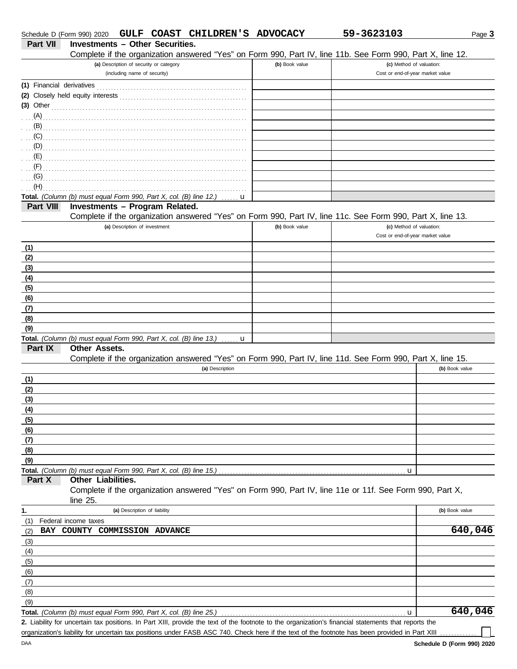|           | GULF COAST CHILDREN'S ADVOCACY<br>Schedule D (Form 990) 2020                                                                                                                                                                              |                | 59-3623103                                                   | Page 3         |
|-----------|-------------------------------------------------------------------------------------------------------------------------------------------------------------------------------------------------------------------------------------------|----------------|--------------------------------------------------------------|----------------|
| Part VII  | <b>Investments - Other Securities.</b>                                                                                                                                                                                                    |                |                                                              |                |
|           | Complete if the organization answered "Yes" on Form 990, Part IV, line 11b. See Form 990, Part X, line 12.                                                                                                                                |                |                                                              |                |
|           | (a) Description of security or category<br>(including name of security)                                                                                                                                                                   | (b) Book value | (c) Method of valuation:<br>Cost or end-of-year market value |                |
|           |                                                                                                                                                                                                                                           |                |                                                              |                |
|           |                                                                                                                                                                                                                                           |                |                                                              |                |
|           |                                                                                                                                                                                                                                           |                |                                                              |                |
|           | $(3)$ Other                                                                                                                                                                                                                               |                |                                                              |                |
|           |                                                                                                                                                                                                                                           |                |                                                              |                |
|           |                                                                                                                                                                                                                                           |                |                                                              |                |
|           |                                                                                                                                                                                                                                           |                |                                                              |                |
|           | $\langle \mathsf{D} \rangle$                                                                                                                                                                                                              |                |                                                              |                |
|           | $\mathbf{F} \tag{E} \tag{E} \label{eq:1}$                                                                                                                                                                                                 |                |                                                              |                |
|           | $\mathbf{F}$                                                                                                                                                                                                                              |                |                                                              |                |
| (H)       | $\overline{a}$ (G) $\overline{a}$ . The contract of the contract of the contract of the contract of the contract of the contract of the contract of the contract of the contract of the contract of the contract of the contract of the c |                |                                                              |                |
|           | Total. (Column (b) must equal Form 990, Part X, col. (B) line 12.) $\ldots$ <b>u</b>                                                                                                                                                      |                |                                                              |                |
| Part VIII | Investments - Program Related.                                                                                                                                                                                                            |                |                                                              |                |
|           | Complete if the organization answered "Yes" on Form 990, Part IV, line 11c. See Form 990, Part X, line 13.                                                                                                                                |                |                                                              |                |
|           | (a) Description of investment                                                                                                                                                                                                             | (b) Book value | (c) Method of valuation:                                     |                |
|           |                                                                                                                                                                                                                                           |                | Cost or end-of-year market value                             |                |
| (1)       |                                                                                                                                                                                                                                           |                |                                                              |                |
| (2)       |                                                                                                                                                                                                                                           |                |                                                              |                |
| (3)       |                                                                                                                                                                                                                                           |                |                                                              |                |
| (4)       |                                                                                                                                                                                                                                           |                |                                                              |                |
| (5)       |                                                                                                                                                                                                                                           |                |                                                              |                |
| (6)       |                                                                                                                                                                                                                                           |                |                                                              |                |
| (7)       |                                                                                                                                                                                                                                           |                |                                                              |                |
| (8)       |                                                                                                                                                                                                                                           |                |                                                              |                |
| (9)       |                                                                                                                                                                                                                                           |                |                                                              |                |
|           | Total. (Column (b) must equal Form 990, Part X, col. (B) line 13.) $\dots$ $\mathbf u$                                                                                                                                                    |                |                                                              |                |
| Part IX   | <b>Other Assets.</b>                                                                                                                                                                                                                      |                |                                                              |                |
|           | Complete if the organization answered "Yes" on Form 990, Part IV, line 11d. See Form 990, Part X, line 15.                                                                                                                                |                |                                                              |                |
|           | (a) Description                                                                                                                                                                                                                           |                |                                                              | (b) Book value |
| (1)       |                                                                                                                                                                                                                                           |                |                                                              |                |
| (2)       |                                                                                                                                                                                                                                           |                |                                                              |                |
| (3)       |                                                                                                                                                                                                                                           |                |                                                              |                |
| (4)       |                                                                                                                                                                                                                                           |                |                                                              |                |
| (5)       |                                                                                                                                                                                                                                           |                |                                                              |                |
| (6)       |                                                                                                                                                                                                                                           |                |                                                              |                |
| (7)       |                                                                                                                                                                                                                                           |                |                                                              |                |
| (8)       |                                                                                                                                                                                                                                           |                |                                                              |                |
| (9)       |                                                                                                                                                                                                                                           |                |                                                              |                |
|           |                                                                                                                                                                                                                                           |                | u                                                            |                |
| Part X    | Other Liabilities.                                                                                                                                                                                                                        |                |                                                              |                |
|           | Complete if the organization answered "Yes" on Form 990, Part IV, line 11e or 11f. See Form 990, Part X,                                                                                                                                  |                |                                                              |                |
|           | line $25$ .                                                                                                                                                                                                                               |                |                                                              |                |
| 1.        | (a) Description of liability                                                                                                                                                                                                              |                |                                                              | (b) Book value |
| (1)       | Federal income taxes                                                                                                                                                                                                                      |                |                                                              |                |
| (2)       | BAY COUNTY COMMISSION ADVANCE                                                                                                                                                                                                             |                |                                                              | 640,046        |
| (3)       |                                                                                                                                                                                                                                           |                |                                                              |                |
| (4)       |                                                                                                                                                                                                                                           |                |                                                              |                |
| (5)       |                                                                                                                                                                                                                                           |                |                                                              |                |
| (6)       |                                                                                                                                                                                                                                           |                |                                                              |                |
| (7)       |                                                                                                                                                                                                                                           |                |                                                              |                |
| (8)       |                                                                                                                                                                                                                                           |                |                                                              |                |
| (9)       |                                                                                                                                                                                                                                           |                |                                                              |                |
|           | Total. (Column (b) must equal Form 990, Part X, col. (B) line 25.)                                                                                                                                                                        |                | u                                                            | 640,046        |
|           | 2. Liability for uncertain tax positions. In Part XIII, provide the text of the footnote to the organization's financial statements that reports the                                                                                      |                |                                                              |                |

organization's liability for uncertain tax positions under FASB ASC 740. Check here if the text of the footnote has been provided in Part XIII . . . . . . . . . . . . .

DAA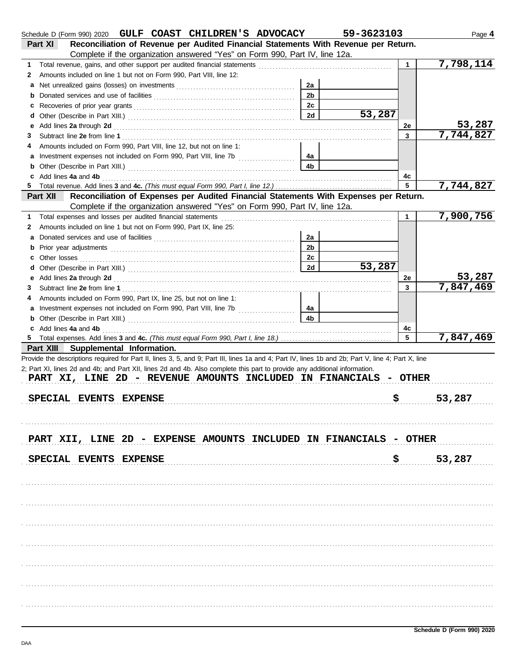|   | Schedule D (Form 990) 2020 GULF COAST CHILDREN'S ADVOCACY                                                                                                                                                                     |                | 59-3623103 |              | Page 4    |
|---|-------------------------------------------------------------------------------------------------------------------------------------------------------------------------------------------------------------------------------|----------------|------------|--------------|-----------|
|   | Reconciliation of Revenue per Audited Financial Statements With Revenue per Return.<br>Part XI                                                                                                                                |                |            |              |           |
|   | Complete if the organization answered "Yes" on Form 990, Part IV, line 12a.                                                                                                                                                   |                |            |              |           |
| 1 |                                                                                                                                                                                                                               |                |            | $\mathbf{1}$ | 7,798,114 |
| 2 | Amounts included on line 1 but not on Form 990, Part VIII, line 12:                                                                                                                                                           |                |            |              |           |
|   |                                                                                                                                                                                                                               | 2a             |            |              |           |
|   |                                                                                                                                                                                                                               | 2 <sub>b</sub> |            |              |           |
|   |                                                                                                                                                                                                                               | 2c             |            |              |           |
|   |                                                                                                                                                                                                                               | 2d             | 53,287     |              |           |
|   | e Add lines 2a through 2d (a) and the contract of the Add lines 2a through 2d (a) and the contract of the Add lines 2a through 2d (a) and the contract of the Add lines 2a through 2d (a) and the contract of the Contract of |                |            | 2е           | 53,287    |
| 3 |                                                                                                                                                                                                                               |                |            | 3            | 7,744,827 |
| 4 | Amounts included on Form 990, Part VIII, line 12, but not on line 1:                                                                                                                                                          |                |            |              |           |
|   |                                                                                                                                                                                                                               | 4a             |            |              |           |
|   |                                                                                                                                                                                                                               | 4b             |            |              |           |
|   |                                                                                                                                                                                                                               |                |            | 4c           |           |
|   |                                                                                                                                                                                                                               |                |            | 5            | 7,744,827 |
|   | Reconciliation of Expenses per Audited Financial Statements With Expenses per Return.<br><b>Part XII</b>                                                                                                                      |                |            |              |           |
|   | Complete if the organization answered "Yes" on Form 990, Part IV, line 12a.                                                                                                                                                   |                |            |              |           |
| 1 |                                                                                                                                                                                                                               |                |            | $\mathbf{1}$ | 7,900,756 |
| 2 | Amounts included on line 1 but not on Form 990, Part IX, line 25:                                                                                                                                                             |                |            |              |           |
|   |                                                                                                                                                                                                                               | 2a             |            |              |           |
|   |                                                                                                                                                                                                                               | 2 <sub>b</sub> |            |              |           |
|   |                                                                                                                                                                                                                               | 2с             |            |              |           |
|   |                                                                                                                                                                                                                               | 2d             | 53,287     |              |           |
|   |                                                                                                                                                                                                                               |                |            | 2e           | 53,287    |
|   |                                                                                                                                                                                                                               |                |            | 3            | 7,847,469 |
| 4 | Amounts included on Form 990, Part IX, line 25, but not on line 1:                                                                                                                                                            |                |            |              |           |
|   |                                                                                                                                                                                                                               | 4a             |            |              |           |
|   |                                                                                                                                                                                                                               | 4b             |            |              |           |
|   | c Add lines 4a and 4b                                                                                                                                                                                                         |                |            | 4с           |           |
|   |                                                                                                                                                                                                                               |                |            | 5            | 7,847,469 |
|   | Part XIII Supplemental Information.                                                                                                                                                                                           |                |            |              |           |
|   | Provide the descriptions required for Part II, lines 3, 5, and 9; Part III, lines 1a and 4; Part IV, lines 1b and 2b; Part V, line 4; Part X, line                                                                            |                |            |              |           |
|   | 2; Part XI, lines 2d and 4b; and Part XII, lines 2d and 4b. Also complete this part to provide any additional information.                                                                                                    |                |            |              |           |
|   | PART XI, LINE 2D - REVENUE AMOUNTS INCLUDED IN FINANCIALS - OTHER                                                                                                                                                             |                |            |              |           |
|   |                                                                                                                                                                                                                               |                |            |              |           |
|   | SPECIAL EVENTS EXPENSE                                                                                                                                                                                                        |                | \$         |              | 53,287    |
|   |                                                                                                                                                                                                                               |                |            |              |           |
|   |                                                                                                                                                                                                                               |                |            |              |           |
|   |                                                                                                                                                                                                                               |                |            |              |           |
|   | PART XII, LINE 2D - EXPENSE AMOUNTS INCLUDED IN FINANCIALS - OTHER                                                                                                                                                            |                |            |              |           |
|   |                                                                                                                                                                                                                               |                |            |              |           |
|   | SPECIAL EVENTS EXPENSE                                                                                                                                                                                                        |                |            |              | 53,287    |
|   |                                                                                                                                                                                                                               |                |            |              |           |
|   |                                                                                                                                                                                                                               |                |            |              |           |
|   |                                                                                                                                                                                                                               |                |            |              |           |
|   |                                                                                                                                                                                                                               |                |            |              |           |
|   |                                                                                                                                                                                                                               |                |            |              |           |
|   |                                                                                                                                                                                                                               |                |            |              |           |
|   |                                                                                                                                                                                                                               |                |            |              |           |
|   |                                                                                                                                                                                                                               |                |            |              |           |
|   |                                                                                                                                                                                                                               |                |            |              |           |
|   |                                                                                                                                                                                                                               |                |            |              |           |
|   |                                                                                                                                                                                                                               |                |            |              |           |
|   |                                                                                                                                                                                                                               |                |            |              |           |
|   |                                                                                                                                                                                                                               |                |            |              |           |
|   |                                                                                                                                                                                                                               |                |            |              |           |
|   |                                                                                                                                                                                                                               |                |            |              |           |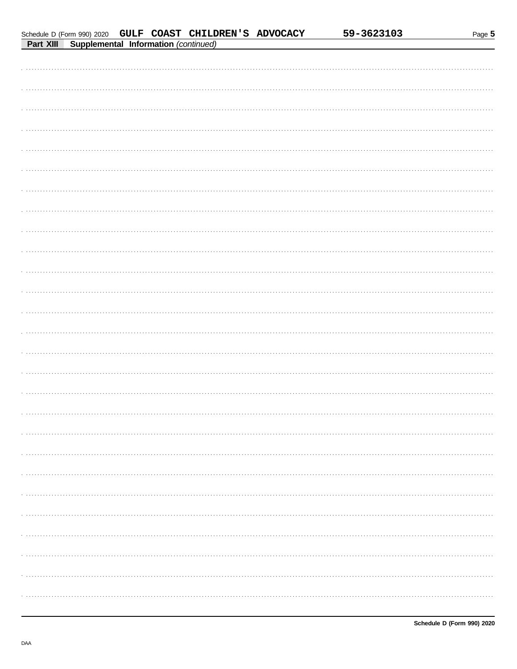59-3623103

|  | <b>Part XIII Supplemental Information (continued)</b> |
|--|-------------------------------------------------------|
|  |                                                       |
|  |                                                       |
|  |                                                       |
|  |                                                       |
|  |                                                       |
|  |                                                       |
|  |                                                       |
|  |                                                       |
|  |                                                       |
|  |                                                       |
|  |                                                       |
|  |                                                       |
|  |                                                       |
|  |                                                       |
|  |                                                       |
|  |                                                       |
|  |                                                       |
|  |                                                       |
|  |                                                       |
|  |                                                       |
|  |                                                       |
|  |                                                       |
|  |                                                       |
|  |                                                       |
|  |                                                       |
|  |                                                       |
|  |                                                       |
|  |                                                       |
|  |                                                       |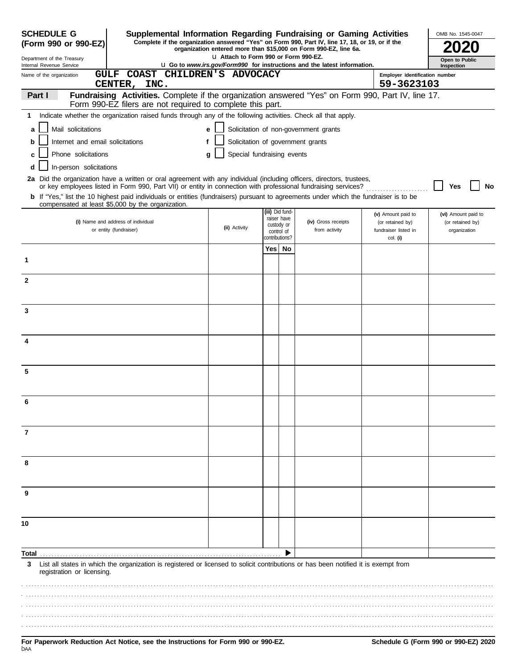| <b>SCHEDULE G</b><br>(Form 990 or 990-EZ) |                                                                                                                                       | Supplemental Information Regarding Fundraising or Gaming Activities<br>Complete if the organization answered "Yes" on Form 990, Part IV, line 17, 18, or 19, or if the |                                   | OMB No. 1545-0047                                         |    |                                                                                 |                                                                            |                                                         |
|-------------------------------------------|---------------------------------------------------------------------------------------------------------------------------------------|------------------------------------------------------------------------------------------------------------------------------------------------------------------------|-----------------------------------|-----------------------------------------------------------|----|---------------------------------------------------------------------------------|----------------------------------------------------------------------------|---------------------------------------------------------|
| Department of the Treasury                |                                                                                                                                       | organization entered more than \$15,000 on Form 990-EZ, line 6a.<br>L1 Attach to Form 990 or Form 990-EZ.                                                              |                                   |                                                           |    |                                                                                 |                                                                            |                                                         |
| Internal Revenue Service                  |                                                                                                                                       |                                                                                                                                                                        |                                   |                                                           |    | <b>u</b> Go to www.irs.gov/Form990 for instructions and the latest information. |                                                                            | Open to Public<br>Inspection                            |
| Name of the organization                  | COAST CHILDREN'S ADVOCACY<br><b>GULF</b><br>INC.<br>CENTER,                                                                           |                                                                                                                                                                        |                                   |                                                           |    |                                                                                 | Employer identification number<br>59-3623103                               |                                                         |
| Part I                                    | Fundraising Activities. Complete if the organization answered "Yes" on Form 990, Part IV, line 17.                                    |                                                                                                                                                                        |                                   |                                                           |    |                                                                                 |                                                                            |                                                         |
|                                           | Form 990-EZ filers are not required to complete this part.                                                                            |                                                                                                                                                                        |                                   |                                                           |    |                                                                                 |                                                                            |                                                         |
| 1<br>Mail solicitations<br>a              | Indicate whether the organization raised funds through any of the following activities. Check all that apply.                         |                                                                                                                                                                        |                                   |                                                           |    |                                                                                 |                                                                            |                                                         |
| Internet and email solicitations<br>b     |                                                                                                                                       | e<br>f                                                                                                                                                                 | Solicitation of government grants |                                                           |    | Solicitation of non-government grants                                           |                                                                            |                                                         |
| Phone solicitations<br>c                  |                                                                                                                                       | g                                                                                                                                                                      | Special fundraising events        |                                                           |    |                                                                                 |                                                                            |                                                         |
| In-person solicitations<br>d              |                                                                                                                                       |                                                                                                                                                                        |                                   |                                                           |    |                                                                                 |                                                                            |                                                         |
|                                           | 2a Did the organization have a written or oral agreement with any individual (including officers, directors, trustees,                |                                                                                                                                                                        |                                   |                                                           |    |                                                                                 |                                                                            |                                                         |
|                                           | b If "Yes," list the 10 highest paid individuals or entities (fundraisers) pursuant to agreements under which the fundraiser is to be |                                                                                                                                                                        |                                   |                                                           |    |                                                                                 |                                                                            | <b>No</b><br>Yes                                        |
|                                           | compensated at least \$5,000 by the organization.                                                                                     |                                                                                                                                                                        |                                   | (iii) Did fund-                                           |    |                                                                                 |                                                                            |                                                         |
|                                           | (i) Name and address of individual<br>or entity (fundraiser)                                                                          |                                                                                                                                                                        | (ii) Activity                     | raiser have<br>custody or<br>control of<br>contributions? |    | (iv) Gross receipts<br>from activity                                            | (v) Amount paid to<br>(or retained by)<br>fundraiser listed in<br>col. (i) | (vi) Amount paid to<br>(or retained by)<br>organization |
|                                           |                                                                                                                                       |                                                                                                                                                                        |                                   | Yes                                                       | No |                                                                                 |                                                                            |                                                         |
| 1                                         |                                                                                                                                       |                                                                                                                                                                        |                                   |                                                           |    |                                                                                 |                                                                            |                                                         |
| $\overline{2}$                            |                                                                                                                                       |                                                                                                                                                                        |                                   |                                                           |    |                                                                                 |                                                                            |                                                         |
|                                           |                                                                                                                                       |                                                                                                                                                                        |                                   |                                                           |    |                                                                                 |                                                                            |                                                         |
| 3                                         |                                                                                                                                       |                                                                                                                                                                        |                                   |                                                           |    |                                                                                 |                                                                            |                                                         |
|                                           |                                                                                                                                       |                                                                                                                                                                        |                                   |                                                           |    |                                                                                 |                                                                            |                                                         |
| 4                                         |                                                                                                                                       |                                                                                                                                                                        |                                   |                                                           |    |                                                                                 |                                                                            |                                                         |
|                                           |                                                                                                                                       |                                                                                                                                                                        |                                   |                                                           |    |                                                                                 |                                                                            |                                                         |
| 5                                         |                                                                                                                                       |                                                                                                                                                                        |                                   |                                                           |    |                                                                                 |                                                                            |                                                         |
|                                           |                                                                                                                                       |                                                                                                                                                                        |                                   |                                                           |    |                                                                                 |                                                                            |                                                         |
| 6                                         |                                                                                                                                       |                                                                                                                                                                        |                                   |                                                           |    |                                                                                 |                                                                            |                                                         |
|                                           |                                                                                                                                       |                                                                                                                                                                        |                                   |                                                           |    |                                                                                 |                                                                            |                                                         |
|                                           |                                                                                                                                       |                                                                                                                                                                        |                                   |                                                           |    |                                                                                 |                                                                            |                                                         |
| 7                                         |                                                                                                                                       |                                                                                                                                                                        |                                   |                                                           |    |                                                                                 |                                                                            |                                                         |
|                                           |                                                                                                                                       |                                                                                                                                                                        |                                   |                                                           |    |                                                                                 |                                                                            |                                                         |
| 8                                         |                                                                                                                                       |                                                                                                                                                                        |                                   |                                                           |    |                                                                                 |                                                                            |                                                         |
|                                           |                                                                                                                                       |                                                                                                                                                                        |                                   |                                                           |    |                                                                                 |                                                                            |                                                         |
| 9                                         |                                                                                                                                       |                                                                                                                                                                        |                                   |                                                           |    |                                                                                 |                                                                            |                                                         |
|                                           |                                                                                                                                       |                                                                                                                                                                        |                                   |                                                           |    |                                                                                 |                                                                            |                                                         |
| 10                                        |                                                                                                                                       |                                                                                                                                                                        |                                   |                                                           |    |                                                                                 |                                                                            |                                                         |
|                                           |                                                                                                                                       |                                                                                                                                                                        |                                   |                                                           |    |                                                                                 |                                                                            |                                                         |
| Total                                     |                                                                                                                                       |                                                                                                                                                                        |                                   |                                                           |    |                                                                                 |                                                                            |                                                         |
| 3<br>registration or licensing.           | List all states in which the organization is registered or licensed to solicit contributions or has been notified it is exempt from   |                                                                                                                                                                        |                                   |                                                           |    |                                                                                 |                                                                            |                                                         |
|                                           |                                                                                                                                       |                                                                                                                                                                        |                                   |                                                           |    |                                                                                 |                                                                            |                                                         |
|                                           |                                                                                                                                       |                                                                                                                                                                        |                                   |                                                           |    |                                                                                 |                                                                            |                                                         |
|                                           |                                                                                                                                       |                                                                                                                                                                        |                                   |                                                           |    |                                                                                 |                                                                            |                                                         |
|                                           |                                                                                                                                       |                                                                                                                                                                        |                                   |                                                           |    |                                                                                 |                                                                            |                                                         |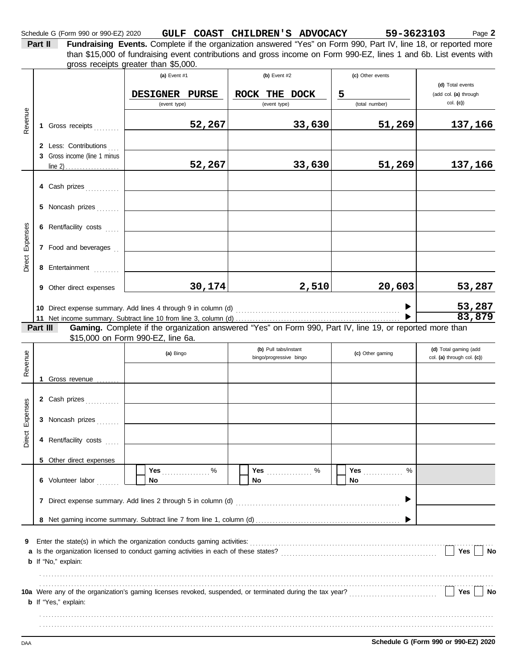**Part II Fundraising Events.** Complete if the organization answered "Yes" on Form 990, Part IV, line 18, or reported more gross receipts greater than \$5,000. than \$15,000 of fundraising event contributions and gross income on Form 990-EZ, lines 1 and 6b. List events with

|          |          |                                                       | (a) Event $#1$                    | (b) Event $#2$                                                                                                                                                                                                         | (c) Other events        |                                           |
|----------|----------|-------------------------------------------------------|-----------------------------------|------------------------------------------------------------------------------------------------------------------------------------------------------------------------------------------------------------------------|-------------------------|-------------------------------------------|
|          |          |                                                       | DESIGNER PURSE                    | ROCK THE DOCK                                                                                                                                                                                                          | $\overline{\mathbf{5}}$ | (d) Total events<br>(add col. (a) through |
|          |          |                                                       | (event type)                      | (event type)                                                                                                                                                                                                           | (total number)          | col. (c)                                  |
| Revenue  |          | 1 Gross receipts                                      | 52,267                            | 33,630                                                                                                                                                                                                                 | 51,269                  | 137,166                                   |
|          |          | 2 Less: Contributions<br>3 Gross income (line 1 minus |                                   |                                                                                                                                                                                                                        |                         |                                           |
|          |          |                                                       | 52,267                            | 33,630                                                                                                                                                                                                                 | 51,269                  | 137,166                                   |
|          |          | 4 Cash prizes                                         |                                   |                                                                                                                                                                                                                        |                         |                                           |
|          |          | 5 Noncash prizes                                      |                                   |                                                                                                                                                                                                                        |                         |                                           |
|          |          | 6 Rent/facility costs                                 |                                   |                                                                                                                                                                                                                        |                         |                                           |
| Expenses |          | 7 Food and beverages [11]                             |                                   |                                                                                                                                                                                                                        |                         |                                           |
| Direct   |          | 8 Entertainment                                       |                                   |                                                                                                                                                                                                                        |                         |                                           |
|          |          | 9 Other direct expenses                               | 30,174                            | 2,510                                                                                                                                                                                                                  | 20,603                  | 53,287                                    |
|          |          |                                                       |                                   |                                                                                                                                                                                                                        |                         | 53,287                                    |
|          |          |                                                       |                                   |                                                                                                                                                                                                                        |                         | 83,879                                    |
|          | Part III |                                                       | \$15,000 on Form 990-EZ, line 6a. | Gaming. Complete if the organization answered "Yes" on Form 990, Part IV, line 19, or reported more than                                                                                                               |                         |                                           |
|          |          |                                                       | (a) Bingo                         | (b) Pull tabs/instant                                                                                                                                                                                                  | (c) Other gaming        | (d) Total gaming (add                     |
| Revenue  |          |                                                       |                                   | bingo/progressive bingo                                                                                                                                                                                                |                         | col. (a) through col. (c))                |
|          |          | 1 Gross revenue                                       |                                   |                                                                                                                                                                                                                        |                         |                                           |
|          |          |                                                       |                                   |                                                                                                                                                                                                                        |                         |                                           |
| Expenses |          |                                                       |                                   |                                                                                                                                                                                                                        |                         |                                           |
|          |          | 3 Noncash prizes                                      |                                   |                                                                                                                                                                                                                        |                         |                                           |
| Direct   |          | 4 Rent/facility costs                                 |                                   |                                                                                                                                                                                                                        |                         |                                           |
|          |          | 5 Other direct expenses                               |                                   |                                                                                                                                                                                                                        |                         |                                           |
|          |          | 6 Volunteer labor                                     | No                                | Yes  %<br>No.                                                                                                                                                                                                          | %<br><b>Yes</b><br>No   |                                           |
|          |          |                                                       |                                   |                                                                                                                                                                                                                        |                         |                                           |
|          |          |                                                       |                                   |                                                                                                                                                                                                                        |                         |                                           |
|          |          |                                                       |                                   |                                                                                                                                                                                                                        |                         |                                           |
| 9        |          |                                                       |                                   |                                                                                                                                                                                                                        |                         | Yes<br>No                                 |
|          |          | <b>b</b> If "No," explain:                            |                                   |                                                                                                                                                                                                                        |                         |                                           |
|          |          |                                                       |                                   |                                                                                                                                                                                                                        |                         |                                           |
|          |          | <b>b</b> If "Yes," explain:                           |                                   | 10a Were any of the organization's gaming licenses revoked, suspended, or terminated during the tax year?<br>10a Were any of the organization's gaming licenses revoked, suspended, or terminated during the tax year? |                         | Yes $ $<br>No                             |
|          |          |                                                       |                                   |                                                                                                                                                                                                                        |                         |                                           |
|          |          |                                                       |                                   |                                                                                                                                                                                                                        |                         |                                           |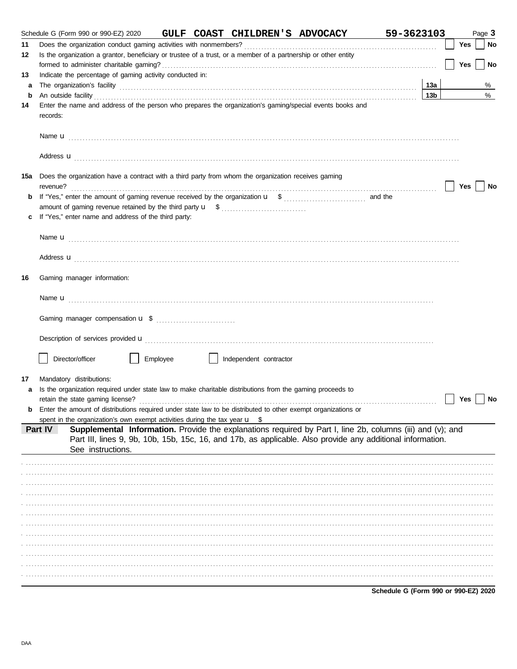|    | Schedule G (Form 990 or 990-EZ) 2020                                                                                                                                                                |          | GULF COAST CHILDREN'S ADVOCACY | 59-3623103 |     |     | Page 3                      |
|----|-----------------------------------------------------------------------------------------------------------------------------------------------------------------------------------------------------|----------|--------------------------------|------------|-----|-----|-----------------------------|
| 11 |                                                                                                                                                                                                     |          |                                |            |     | Yes | $ $ No                      |
| 12 | Is the organization a grantor, beneficiary or trustee of a trust, or a member of a partnership or other entity                                                                                      |          |                                |            |     |     |                             |
|    |                                                                                                                                                                                                     |          |                                |            |     | Yes | $\overline{\phantom{a}}$ No |
| 13 | Indicate the percentage of gaming activity conducted in:                                                                                                                                            |          |                                |            |     |     |                             |
| a  |                                                                                                                                                                                                     |          |                                |            | 13a |     | %                           |
| b  |                                                                                                                                                                                                     |          |                                |            | 13b |     | %                           |
| 14 | Enter the name and address of the person who prepares the organization's gaming/special events books and<br>records:                                                                                |          |                                |            |     |     |                             |
|    |                                                                                                                                                                                                     |          |                                |            |     |     |                             |
|    | Address <b>u</b>                                                                                                                                                                                    |          |                                |            |     |     |                             |
|    | <b>15a</b> Does the organization have a contract with a third party from whom the organization receives gaming                                                                                      |          |                                |            |     | Yes | No                          |
|    |                                                                                                                                                                                                     |          |                                |            |     |     |                             |
|    |                                                                                                                                                                                                     |          |                                |            |     |     |                             |
| c  | If "Yes," enter name and address of the third party:                                                                                                                                                |          |                                |            |     |     |                             |
|    |                                                                                                                                                                                                     |          |                                |            |     |     |                             |
|    |                                                                                                                                                                                                     |          |                                |            |     |     |                             |
|    |                                                                                                                                                                                                     |          |                                |            |     |     |                             |
|    | Address <b>u</b>                                                                                                                                                                                    |          |                                |            |     |     |                             |
| 16 | Gaming manager information:                                                                                                                                                                         |          |                                |            |     |     |                             |
|    |                                                                                                                                                                                                     |          |                                |            |     |     |                             |
|    |                                                                                                                                                                                                     |          |                                |            |     |     |                             |
|    |                                                                                                                                                                                                     |          |                                |            |     |     |                             |
|    |                                                                                                                                                                                                     |          |                                |            |     |     |                             |
|    |                                                                                                                                                                                                     |          |                                |            |     |     |                             |
|    |                                                                                                                                                                                                     |          |                                |            |     |     |                             |
|    | Director/officer                                                                                                                                                                                    | Employee | Independent contractor         |            |     |     |                             |
|    |                                                                                                                                                                                                     |          |                                |            |     |     |                             |
| 17 | Mandatory distributions:                                                                                                                                                                            |          |                                |            |     |     |                             |
| a  | Is the organization required under state law to make charitable distributions from the gaming proceeds to                                                                                           |          |                                |            |     |     |                             |
|    |                                                                                                                                                                                                     |          |                                |            |     | Yes | <b>No</b>                   |
|    | <b>b</b> Enter the amount of distributions required under state law to be distributed to other exempt organizations or                                                                              |          |                                |            |     |     |                             |
|    | spent in the organization's own exempt activities during the tax year $\mathbf{u}$ \$<br>Supplemental Information. Provide the explanations required by Part I, line 2b, columns (iii) and (v); and |          |                                |            |     |     |                             |
|    | Part IV<br>Part III, lines 9, 9b, 10b, 15b, 15c, 16, and 17b, as applicable. Also provide any additional information.                                                                               |          |                                |            |     |     |                             |
|    | See instructions.                                                                                                                                                                                   |          |                                |            |     |     |                             |
|    |                                                                                                                                                                                                     |          |                                |            |     |     |                             |
|    |                                                                                                                                                                                                     |          |                                |            |     |     |                             |
|    |                                                                                                                                                                                                     |          |                                |            |     |     |                             |
|    |                                                                                                                                                                                                     |          |                                |            |     |     |                             |
|    |                                                                                                                                                                                                     |          |                                |            |     |     |                             |
|    |                                                                                                                                                                                                     |          |                                |            |     |     |                             |
|    |                                                                                                                                                                                                     |          |                                |            |     |     |                             |
|    |                                                                                                                                                                                                     |          |                                |            |     |     |                             |
|    |                                                                                                                                                                                                     |          |                                |            |     |     |                             |
|    |                                                                                                                                                                                                     |          |                                |            |     |     |                             |
|    |                                                                                                                                                                                                     |          |                                |            |     |     |                             |
|    |                                                                                                                                                                                                     |          |                                |            |     |     |                             |
|    |                                                                                                                                                                                                     |          |                                |            |     |     |                             |

Schedule G (Form 990 or 990-EZ) 2020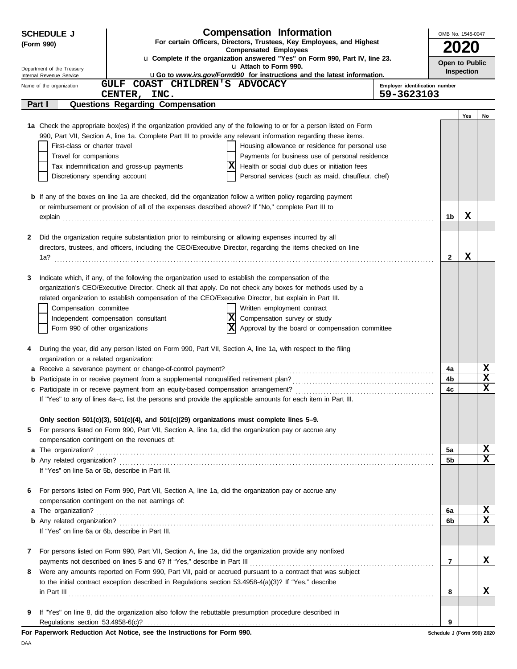| For certain Officers, Directors, Trustees, Key Employees, and Highest<br>(Form 990)<br><b>Compensated Employees</b><br>u Complete if the organization answered "Yes" on Form 990, Part IV, line 23.<br>Open to Public<br>u Attach to Form 990.<br>Department of the Treasury<br>Inspection<br><b>uGo to www.irs.gov/Form990 for instructions and the latest information.</b><br>Internal Revenue Service<br>COAST CHILDREN'S ADVOCACY<br><b>GULF</b><br>Employer identification number<br>Name of the organization<br>59-3623103<br>INC.<br><b>CENTER,</b><br>Part I<br>Questions Regarding Compensation<br>Yes<br>No<br>1a Check the appropriate box(es) if the organization provided any of the following to or for a person listed on Form<br>990, Part VII, Section A, line 1a. Complete Part III to provide any relevant information regarding these items.<br>First-class or charter travel<br>Housing allowance or residence for personal use<br>Travel for companions<br>Payments for business use of personal residence<br> X<br>Health or social club dues or initiation fees<br>Tax indemnification and gross-up payments<br>Personal services (such as maid, chauffeur, chef)<br>Discretionary spending account<br><b>b</b> If any of the boxes on line 1a are checked, did the organization follow a written policy regarding payment<br>or reimbursement or provision of all of the expenses described above? If "No," complete Part III to<br>х<br>1b<br>explain explain explaintenance and the contract of the contract of the contract of the contract of the contract of the contract of the contract of the contract of the contract of the contract of the contract of the contrac<br>Did the organization require substantiation prior to reimbursing or allowing expenses incurred by all<br>2<br>directors, trustees, and officers, including the CEO/Executive Director, regarding the items checked on line<br>X<br>2<br>Indicate which, if any, of the following the organization used to establish the compensation of the<br>3<br>organization's CEO/Executive Director. Check all that apply. Do not check any boxes for methods used by a<br>related organization to establish compensation of the CEO/Executive Director, but explain in Part III.<br>Compensation committee<br>Written employment contract<br>$ \mathbf{x} $<br>Compensation survey or study<br>Independent compensation consultant<br>$\mathbf x$<br>Approval by the board or compensation committee<br>Form 990 of other organizations<br>During the year, did any person listed on Form 990, Part VII, Section A, line 1a, with respect to the filing<br>4<br>organization or a related organization:<br>X<br>4a<br>X<br>4b<br>$\mathbf x$<br>4c<br>If "Yes" to any of lines 4a-c, list the persons and provide the applicable amounts for each item in Part III.<br>Only section $501(c)(3)$ , $501(c)(4)$ , and $501(c)(29)$ organizations must complete lines 5-9.<br>For persons listed on Form 990, Part VII, Section A, line 1a, did the organization pay or accrue any<br>5<br>compensation contingent on the revenues of:<br><u>x</u><br>5a<br>$\mathbf x$<br>5b<br>If "Yes" on line 5a or 5b, describe in Part III.<br>For persons listed on Form 990, Part VII, Section A, line 1a, did the organization pay or accrue any<br>6<br>compensation contingent on the net earnings of:<br><u>x</u><br>6a<br>X<br>6b<br>If "Yes" on line 6a or 6b, describe in Part III.<br>For persons listed on Form 990, Part VII, Section A, line 1a, did the organization provide any nonfixed<br>7<br>X<br>7<br>Were any amounts reported on Form 990, Part VII, paid or accrued pursuant to a contract that was subject<br>8<br>to the initial contract exception described in Regulations section 53.4958-4(a)(3)? If "Yes," describe<br>x<br>$\ $ n Part III $\ $<br>8<br>If "Yes" on line 8, did the organization also follow the rebuttable presumption procedure described in<br>9<br>9<br>For Paperwork Reduction Act Notice, see the Instructions for Form 990.<br>Schedule J (Form 990) 2020 |  | <b>SCHEDULE J</b> |  | <b>Compensation Information</b> | OMB No. 1545-0047 |  |  |
|-----------------------------------------------------------------------------------------------------------------------------------------------------------------------------------------------------------------------------------------------------------------------------------------------------------------------------------------------------------------------------------------------------------------------------------------------------------------------------------------------------------------------------------------------------------------------------------------------------------------------------------------------------------------------------------------------------------------------------------------------------------------------------------------------------------------------------------------------------------------------------------------------------------------------------------------------------------------------------------------------------------------------------------------------------------------------------------------------------------------------------------------------------------------------------------------------------------------------------------------------------------------------------------------------------------------------------------------------------------------------------------------------------------------------------------------------------------------------------------------------------------------------------------------------------------------------------------------------------------------------------------------------------------------------------------------------------------------------------------------------------------------------------------------------------------------------------------------------------------------------------------------------------------------------------------------------------------------------------------------------------------------------------------------------------------------------------------------------------------------------------------------------------------------------------------------------------------------------------------------------------------------------------------------------------------------------------------------------------------------------------------------------------------------------------------------------------------------------------------------------------------------------------------------------------------------------------------------------------------------------------------------------------------------------------------------------------------------------------------------------------------------------------------------------------------------------------------------------------------------------------------------------------------------------------------------------------------------------------------------------------------------------------------------------------------------------------------------------------------------------------------------------------------------------------------------------------------------------------------------------------------------------------------------------------------------------------------------------------------------------------------------------------------------------------------------------------------------------------------------------------------------------------------------------------------------------------------------------------------------------------------------------------------------------------------------------------------------------------------------------------------------------------------------------------------------------------------------------------------------------------------------------------------------------------------------------------------------------------------------------------------------------------------------------------------------------------------------------------|--|-------------------|--|---------------------------------|-------------------|--|--|
|                                                                                                                                                                                                                                                                                                                                                                                                                                                                                                                                                                                                                                                                                                                                                                                                                                                                                                                                                                                                                                                                                                                                                                                                                                                                                                                                                                                                                                                                                                                                                                                                                                                                                                                                                                                                                                                                                                                                                                                                                                                                                                                                                                                                                                                                                                                                                                                                                                                                                                                                                                                                                                                                                                                                                                                                                                                                                                                                                                                                                                                                                                                                                                                                                                                                                                                                                                                                                                                                                                                                                                                                                                                                                                                                                                                                                                                                                                                                                                                                                                                                                                     |  |                   |  |                                 |                   |  |  |
|                                                                                                                                                                                                                                                                                                                                                                                                                                                                                                                                                                                                                                                                                                                                                                                                                                                                                                                                                                                                                                                                                                                                                                                                                                                                                                                                                                                                                                                                                                                                                                                                                                                                                                                                                                                                                                                                                                                                                                                                                                                                                                                                                                                                                                                                                                                                                                                                                                                                                                                                                                                                                                                                                                                                                                                                                                                                                                                                                                                                                                                                                                                                                                                                                                                                                                                                                                                                                                                                                                                                                                                                                                                                                                                                                                                                                                                                                                                                                                                                                                                                                                     |  |                   |  |                                 |                   |  |  |
|                                                                                                                                                                                                                                                                                                                                                                                                                                                                                                                                                                                                                                                                                                                                                                                                                                                                                                                                                                                                                                                                                                                                                                                                                                                                                                                                                                                                                                                                                                                                                                                                                                                                                                                                                                                                                                                                                                                                                                                                                                                                                                                                                                                                                                                                                                                                                                                                                                                                                                                                                                                                                                                                                                                                                                                                                                                                                                                                                                                                                                                                                                                                                                                                                                                                                                                                                                                                                                                                                                                                                                                                                                                                                                                                                                                                                                                                                                                                                                                                                                                                                                     |  |                   |  |                                 |                   |  |  |
|                                                                                                                                                                                                                                                                                                                                                                                                                                                                                                                                                                                                                                                                                                                                                                                                                                                                                                                                                                                                                                                                                                                                                                                                                                                                                                                                                                                                                                                                                                                                                                                                                                                                                                                                                                                                                                                                                                                                                                                                                                                                                                                                                                                                                                                                                                                                                                                                                                                                                                                                                                                                                                                                                                                                                                                                                                                                                                                                                                                                                                                                                                                                                                                                                                                                                                                                                                                                                                                                                                                                                                                                                                                                                                                                                                                                                                                                                                                                                                                                                                                                                                     |  |                   |  |                                 |                   |  |  |
|                                                                                                                                                                                                                                                                                                                                                                                                                                                                                                                                                                                                                                                                                                                                                                                                                                                                                                                                                                                                                                                                                                                                                                                                                                                                                                                                                                                                                                                                                                                                                                                                                                                                                                                                                                                                                                                                                                                                                                                                                                                                                                                                                                                                                                                                                                                                                                                                                                                                                                                                                                                                                                                                                                                                                                                                                                                                                                                                                                                                                                                                                                                                                                                                                                                                                                                                                                                                                                                                                                                                                                                                                                                                                                                                                                                                                                                                                                                                                                                                                                                                                                     |  |                   |  |                                 |                   |  |  |
|                                                                                                                                                                                                                                                                                                                                                                                                                                                                                                                                                                                                                                                                                                                                                                                                                                                                                                                                                                                                                                                                                                                                                                                                                                                                                                                                                                                                                                                                                                                                                                                                                                                                                                                                                                                                                                                                                                                                                                                                                                                                                                                                                                                                                                                                                                                                                                                                                                                                                                                                                                                                                                                                                                                                                                                                                                                                                                                                                                                                                                                                                                                                                                                                                                                                                                                                                                                                                                                                                                                                                                                                                                                                                                                                                                                                                                                                                                                                                                                                                                                                                                     |  |                   |  |                                 |                   |  |  |
|                                                                                                                                                                                                                                                                                                                                                                                                                                                                                                                                                                                                                                                                                                                                                                                                                                                                                                                                                                                                                                                                                                                                                                                                                                                                                                                                                                                                                                                                                                                                                                                                                                                                                                                                                                                                                                                                                                                                                                                                                                                                                                                                                                                                                                                                                                                                                                                                                                                                                                                                                                                                                                                                                                                                                                                                                                                                                                                                                                                                                                                                                                                                                                                                                                                                                                                                                                                                                                                                                                                                                                                                                                                                                                                                                                                                                                                                                                                                                                                                                                                                                                     |  |                   |  |                                 |                   |  |  |
|                                                                                                                                                                                                                                                                                                                                                                                                                                                                                                                                                                                                                                                                                                                                                                                                                                                                                                                                                                                                                                                                                                                                                                                                                                                                                                                                                                                                                                                                                                                                                                                                                                                                                                                                                                                                                                                                                                                                                                                                                                                                                                                                                                                                                                                                                                                                                                                                                                                                                                                                                                                                                                                                                                                                                                                                                                                                                                                                                                                                                                                                                                                                                                                                                                                                                                                                                                                                                                                                                                                                                                                                                                                                                                                                                                                                                                                                                                                                                                                                                                                                                                     |  |                   |  |                                 |                   |  |  |
|                                                                                                                                                                                                                                                                                                                                                                                                                                                                                                                                                                                                                                                                                                                                                                                                                                                                                                                                                                                                                                                                                                                                                                                                                                                                                                                                                                                                                                                                                                                                                                                                                                                                                                                                                                                                                                                                                                                                                                                                                                                                                                                                                                                                                                                                                                                                                                                                                                                                                                                                                                                                                                                                                                                                                                                                                                                                                                                                                                                                                                                                                                                                                                                                                                                                                                                                                                                                                                                                                                                                                                                                                                                                                                                                                                                                                                                                                                                                                                                                                                                                                                     |  |                   |  |                                 |                   |  |  |
|                                                                                                                                                                                                                                                                                                                                                                                                                                                                                                                                                                                                                                                                                                                                                                                                                                                                                                                                                                                                                                                                                                                                                                                                                                                                                                                                                                                                                                                                                                                                                                                                                                                                                                                                                                                                                                                                                                                                                                                                                                                                                                                                                                                                                                                                                                                                                                                                                                                                                                                                                                                                                                                                                                                                                                                                                                                                                                                                                                                                                                                                                                                                                                                                                                                                                                                                                                                                                                                                                                                                                                                                                                                                                                                                                                                                                                                                                                                                                                                                                                                                                                     |  |                   |  |                                 |                   |  |  |
|                                                                                                                                                                                                                                                                                                                                                                                                                                                                                                                                                                                                                                                                                                                                                                                                                                                                                                                                                                                                                                                                                                                                                                                                                                                                                                                                                                                                                                                                                                                                                                                                                                                                                                                                                                                                                                                                                                                                                                                                                                                                                                                                                                                                                                                                                                                                                                                                                                                                                                                                                                                                                                                                                                                                                                                                                                                                                                                                                                                                                                                                                                                                                                                                                                                                                                                                                                                                                                                                                                                                                                                                                                                                                                                                                                                                                                                                                                                                                                                                                                                                                                     |  |                   |  |                                 |                   |  |  |
|                                                                                                                                                                                                                                                                                                                                                                                                                                                                                                                                                                                                                                                                                                                                                                                                                                                                                                                                                                                                                                                                                                                                                                                                                                                                                                                                                                                                                                                                                                                                                                                                                                                                                                                                                                                                                                                                                                                                                                                                                                                                                                                                                                                                                                                                                                                                                                                                                                                                                                                                                                                                                                                                                                                                                                                                                                                                                                                                                                                                                                                                                                                                                                                                                                                                                                                                                                                                                                                                                                                                                                                                                                                                                                                                                                                                                                                                                                                                                                                                                                                                                                     |  |                   |  |                                 |                   |  |  |
|                                                                                                                                                                                                                                                                                                                                                                                                                                                                                                                                                                                                                                                                                                                                                                                                                                                                                                                                                                                                                                                                                                                                                                                                                                                                                                                                                                                                                                                                                                                                                                                                                                                                                                                                                                                                                                                                                                                                                                                                                                                                                                                                                                                                                                                                                                                                                                                                                                                                                                                                                                                                                                                                                                                                                                                                                                                                                                                                                                                                                                                                                                                                                                                                                                                                                                                                                                                                                                                                                                                                                                                                                                                                                                                                                                                                                                                                                                                                                                                                                                                                                                     |  |                   |  |                                 |                   |  |  |
|                                                                                                                                                                                                                                                                                                                                                                                                                                                                                                                                                                                                                                                                                                                                                                                                                                                                                                                                                                                                                                                                                                                                                                                                                                                                                                                                                                                                                                                                                                                                                                                                                                                                                                                                                                                                                                                                                                                                                                                                                                                                                                                                                                                                                                                                                                                                                                                                                                                                                                                                                                                                                                                                                                                                                                                                                                                                                                                                                                                                                                                                                                                                                                                                                                                                                                                                                                                                                                                                                                                                                                                                                                                                                                                                                                                                                                                                                                                                                                                                                                                                                                     |  |                   |  |                                 |                   |  |  |
|                                                                                                                                                                                                                                                                                                                                                                                                                                                                                                                                                                                                                                                                                                                                                                                                                                                                                                                                                                                                                                                                                                                                                                                                                                                                                                                                                                                                                                                                                                                                                                                                                                                                                                                                                                                                                                                                                                                                                                                                                                                                                                                                                                                                                                                                                                                                                                                                                                                                                                                                                                                                                                                                                                                                                                                                                                                                                                                                                                                                                                                                                                                                                                                                                                                                                                                                                                                                                                                                                                                                                                                                                                                                                                                                                                                                                                                                                                                                                                                                                                                                                                     |  |                   |  |                                 |                   |  |  |
|                                                                                                                                                                                                                                                                                                                                                                                                                                                                                                                                                                                                                                                                                                                                                                                                                                                                                                                                                                                                                                                                                                                                                                                                                                                                                                                                                                                                                                                                                                                                                                                                                                                                                                                                                                                                                                                                                                                                                                                                                                                                                                                                                                                                                                                                                                                                                                                                                                                                                                                                                                                                                                                                                                                                                                                                                                                                                                                                                                                                                                                                                                                                                                                                                                                                                                                                                                                                                                                                                                                                                                                                                                                                                                                                                                                                                                                                                                                                                                                                                                                                                                     |  |                   |  |                                 |                   |  |  |
|                                                                                                                                                                                                                                                                                                                                                                                                                                                                                                                                                                                                                                                                                                                                                                                                                                                                                                                                                                                                                                                                                                                                                                                                                                                                                                                                                                                                                                                                                                                                                                                                                                                                                                                                                                                                                                                                                                                                                                                                                                                                                                                                                                                                                                                                                                                                                                                                                                                                                                                                                                                                                                                                                                                                                                                                                                                                                                                                                                                                                                                                                                                                                                                                                                                                                                                                                                                                                                                                                                                                                                                                                                                                                                                                                                                                                                                                                                                                                                                                                                                                                                     |  |                   |  |                                 |                   |  |  |
|                                                                                                                                                                                                                                                                                                                                                                                                                                                                                                                                                                                                                                                                                                                                                                                                                                                                                                                                                                                                                                                                                                                                                                                                                                                                                                                                                                                                                                                                                                                                                                                                                                                                                                                                                                                                                                                                                                                                                                                                                                                                                                                                                                                                                                                                                                                                                                                                                                                                                                                                                                                                                                                                                                                                                                                                                                                                                                                                                                                                                                                                                                                                                                                                                                                                                                                                                                                                                                                                                                                                                                                                                                                                                                                                                                                                                                                                                                                                                                                                                                                                                                     |  |                   |  |                                 |                   |  |  |
|                                                                                                                                                                                                                                                                                                                                                                                                                                                                                                                                                                                                                                                                                                                                                                                                                                                                                                                                                                                                                                                                                                                                                                                                                                                                                                                                                                                                                                                                                                                                                                                                                                                                                                                                                                                                                                                                                                                                                                                                                                                                                                                                                                                                                                                                                                                                                                                                                                                                                                                                                                                                                                                                                                                                                                                                                                                                                                                                                                                                                                                                                                                                                                                                                                                                                                                                                                                                                                                                                                                                                                                                                                                                                                                                                                                                                                                                                                                                                                                                                                                                                                     |  |                   |  |                                 |                   |  |  |
|                                                                                                                                                                                                                                                                                                                                                                                                                                                                                                                                                                                                                                                                                                                                                                                                                                                                                                                                                                                                                                                                                                                                                                                                                                                                                                                                                                                                                                                                                                                                                                                                                                                                                                                                                                                                                                                                                                                                                                                                                                                                                                                                                                                                                                                                                                                                                                                                                                                                                                                                                                                                                                                                                                                                                                                                                                                                                                                                                                                                                                                                                                                                                                                                                                                                                                                                                                                                                                                                                                                                                                                                                                                                                                                                                                                                                                                                                                                                                                                                                                                                                                     |  |                   |  |                                 |                   |  |  |
|                                                                                                                                                                                                                                                                                                                                                                                                                                                                                                                                                                                                                                                                                                                                                                                                                                                                                                                                                                                                                                                                                                                                                                                                                                                                                                                                                                                                                                                                                                                                                                                                                                                                                                                                                                                                                                                                                                                                                                                                                                                                                                                                                                                                                                                                                                                                                                                                                                                                                                                                                                                                                                                                                                                                                                                                                                                                                                                                                                                                                                                                                                                                                                                                                                                                                                                                                                                                                                                                                                                                                                                                                                                                                                                                                                                                                                                                                                                                                                                                                                                                                                     |  |                   |  |                                 |                   |  |  |
|                                                                                                                                                                                                                                                                                                                                                                                                                                                                                                                                                                                                                                                                                                                                                                                                                                                                                                                                                                                                                                                                                                                                                                                                                                                                                                                                                                                                                                                                                                                                                                                                                                                                                                                                                                                                                                                                                                                                                                                                                                                                                                                                                                                                                                                                                                                                                                                                                                                                                                                                                                                                                                                                                                                                                                                                                                                                                                                                                                                                                                                                                                                                                                                                                                                                                                                                                                                                                                                                                                                                                                                                                                                                                                                                                                                                                                                                                                                                                                                                                                                                                                     |  |                   |  |                                 |                   |  |  |
|                                                                                                                                                                                                                                                                                                                                                                                                                                                                                                                                                                                                                                                                                                                                                                                                                                                                                                                                                                                                                                                                                                                                                                                                                                                                                                                                                                                                                                                                                                                                                                                                                                                                                                                                                                                                                                                                                                                                                                                                                                                                                                                                                                                                                                                                                                                                                                                                                                                                                                                                                                                                                                                                                                                                                                                                                                                                                                                                                                                                                                                                                                                                                                                                                                                                                                                                                                                                                                                                                                                                                                                                                                                                                                                                                                                                                                                                                                                                                                                                                                                                                                     |  |                   |  |                                 |                   |  |  |
|                                                                                                                                                                                                                                                                                                                                                                                                                                                                                                                                                                                                                                                                                                                                                                                                                                                                                                                                                                                                                                                                                                                                                                                                                                                                                                                                                                                                                                                                                                                                                                                                                                                                                                                                                                                                                                                                                                                                                                                                                                                                                                                                                                                                                                                                                                                                                                                                                                                                                                                                                                                                                                                                                                                                                                                                                                                                                                                                                                                                                                                                                                                                                                                                                                                                                                                                                                                                                                                                                                                                                                                                                                                                                                                                                                                                                                                                                                                                                                                                                                                                                                     |  |                   |  |                                 |                   |  |  |
|                                                                                                                                                                                                                                                                                                                                                                                                                                                                                                                                                                                                                                                                                                                                                                                                                                                                                                                                                                                                                                                                                                                                                                                                                                                                                                                                                                                                                                                                                                                                                                                                                                                                                                                                                                                                                                                                                                                                                                                                                                                                                                                                                                                                                                                                                                                                                                                                                                                                                                                                                                                                                                                                                                                                                                                                                                                                                                                                                                                                                                                                                                                                                                                                                                                                                                                                                                                                                                                                                                                                                                                                                                                                                                                                                                                                                                                                                                                                                                                                                                                                                                     |  |                   |  |                                 |                   |  |  |
|                                                                                                                                                                                                                                                                                                                                                                                                                                                                                                                                                                                                                                                                                                                                                                                                                                                                                                                                                                                                                                                                                                                                                                                                                                                                                                                                                                                                                                                                                                                                                                                                                                                                                                                                                                                                                                                                                                                                                                                                                                                                                                                                                                                                                                                                                                                                                                                                                                                                                                                                                                                                                                                                                                                                                                                                                                                                                                                                                                                                                                                                                                                                                                                                                                                                                                                                                                                                                                                                                                                                                                                                                                                                                                                                                                                                                                                                                                                                                                                                                                                                                                     |  |                   |  |                                 |                   |  |  |
|                                                                                                                                                                                                                                                                                                                                                                                                                                                                                                                                                                                                                                                                                                                                                                                                                                                                                                                                                                                                                                                                                                                                                                                                                                                                                                                                                                                                                                                                                                                                                                                                                                                                                                                                                                                                                                                                                                                                                                                                                                                                                                                                                                                                                                                                                                                                                                                                                                                                                                                                                                                                                                                                                                                                                                                                                                                                                                                                                                                                                                                                                                                                                                                                                                                                                                                                                                                                                                                                                                                                                                                                                                                                                                                                                                                                                                                                                                                                                                                                                                                                                                     |  |                   |  |                                 |                   |  |  |
|                                                                                                                                                                                                                                                                                                                                                                                                                                                                                                                                                                                                                                                                                                                                                                                                                                                                                                                                                                                                                                                                                                                                                                                                                                                                                                                                                                                                                                                                                                                                                                                                                                                                                                                                                                                                                                                                                                                                                                                                                                                                                                                                                                                                                                                                                                                                                                                                                                                                                                                                                                                                                                                                                                                                                                                                                                                                                                                                                                                                                                                                                                                                                                                                                                                                                                                                                                                                                                                                                                                                                                                                                                                                                                                                                                                                                                                                                                                                                                                                                                                                                                     |  |                   |  |                                 |                   |  |  |
|                                                                                                                                                                                                                                                                                                                                                                                                                                                                                                                                                                                                                                                                                                                                                                                                                                                                                                                                                                                                                                                                                                                                                                                                                                                                                                                                                                                                                                                                                                                                                                                                                                                                                                                                                                                                                                                                                                                                                                                                                                                                                                                                                                                                                                                                                                                                                                                                                                                                                                                                                                                                                                                                                                                                                                                                                                                                                                                                                                                                                                                                                                                                                                                                                                                                                                                                                                                                                                                                                                                                                                                                                                                                                                                                                                                                                                                                                                                                                                                                                                                                                                     |  |                   |  |                                 |                   |  |  |
|                                                                                                                                                                                                                                                                                                                                                                                                                                                                                                                                                                                                                                                                                                                                                                                                                                                                                                                                                                                                                                                                                                                                                                                                                                                                                                                                                                                                                                                                                                                                                                                                                                                                                                                                                                                                                                                                                                                                                                                                                                                                                                                                                                                                                                                                                                                                                                                                                                                                                                                                                                                                                                                                                                                                                                                                                                                                                                                                                                                                                                                                                                                                                                                                                                                                                                                                                                                                                                                                                                                                                                                                                                                                                                                                                                                                                                                                                                                                                                                                                                                                                                     |  |                   |  |                                 |                   |  |  |
|                                                                                                                                                                                                                                                                                                                                                                                                                                                                                                                                                                                                                                                                                                                                                                                                                                                                                                                                                                                                                                                                                                                                                                                                                                                                                                                                                                                                                                                                                                                                                                                                                                                                                                                                                                                                                                                                                                                                                                                                                                                                                                                                                                                                                                                                                                                                                                                                                                                                                                                                                                                                                                                                                                                                                                                                                                                                                                                                                                                                                                                                                                                                                                                                                                                                                                                                                                                                                                                                                                                                                                                                                                                                                                                                                                                                                                                                                                                                                                                                                                                                                                     |  |                   |  |                                 |                   |  |  |
|                                                                                                                                                                                                                                                                                                                                                                                                                                                                                                                                                                                                                                                                                                                                                                                                                                                                                                                                                                                                                                                                                                                                                                                                                                                                                                                                                                                                                                                                                                                                                                                                                                                                                                                                                                                                                                                                                                                                                                                                                                                                                                                                                                                                                                                                                                                                                                                                                                                                                                                                                                                                                                                                                                                                                                                                                                                                                                                                                                                                                                                                                                                                                                                                                                                                                                                                                                                                                                                                                                                                                                                                                                                                                                                                                                                                                                                                                                                                                                                                                                                                                                     |  |                   |  |                                 |                   |  |  |
|                                                                                                                                                                                                                                                                                                                                                                                                                                                                                                                                                                                                                                                                                                                                                                                                                                                                                                                                                                                                                                                                                                                                                                                                                                                                                                                                                                                                                                                                                                                                                                                                                                                                                                                                                                                                                                                                                                                                                                                                                                                                                                                                                                                                                                                                                                                                                                                                                                                                                                                                                                                                                                                                                                                                                                                                                                                                                                                                                                                                                                                                                                                                                                                                                                                                                                                                                                                                                                                                                                                                                                                                                                                                                                                                                                                                                                                                                                                                                                                                                                                                                                     |  |                   |  |                                 |                   |  |  |
|                                                                                                                                                                                                                                                                                                                                                                                                                                                                                                                                                                                                                                                                                                                                                                                                                                                                                                                                                                                                                                                                                                                                                                                                                                                                                                                                                                                                                                                                                                                                                                                                                                                                                                                                                                                                                                                                                                                                                                                                                                                                                                                                                                                                                                                                                                                                                                                                                                                                                                                                                                                                                                                                                                                                                                                                                                                                                                                                                                                                                                                                                                                                                                                                                                                                                                                                                                                                                                                                                                                                                                                                                                                                                                                                                                                                                                                                                                                                                                                                                                                                                                     |  |                   |  |                                 |                   |  |  |
|                                                                                                                                                                                                                                                                                                                                                                                                                                                                                                                                                                                                                                                                                                                                                                                                                                                                                                                                                                                                                                                                                                                                                                                                                                                                                                                                                                                                                                                                                                                                                                                                                                                                                                                                                                                                                                                                                                                                                                                                                                                                                                                                                                                                                                                                                                                                                                                                                                                                                                                                                                                                                                                                                                                                                                                                                                                                                                                                                                                                                                                                                                                                                                                                                                                                                                                                                                                                                                                                                                                                                                                                                                                                                                                                                                                                                                                                                                                                                                                                                                                                                                     |  |                   |  |                                 |                   |  |  |
|                                                                                                                                                                                                                                                                                                                                                                                                                                                                                                                                                                                                                                                                                                                                                                                                                                                                                                                                                                                                                                                                                                                                                                                                                                                                                                                                                                                                                                                                                                                                                                                                                                                                                                                                                                                                                                                                                                                                                                                                                                                                                                                                                                                                                                                                                                                                                                                                                                                                                                                                                                                                                                                                                                                                                                                                                                                                                                                                                                                                                                                                                                                                                                                                                                                                                                                                                                                                                                                                                                                                                                                                                                                                                                                                                                                                                                                                                                                                                                                                                                                                                                     |  |                   |  |                                 |                   |  |  |
|                                                                                                                                                                                                                                                                                                                                                                                                                                                                                                                                                                                                                                                                                                                                                                                                                                                                                                                                                                                                                                                                                                                                                                                                                                                                                                                                                                                                                                                                                                                                                                                                                                                                                                                                                                                                                                                                                                                                                                                                                                                                                                                                                                                                                                                                                                                                                                                                                                                                                                                                                                                                                                                                                                                                                                                                                                                                                                                                                                                                                                                                                                                                                                                                                                                                                                                                                                                                                                                                                                                                                                                                                                                                                                                                                                                                                                                                                                                                                                                                                                                                                                     |  |                   |  |                                 |                   |  |  |
|                                                                                                                                                                                                                                                                                                                                                                                                                                                                                                                                                                                                                                                                                                                                                                                                                                                                                                                                                                                                                                                                                                                                                                                                                                                                                                                                                                                                                                                                                                                                                                                                                                                                                                                                                                                                                                                                                                                                                                                                                                                                                                                                                                                                                                                                                                                                                                                                                                                                                                                                                                                                                                                                                                                                                                                                                                                                                                                                                                                                                                                                                                                                                                                                                                                                                                                                                                                                                                                                                                                                                                                                                                                                                                                                                                                                                                                                                                                                                                                                                                                                                                     |  |                   |  |                                 |                   |  |  |
|                                                                                                                                                                                                                                                                                                                                                                                                                                                                                                                                                                                                                                                                                                                                                                                                                                                                                                                                                                                                                                                                                                                                                                                                                                                                                                                                                                                                                                                                                                                                                                                                                                                                                                                                                                                                                                                                                                                                                                                                                                                                                                                                                                                                                                                                                                                                                                                                                                                                                                                                                                                                                                                                                                                                                                                                                                                                                                                                                                                                                                                                                                                                                                                                                                                                                                                                                                                                                                                                                                                                                                                                                                                                                                                                                                                                                                                                                                                                                                                                                                                                                                     |  |                   |  |                                 |                   |  |  |
|                                                                                                                                                                                                                                                                                                                                                                                                                                                                                                                                                                                                                                                                                                                                                                                                                                                                                                                                                                                                                                                                                                                                                                                                                                                                                                                                                                                                                                                                                                                                                                                                                                                                                                                                                                                                                                                                                                                                                                                                                                                                                                                                                                                                                                                                                                                                                                                                                                                                                                                                                                                                                                                                                                                                                                                                                                                                                                                                                                                                                                                                                                                                                                                                                                                                                                                                                                                                                                                                                                                                                                                                                                                                                                                                                                                                                                                                                                                                                                                                                                                                                                     |  |                   |  |                                 |                   |  |  |
|                                                                                                                                                                                                                                                                                                                                                                                                                                                                                                                                                                                                                                                                                                                                                                                                                                                                                                                                                                                                                                                                                                                                                                                                                                                                                                                                                                                                                                                                                                                                                                                                                                                                                                                                                                                                                                                                                                                                                                                                                                                                                                                                                                                                                                                                                                                                                                                                                                                                                                                                                                                                                                                                                                                                                                                                                                                                                                                                                                                                                                                                                                                                                                                                                                                                                                                                                                                                                                                                                                                                                                                                                                                                                                                                                                                                                                                                                                                                                                                                                                                                                                     |  |                   |  |                                 |                   |  |  |
|                                                                                                                                                                                                                                                                                                                                                                                                                                                                                                                                                                                                                                                                                                                                                                                                                                                                                                                                                                                                                                                                                                                                                                                                                                                                                                                                                                                                                                                                                                                                                                                                                                                                                                                                                                                                                                                                                                                                                                                                                                                                                                                                                                                                                                                                                                                                                                                                                                                                                                                                                                                                                                                                                                                                                                                                                                                                                                                                                                                                                                                                                                                                                                                                                                                                                                                                                                                                                                                                                                                                                                                                                                                                                                                                                                                                                                                                                                                                                                                                                                                                                                     |  |                   |  |                                 |                   |  |  |
|                                                                                                                                                                                                                                                                                                                                                                                                                                                                                                                                                                                                                                                                                                                                                                                                                                                                                                                                                                                                                                                                                                                                                                                                                                                                                                                                                                                                                                                                                                                                                                                                                                                                                                                                                                                                                                                                                                                                                                                                                                                                                                                                                                                                                                                                                                                                                                                                                                                                                                                                                                                                                                                                                                                                                                                                                                                                                                                                                                                                                                                                                                                                                                                                                                                                                                                                                                                                                                                                                                                                                                                                                                                                                                                                                                                                                                                                                                                                                                                                                                                                                                     |  |                   |  |                                 |                   |  |  |
|                                                                                                                                                                                                                                                                                                                                                                                                                                                                                                                                                                                                                                                                                                                                                                                                                                                                                                                                                                                                                                                                                                                                                                                                                                                                                                                                                                                                                                                                                                                                                                                                                                                                                                                                                                                                                                                                                                                                                                                                                                                                                                                                                                                                                                                                                                                                                                                                                                                                                                                                                                                                                                                                                                                                                                                                                                                                                                                                                                                                                                                                                                                                                                                                                                                                                                                                                                                                                                                                                                                                                                                                                                                                                                                                                                                                                                                                                                                                                                                                                                                                                                     |  |                   |  |                                 |                   |  |  |
|                                                                                                                                                                                                                                                                                                                                                                                                                                                                                                                                                                                                                                                                                                                                                                                                                                                                                                                                                                                                                                                                                                                                                                                                                                                                                                                                                                                                                                                                                                                                                                                                                                                                                                                                                                                                                                                                                                                                                                                                                                                                                                                                                                                                                                                                                                                                                                                                                                                                                                                                                                                                                                                                                                                                                                                                                                                                                                                                                                                                                                                                                                                                                                                                                                                                                                                                                                                                                                                                                                                                                                                                                                                                                                                                                                                                                                                                                                                                                                                                                                                                                                     |  |                   |  |                                 |                   |  |  |
|                                                                                                                                                                                                                                                                                                                                                                                                                                                                                                                                                                                                                                                                                                                                                                                                                                                                                                                                                                                                                                                                                                                                                                                                                                                                                                                                                                                                                                                                                                                                                                                                                                                                                                                                                                                                                                                                                                                                                                                                                                                                                                                                                                                                                                                                                                                                                                                                                                                                                                                                                                                                                                                                                                                                                                                                                                                                                                                                                                                                                                                                                                                                                                                                                                                                                                                                                                                                                                                                                                                                                                                                                                                                                                                                                                                                                                                                                                                                                                                                                                                                                                     |  |                   |  |                                 |                   |  |  |
|                                                                                                                                                                                                                                                                                                                                                                                                                                                                                                                                                                                                                                                                                                                                                                                                                                                                                                                                                                                                                                                                                                                                                                                                                                                                                                                                                                                                                                                                                                                                                                                                                                                                                                                                                                                                                                                                                                                                                                                                                                                                                                                                                                                                                                                                                                                                                                                                                                                                                                                                                                                                                                                                                                                                                                                                                                                                                                                                                                                                                                                                                                                                                                                                                                                                                                                                                                                                                                                                                                                                                                                                                                                                                                                                                                                                                                                                                                                                                                                                                                                                                                     |  |                   |  |                                 |                   |  |  |
|                                                                                                                                                                                                                                                                                                                                                                                                                                                                                                                                                                                                                                                                                                                                                                                                                                                                                                                                                                                                                                                                                                                                                                                                                                                                                                                                                                                                                                                                                                                                                                                                                                                                                                                                                                                                                                                                                                                                                                                                                                                                                                                                                                                                                                                                                                                                                                                                                                                                                                                                                                                                                                                                                                                                                                                                                                                                                                                                                                                                                                                                                                                                                                                                                                                                                                                                                                                                                                                                                                                                                                                                                                                                                                                                                                                                                                                                                                                                                                                                                                                                                                     |  |                   |  |                                 |                   |  |  |
|                                                                                                                                                                                                                                                                                                                                                                                                                                                                                                                                                                                                                                                                                                                                                                                                                                                                                                                                                                                                                                                                                                                                                                                                                                                                                                                                                                                                                                                                                                                                                                                                                                                                                                                                                                                                                                                                                                                                                                                                                                                                                                                                                                                                                                                                                                                                                                                                                                                                                                                                                                                                                                                                                                                                                                                                                                                                                                                                                                                                                                                                                                                                                                                                                                                                                                                                                                                                                                                                                                                                                                                                                                                                                                                                                                                                                                                                                                                                                                                                                                                                                                     |  |                   |  |                                 |                   |  |  |
|                                                                                                                                                                                                                                                                                                                                                                                                                                                                                                                                                                                                                                                                                                                                                                                                                                                                                                                                                                                                                                                                                                                                                                                                                                                                                                                                                                                                                                                                                                                                                                                                                                                                                                                                                                                                                                                                                                                                                                                                                                                                                                                                                                                                                                                                                                                                                                                                                                                                                                                                                                                                                                                                                                                                                                                                                                                                                                                                                                                                                                                                                                                                                                                                                                                                                                                                                                                                                                                                                                                                                                                                                                                                                                                                                                                                                                                                                                                                                                                                                                                                                                     |  |                   |  |                                 |                   |  |  |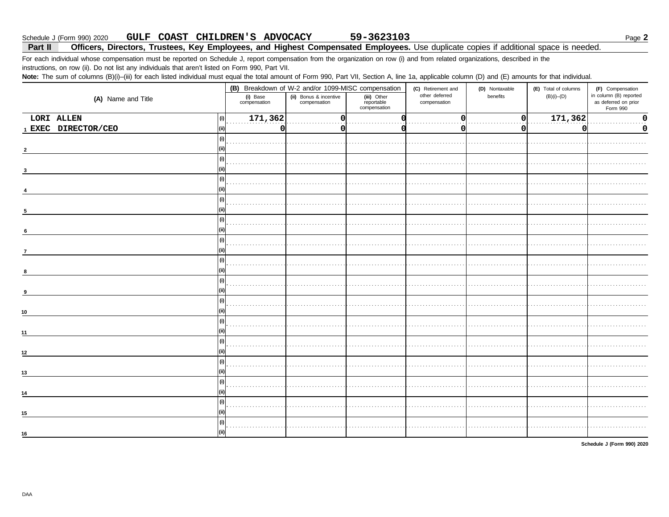### GULF COAST CHILDREN'S ADVOCACY Schedule J (Form 990) 2020

#### Part II Officers, Directors, Trustees, Key Employees, and Highest Compensated Employees. Use duplicate copies if additional space is needed.

For each individual whose compensation must be reported on Schedule J, report compensation from the organization on row (i) and from related organizations, described in the instructions, on row (ii). Do not list any individuals that aren't listed on Form 990, Part VII.

Note: The sum of columns (B)(i)-(iii) for each listed individual must equal the total amount of Form 990, Part VII, Section A, line 1a, applicable column (D) and (E) amounts for that individual.

|                             |                          | (B) Breakdown of W-2 and/or 1099-MISC compensation |                                           | (D) Nontaxable<br>(C) Retirement and |          | (E) Total of columns | (F) Compensation                                           |
|-----------------------------|--------------------------|----------------------------------------------------|-------------------------------------------|--------------------------------------|----------|----------------------|------------------------------------------------------------|
| (A) Name and Title          | (i) Base<br>compensation | (ii) Bonus & incentive<br>compensation             | (iii) Other<br>reportable<br>compensation | other deferred<br>compensation       | benefits | $(B)(i)$ - $(D)$     | in column (B) reported<br>as deferred on prior<br>Form 990 |
| LORI ALLEN<br>(i)           | 171,362                  | $\Omega$                                           |                                           |                                      | $\Omega$ | 171,362              | 0                                                          |
| 1 EXEC DIRECTOR/CEO<br>(ii) | 0                        | ი                                                  |                                           | o                                    | 0        | O                    | 0                                                          |
| (i)                         |                          |                                                    |                                           |                                      |          |                      |                                                            |
| (ii)                        |                          |                                                    |                                           |                                      |          |                      |                                                            |
| (i)                         |                          |                                                    |                                           |                                      |          |                      |                                                            |
| (ii)                        |                          |                                                    |                                           |                                      |          |                      |                                                            |
| (i)                         |                          |                                                    |                                           |                                      |          |                      |                                                            |
|                             |                          |                                                    |                                           |                                      |          |                      |                                                            |
| (i)                         |                          |                                                    |                                           |                                      |          |                      |                                                            |
| 5                           |                          |                                                    |                                           |                                      |          |                      |                                                            |
| (i)                         |                          |                                                    |                                           |                                      |          |                      |                                                            |
| 6                           |                          |                                                    |                                           |                                      |          |                      |                                                            |
| (i)                         |                          |                                                    |                                           |                                      |          |                      |                                                            |
| (ii)<br>$\overline{7}$      |                          |                                                    |                                           |                                      |          |                      |                                                            |
| (i)                         |                          |                                                    |                                           |                                      |          |                      |                                                            |
| (iii)                       |                          |                                                    |                                           |                                      |          |                      |                                                            |
| (i)                         |                          |                                                    |                                           |                                      |          |                      |                                                            |
| (ii)                        |                          |                                                    |                                           |                                      |          |                      |                                                            |
| (i)                         |                          |                                                    |                                           |                                      |          |                      |                                                            |
| (ii)<br>10                  |                          |                                                    |                                           |                                      |          |                      |                                                            |
| (i)                         |                          |                                                    |                                           |                                      |          |                      |                                                            |
| (ii)<br>11                  |                          |                                                    |                                           |                                      |          |                      |                                                            |
| (i)                         |                          |                                                    |                                           |                                      |          |                      |                                                            |
| (ii<br>12                   |                          |                                                    |                                           |                                      |          |                      |                                                            |
| (i)                         |                          |                                                    |                                           |                                      |          |                      |                                                            |
| (ii)<br>13                  |                          |                                                    |                                           |                                      |          |                      |                                                            |
| (i)                         |                          |                                                    |                                           |                                      |          |                      |                                                            |
| (ii)<br>14                  |                          |                                                    |                                           |                                      |          |                      |                                                            |
| (i)                         |                          |                                                    |                                           |                                      |          |                      |                                                            |
| 15                          |                          |                                                    |                                           |                                      |          |                      |                                                            |
| (i)                         |                          |                                                    |                                           |                                      |          |                      |                                                            |
| (ii)<br>16                  |                          |                                                    |                                           |                                      |          |                      |                                                            |
|                             |                          |                                                    |                                           |                                      |          |                      |                                                            |

Schedule J (Form 990) 2020

59-3623103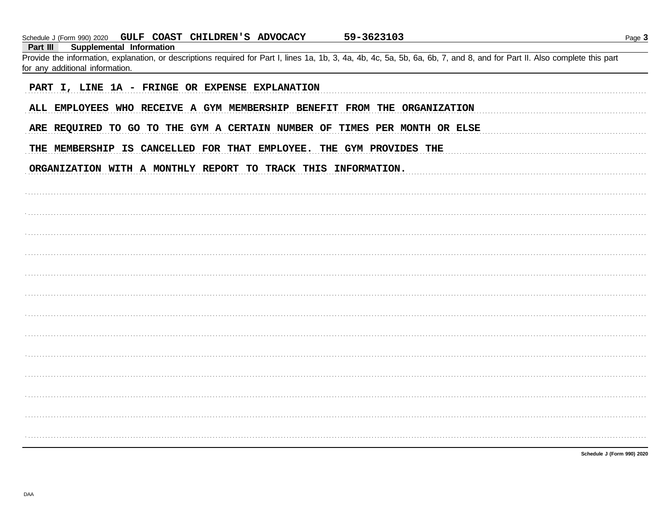Part III **Supplemental Information** 

Provide the information, explanation, or descriptions required for Part I, lines 1a, 1b, 3, 4a, 4b, 4c, 5a, 5b, 6a, 6b, 7, and 8, and for Part II. Also complete this part for any additional information.

| PART I, LINE 1A - FRINGE OR EXPENSE EXPLANATION                           |  |  |  |  |  |  |  |
|---------------------------------------------------------------------------|--|--|--|--|--|--|--|
| ALL EMPLOYEES WHO RECEIVE A GYM MEMBERSHIP BENEFIT FROM THE ORGANIZATION  |  |  |  |  |  |  |  |
| ARE REQUIRED TO GO TO THE GYM A CERTAIN NUMBER OF TIMES PER MONTH OR ELSE |  |  |  |  |  |  |  |
| THE MEMBERSHIP IS CANCELLED FOR THAT EMPLOYEE. THE GYM PROVIDES THE       |  |  |  |  |  |  |  |
| ORGANIZATION WITH A MONTHLY REPORT TO TRACK THIS INFORMATION.             |  |  |  |  |  |  |  |
|                                                                           |  |  |  |  |  |  |  |
|                                                                           |  |  |  |  |  |  |  |
|                                                                           |  |  |  |  |  |  |  |
|                                                                           |  |  |  |  |  |  |  |
|                                                                           |  |  |  |  |  |  |  |
|                                                                           |  |  |  |  |  |  |  |
|                                                                           |  |  |  |  |  |  |  |
|                                                                           |  |  |  |  |  |  |  |
|                                                                           |  |  |  |  |  |  |  |
|                                                                           |  |  |  |  |  |  |  |
|                                                                           |  |  |  |  |  |  |  |
|                                                                           |  |  |  |  |  |  |  |
|                                                                           |  |  |  |  |  |  |  |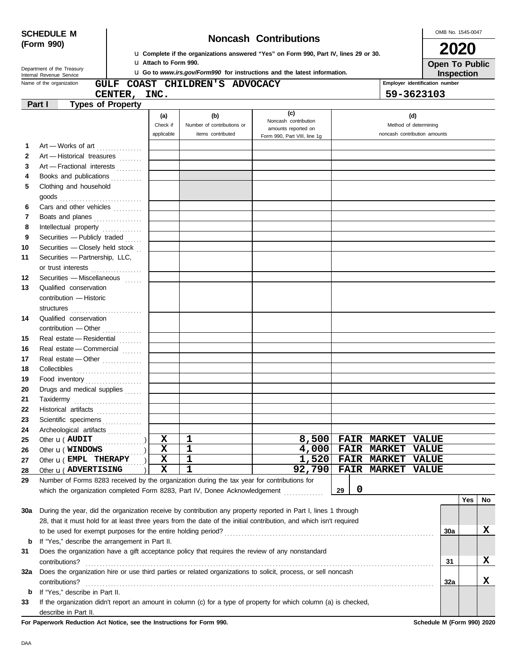DAA

**b** If "Yes," describe in Part II.

describe in Part II.

| (Form 990)<br>La Complete if the organizations answered "Yes" on Form 990, Part IV, lines 29 or 30.<br><b>u</b> Attach to Form 990.<br>Department of the Treasury<br><b>u</b> Go to www.irs.gov/Form990 for instructions and the latest information.<br>Internal Revenue Service<br>Employer identification number<br>Name of the organization<br>GULF COAST CHILDREN'S ADVOCACY<br>59-3623103<br>CENTER,<br>INC.<br><b>Types of Property</b><br>Part I<br>(c)<br>(b)<br>(d)<br>(a)<br>Noncash contribution<br>Check if<br>Method of determining<br>Number of contributions or<br>amounts reported on<br>applicable<br>items contributed<br>noncash contribution amounts<br>Form 990, Part VIII, line 1g<br>Art - Works of art<br>1<br>2<br>Art - Historical treasures<br>Art - Fractional interests<br>3<br>Books and publications<br>4<br>5<br>Clothing and household<br>Cars and other vehicles<br>6<br>Boats and planes<br>7<br>8<br>Intellectual property<br>9<br>Securities - Publicly traded<br>Securities - Closely held stock<br>10<br>Securities - Partnership, LLC,<br>11<br>or trust interests<br>Securities - Miscellaneous <b>Securities</b><br>12<br>13<br>Qualified conservation<br>contribution - Historic<br>structures<br>Qualified conservation<br>14<br>contribution - Other<br>Real estate - Residential<br>15<br>Real estate - Commercial<br>16<br>Real estate - Other<br>17<br>Collectibles<br>18<br>19<br>Food inventory<br>Drugs and medical supplies<br>20<br>21<br>Taxidermy<br>22<br>Scientific specimens<br>23<br>Archeological artifacts<br>24<br>1<br>8,500<br>X<br><b>FAIR MARKET</b><br>Other <b>u</b> ( AUDIT<br>25<br>X<br>1<br>4,000<br><b>FAIR MARKET</b><br>Other <b>u</b> ( <b>WINDOWS</b><br>26<br>1<br>1,520<br>X<br><b>FAIR MARKET</b><br>Other <b>u</b> (EMPL THERAPY<br>27<br>92,790<br>1<br><b>FAIR MARKET</b><br>х<br>Other <b>u</b> ( ADVERTISING<br>28<br>Number of Forms 8283 received by the organization during the tax year for contributions for<br>29<br>$\mathbf 0$<br>which the organization completed Form 8283, Part IV, Donee Acknowledgement<br>29<br>During the year, did the organization receive by contribution any property reported in Part I, lines 1 through<br>30a<br>28, that it must hold for at least three years from the date of the initial contribution, and which isn't required<br>If "Yes," describe the arrangement in Part II.<br>b<br>Does the organization have a gift acceptance policy that requires the review of any nonstandard<br>31<br>contributions? | <b>SCHEDULE M</b> |  |                              |  |  |  |              |            | OMB No. 1545-0047                  |  |
|--------------------------------------------------------------------------------------------------------------------------------------------------------------------------------------------------------------------------------------------------------------------------------------------------------------------------------------------------------------------------------------------------------------------------------------------------------------------------------------------------------------------------------------------------------------------------------------------------------------------------------------------------------------------------------------------------------------------------------------------------------------------------------------------------------------------------------------------------------------------------------------------------------------------------------------------------------------------------------------------------------------------------------------------------------------------------------------------------------------------------------------------------------------------------------------------------------------------------------------------------------------------------------------------------------------------------------------------------------------------------------------------------------------------------------------------------------------------------------------------------------------------------------------------------------------------------------------------------------------------------------------------------------------------------------------------------------------------------------------------------------------------------------------------------------------------------------------------------------------------------------------------------------------------------------------------------------------------------------------------------------------------------------------------------------------------------------------------------------------------------------------------------------------------------------------------------------------------------------------------------------------------------------------------------------------------------------------------------------------------------------------------------------------------------------------------------------------------------------------------------------------------------------------------------|-------------------|--|------------------------------|--|--|--|--------------|------------|------------------------------------|--|
|                                                                                                                                                                                                                                                                                                                                                                                                                                                                                                                                                                                                                                                                                                                                                                                                                                                                                                                                                                                                                                                                                                                                                                                                                                                                                                                                                                                                                                                                                                                                                                                                                                                                                                                                                                                                                                                                                                                                                                                                                                                                                                                                                                                                                                                                                                                                                                                                                                                                                                                                                  |                   |  | <b>Noncash Contributions</b> |  |  |  |              |            |                                    |  |
|                                                                                                                                                                                                                                                                                                                                                                                                                                                                                                                                                                                                                                                                                                                                                                                                                                                                                                                                                                                                                                                                                                                                                                                                                                                                                                                                                                                                                                                                                                                                                                                                                                                                                                                                                                                                                                                                                                                                                                                                                                                                                                                                                                                                                                                                                                                                                                                                                                                                                                                                                  |                   |  |                              |  |  |  |              |            | 2020<br>Open To Publ<br>Inspection |  |
|                                                                                                                                                                                                                                                                                                                                                                                                                                                                                                                                                                                                                                                                                                                                                                                                                                                                                                                                                                                                                                                                                                                                                                                                                                                                                                                                                                                                                                                                                                                                                                                                                                                                                                                                                                                                                                                                                                                                                                                                                                                                                                                                                                                                                                                                                                                                                                                                                                                                                                                                                  |                   |  |                              |  |  |  |              |            |                                    |  |
|                                                                                                                                                                                                                                                                                                                                                                                                                                                                                                                                                                                                                                                                                                                                                                                                                                                                                                                                                                                                                                                                                                                                                                                                                                                                                                                                                                                                                                                                                                                                                                                                                                                                                                                                                                                                                                                                                                                                                                                                                                                                                                                                                                                                                                                                                                                                                                                                                                                                                                                                                  |                   |  |                              |  |  |  |              |            |                                    |  |
|                                                                                                                                                                                                                                                                                                                                                                                                                                                                                                                                                                                                                                                                                                                                                                                                                                                                                                                                                                                                                                                                                                                                                                                                                                                                                                                                                                                                                                                                                                                                                                                                                                                                                                                                                                                                                                                                                                                                                                                                                                                                                                                                                                                                                                                                                                                                                                                                                                                                                                                                                  |                   |  |                              |  |  |  |              |            |                                    |  |
|                                                                                                                                                                                                                                                                                                                                                                                                                                                                                                                                                                                                                                                                                                                                                                                                                                                                                                                                                                                                                                                                                                                                                                                                                                                                                                                                                                                                                                                                                                                                                                                                                                                                                                                                                                                                                                                                                                                                                                                                                                                                                                                                                                                                                                                                                                                                                                                                                                                                                                                                                  |                   |  |                              |  |  |  |              |            |                                    |  |
|                                                                                                                                                                                                                                                                                                                                                                                                                                                                                                                                                                                                                                                                                                                                                                                                                                                                                                                                                                                                                                                                                                                                                                                                                                                                                                                                                                                                                                                                                                                                                                                                                                                                                                                                                                                                                                                                                                                                                                                                                                                                                                                                                                                                                                                                                                                                                                                                                                                                                                                                                  |                   |  |                              |  |  |  |              |            |                                    |  |
|                                                                                                                                                                                                                                                                                                                                                                                                                                                                                                                                                                                                                                                                                                                                                                                                                                                                                                                                                                                                                                                                                                                                                                                                                                                                                                                                                                                                                                                                                                                                                                                                                                                                                                                                                                                                                                                                                                                                                                                                                                                                                                                                                                                                                                                                                                                                                                                                                                                                                                                                                  |                   |  |                              |  |  |  |              |            |                                    |  |
|                                                                                                                                                                                                                                                                                                                                                                                                                                                                                                                                                                                                                                                                                                                                                                                                                                                                                                                                                                                                                                                                                                                                                                                                                                                                                                                                                                                                                                                                                                                                                                                                                                                                                                                                                                                                                                                                                                                                                                                                                                                                                                                                                                                                                                                                                                                                                                                                                                                                                                                                                  |                   |  |                              |  |  |  |              |            |                                    |  |
|                                                                                                                                                                                                                                                                                                                                                                                                                                                                                                                                                                                                                                                                                                                                                                                                                                                                                                                                                                                                                                                                                                                                                                                                                                                                                                                                                                                                                                                                                                                                                                                                                                                                                                                                                                                                                                                                                                                                                                                                                                                                                                                                                                                                                                                                                                                                                                                                                                                                                                                                                  |                   |  |                              |  |  |  |              |            |                                    |  |
|                                                                                                                                                                                                                                                                                                                                                                                                                                                                                                                                                                                                                                                                                                                                                                                                                                                                                                                                                                                                                                                                                                                                                                                                                                                                                                                                                                                                                                                                                                                                                                                                                                                                                                                                                                                                                                                                                                                                                                                                                                                                                                                                                                                                                                                                                                                                                                                                                                                                                                                                                  |                   |  |                              |  |  |  |              |            |                                    |  |
|                                                                                                                                                                                                                                                                                                                                                                                                                                                                                                                                                                                                                                                                                                                                                                                                                                                                                                                                                                                                                                                                                                                                                                                                                                                                                                                                                                                                                                                                                                                                                                                                                                                                                                                                                                                                                                                                                                                                                                                                                                                                                                                                                                                                                                                                                                                                                                                                                                                                                                                                                  |                   |  |                              |  |  |  |              |            |                                    |  |
|                                                                                                                                                                                                                                                                                                                                                                                                                                                                                                                                                                                                                                                                                                                                                                                                                                                                                                                                                                                                                                                                                                                                                                                                                                                                                                                                                                                                                                                                                                                                                                                                                                                                                                                                                                                                                                                                                                                                                                                                                                                                                                                                                                                                                                                                                                                                                                                                                                                                                                                                                  |                   |  |                              |  |  |  |              |            |                                    |  |
|                                                                                                                                                                                                                                                                                                                                                                                                                                                                                                                                                                                                                                                                                                                                                                                                                                                                                                                                                                                                                                                                                                                                                                                                                                                                                                                                                                                                                                                                                                                                                                                                                                                                                                                                                                                                                                                                                                                                                                                                                                                                                                                                                                                                                                                                                                                                                                                                                                                                                                                                                  |                   |  |                              |  |  |  |              |            |                                    |  |
|                                                                                                                                                                                                                                                                                                                                                                                                                                                                                                                                                                                                                                                                                                                                                                                                                                                                                                                                                                                                                                                                                                                                                                                                                                                                                                                                                                                                                                                                                                                                                                                                                                                                                                                                                                                                                                                                                                                                                                                                                                                                                                                                                                                                                                                                                                                                                                                                                                                                                                                                                  |                   |  |                              |  |  |  |              |            |                                    |  |
|                                                                                                                                                                                                                                                                                                                                                                                                                                                                                                                                                                                                                                                                                                                                                                                                                                                                                                                                                                                                                                                                                                                                                                                                                                                                                                                                                                                                                                                                                                                                                                                                                                                                                                                                                                                                                                                                                                                                                                                                                                                                                                                                                                                                                                                                                                                                                                                                                                                                                                                                                  |                   |  |                              |  |  |  |              |            |                                    |  |
|                                                                                                                                                                                                                                                                                                                                                                                                                                                                                                                                                                                                                                                                                                                                                                                                                                                                                                                                                                                                                                                                                                                                                                                                                                                                                                                                                                                                                                                                                                                                                                                                                                                                                                                                                                                                                                                                                                                                                                                                                                                                                                                                                                                                                                                                                                                                                                                                                                                                                                                                                  |                   |  |                              |  |  |  |              |            |                                    |  |
|                                                                                                                                                                                                                                                                                                                                                                                                                                                                                                                                                                                                                                                                                                                                                                                                                                                                                                                                                                                                                                                                                                                                                                                                                                                                                                                                                                                                                                                                                                                                                                                                                                                                                                                                                                                                                                                                                                                                                                                                                                                                                                                                                                                                                                                                                                                                                                                                                                                                                                                                                  |                   |  |                              |  |  |  |              |            |                                    |  |
|                                                                                                                                                                                                                                                                                                                                                                                                                                                                                                                                                                                                                                                                                                                                                                                                                                                                                                                                                                                                                                                                                                                                                                                                                                                                                                                                                                                                                                                                                                                                                                                                                                                                                                                                                                                                                                                                                                                                                                                                                                                                                                                                                                                                                                                                                                                                                                                                                                                                                                                                                  |                   |  |                              |  |  |  |              |            |                                    |  |
|                                                                                                                                                                                                                                                                                                                                                                                                                                                                                                                                                                                                                                                                                                                                                                                                                                                                                                                                                                                                                                                                                                                                                                                                                                                                                                                                                                                                                                                                                                                                                                                                                                                                                                                                                                                                                                                                                                                                                                                                                                                                                                                                                                                                                                                                                                                                                                                                                                                                                                                                                  |                   |  |                              |  |  |  |              |            |                                    |  |
|                                                                                                                                                                                                                                                                                                                                                                                                                                                                                                                                                                                                                                                                                                                                                                                                                                                                                                                                                                                                                                                                                                                                                                                                                                                                                                                                                                                                                                                                                                                                                                                                                                                                                                                                                                                                                                                                                                                                                                                                                                                                                                                                                                                                                                                                                                                                                                                                                                                                                                                                                  |                   |  |                              |  |  |  |              |            |                                    |  |
|                                                                                                                                                                                                                                                                                                                                                                                                                                                                                                                                                                                                                                                                                                                                                                                                                                                                                                                                                                                                                                                                                                                                                                                                                                                                                                                                                                                                                                                                                                                                                                                                                                                                                                                                                                                                                                                                                                                                                                                                                                                                                                                                                                                                                                                                                                                                                                                                                                                                                                                                                  |                   |  |                              |  |  |  |              |            |                                    |  |
|                                                                                                                                                                                                                                                                                                                                                                                                                                                                                                                                                                                                                                                                                                                                                                                                                                                                                                                                                                                                                                                                                                                                                                                                                                                                                                                                                                                                                                                                                                                                                                                                                                                                                                                                                                                                                                                                                                                                                                                                                                                                                                                                                                                                                                                                                                                                                                                                                                                                                                                                                  |                   |  |                              |  |  |  |              |            |                                    |  |
|                                                                                                                                                                                                                                                                                                                                                                                                                                                                                                                                                                                                                                                                                                                                                                                                                                                                                                                                                                                                                                                                                                                                                                                                                                                                                                                                                                                                                                                                                                                                                                                                                                                                                                                                                                                                                                                                                                                                                                                                                                                                                                                                                                                                                                                                                                                                                                                                                                                                                                                                                  |                   |  |                              |  |  |  |              |            |                                    |  |
|                                                                                                                                                                                                                                                                                                                                                                                                                                                                                                                                                                                                                                                                                                                                                                                                                                                                                                                                                                                                                                                                                                                                                                                                                                                                                                                                                                                                                                                                                                                                                                                                                                                                                                                                                                                                                                                                                                                                                                                                                                                                                                                                                                                                                                                                                                                                                                                                                                                                                                                                                  |                   |  |                              |  |  |  |              |            |                                    |  |
|                                                                                                                                                                                                                                                                                                                                                                                                                                                                                                                                                                                                                                                                                                                                                                                                                                                                                                                                                                                                                                                                                                                                                                                                                                                                                                                                                                                                                                                                                                                                                                                                                                                                                                                                                                                                                                                                                                                                                                                                                                                                                                                                                                                                                                                                                                                                                                                                                                                                                                                                                  |                   |  |                              |  |  |  |              |            |                                    |  |
|                                                                                                                                                                                                                                                                                                                                                                                                                                                                                                                                                                                                                                                                                                                                                                                                                                                                                                                                                                                                                                                                                                                                                                                                                                                                                                                                                                                                                                                                                                                                                                                                                                                                                                                                                                                                                                                                                                                                                                                                                                                                                                                                                                                                                                                                                                                                                                                                                                                                                                                                                  |                   |  |                              |  |  |  |              |            |                                    |  |
|                                                                                                                                                                                                                                                                                                                                                                                                                                                                                                                                                                                                                                                                                                                                                                                                                                                                                                                                                                                                                                                                                                                                                                                                                                                                                                                                                                                                                                                                                                                                                                                                                                                                                                                                                                                                                                                                                                                                                                                                                                                                                                                                                                                                                                                                                                                                                                                                                                                                                                                                                  |                   |  |                              |  |  |  |              |            |                                    |  |
|                                                                                                                                                                                                                                                                                                                                                                                                                                                                                                                                                                                                                                                                                                                                                                                                                                                                                                                                                                                                                                                                                                                                                                                                                                                                                                                                                                                                                                                                                                                                                                                                                                                                                                                                                                                                                                                                                                                                                                                                                                                                                                                                                                                                                                                                                                                                                                                                                                                                                                                                                  |                   |  |                              |  |  |  |              |            |                                    |  |
|                                                                                                                                                                                                                                                                                                                                                                                                                                                                                                                                                                                                                                                                                                                                                                                                                                                                                                                                                                                                                                                                                                                                                                                                                                                                                                                                                                                                                                                                                                                                                                                                                                                                                                                                                                                                                                                                                                                                                                                                                                                                                                                                                                                                                                                                                                                                                                                                                                                                                                                                                  |                   |  |                              |  |  |  |              |            |                                    |  |
|                                                                                                                                                                                                                                                                                                                                                                                                                                                                                                                                                                                                                                                                                                                                                                                                                                                                                                                                                                                                                                                                                                                                                                                                                                                                                                                                                                                                                                                                                                                                                                                                                                                                                                                                                                                                                                                                                                                                                                                                                                                                                                                                                                                                                                                                                                                                                                                                                                                                                                                                                  |                   |  |                              |  |  |  |              |            |                                    |  |
|                                                                                                                                                                                                                                                                                                                                                                                                                                                                                                                                                                                                                                                                                                                                                                                                                                                                                                                                                                                                                                                                                                                                                                                                                                                                                                                                                                                                                                                                                                                                                                                                                                                                                                                                                                                                                                                                                                                                                                                                                                                                                                                                                                                                                                                                                                                                                                                                                                                                                                                                                  |                   |  |                              |  |  |  |              |            |                                    |  |
|                                                                                                                                                                                                                                                                                                                                                                                                                                                                                                                                                                                                                                                                                                                                                                                                                                                                                                                                                                                                                                                                                                                                                                                                                                                                                                                                                                                                                                                                                                                                                                                                                                                                                                                                                                                                                                                                                                                                                                                                                                                                                                                                                                                                                                                                                                                                                                                                                                                                                                                                                  |                   |  |                              |  |  |  |              |            |                                    |  |
|                                                                                                                                                                                                                                                                                                                                                                                                                                                                                                                                                                                                                                                                                                                                                                                                                                                                                                                                                                                                                                                                                                                                                                                                                                                                                                                                                                                                                                                                                                                                                                                                                                                                                                                                                                                                                                                                                                                                                                                                                                                                                                                                                                                                                                                                                                                                                                                                                                                                                                                                                  |                   |  |                              |  |  |  |              |            |                                    |  |
|                                                                                                                                                                                                                                                                                                                                                                                                                                                                                                                                                                                                                                                                                                                                                                                                                                                                                                                                                                                                                                                                                                                                                                                                                                                                                                                                                                                                                                                                                                                                                                                                                                                                                                                                                                                                                                                                                                                                                                                                                                                                                                                                                                                                                                                                                                                                                                                                                                                                                                                                                  |                   |  |                              |  |  |  | <b>VALUE</b> |            |                                    |  |
|                                                                                                                                                                                                                                                                                                                                                                                                                                                                                                                                                                                                                                                                                                                                                                                                                                                                                                                                                                                                                                                                                                                                                                                                                                                                                                                                                                                                                                                                                                                                                                                                                                                                                                                                                                                                                                                                                                                                                                                                                                                                                                                                                                                                                                                                                                                                                                                                                                                                                                                                                  |                   |  |                              |  |  |  | <b>VALUE</b> |            |                                    |  |
|                                                                                                                                                                                                                                                                                                                                                                                                                                                                                                                                                                                                                                                                                                                                                                                                                                                                                                                                                                                                                                                                                                                                                                                                                                                                                                                                                                                                                                                                                                                                                                                                                                                                                                                                                                                                                                                                                                                                                                                                                                                                                                                                                                                                                                                                                                                                                                                                                                                                                                                                                  |                   |  |                              |  |  |  | <b>VALUE</b> |            |                                    |  |
|                                                                                                                                                                                                                                                                                                                                                                                                                                                                                                                                                                                                                                                                                                                                                                                                                                                                                                                                                                                                                                                                                                                                                                                                                                                                                                                                                                                                                                                                                                                                                                                                                                                                                                                                                                                                                                                                                                                                                                                                                                                                                                                                                                                                                                                                                                                                                                                                                                                                                                                                                  |                   |  |                              |  |  |  | <b>VALUE</b> |            |                                    |  |
|                                                                                                                                                                                                                                                                                                                                                                                                                                                                                                                                                                                                                                                                                                                                                                                                                                                                                                                                                                                                                                                                                                                                                                                                                                                                                                                                                                                                                                                                                                                                                                                                                                                                                                                                                                                                                                                                                                                                                                                                                                                                                                                                                                                                                                                                                                                                                                                                                                                                                                                                                  |                   |  |                              |  |  |  |              |            | Yes                                |  |
|                                                                                                                                                                                                                                                                                                                                                                                                                                                                                                                                                                                                                                                                                                                                                                                                                                                                                                                                                                                                                                                                                                                                                                                                                                                                                                                                                                                                                                                                                                                                                                                                                                                                                                                                                                                                                                                                                                                                                                                                                                                                                                                                                                                                                                                                                                                                                                                                                                                                                                                                                  |                   |  |                              |  |  |  |              |            |                                    |  |
|                                                                                                                                                                                                                                                                                                                                                                                                                                                                                                                                                                                                                                                                                                                                                                                                                                                                                                                                                                                                                                                                                                                                                                                                                                                                                                                                                                                                                                                                                                                                                                                                                                                                                                                                                                                                                                                                                                                                                                                                                                                                                                                                                                                                                                                                                                                                                                                                                                                                                                                                                  |                   |  |                              |  |  |  |              |            |                                    |  |
|                                                                                                                                                                                                                                                                                                                                                                                                                                                                                                                                                                                                                                                                                                                                                                                                                                                                                                                                                                                                                                                                                                                                                                                                                                                                                                                                                                                                                                                                                                                                                                                                                                                                                                                                                                                                                                                                                                                                                                                                                                                                                                                                                                                                                                                                                                                                                                                                                                                                                                                                                  |                   |  |                              |  |  |  |              |            |                                    |  |
|                                                                                                                                                                                                                                                                                                                                                                                                                                                                                                                                                                                                                                                                                                                                                                                                                                                                                                                                                                                                                                                                                                                                                                                                                                                                                                                                                                                                                                                                                                                                                                                                                                                                                                                                                                                                                                                                                                                                                                                                                                                                                                                                                                                                                                                                                                                                                                                                                                                                                                                                                  |                   |  |                              |  |  |  |              | <b>30a</b> |                                    |  |
|                                                                                                                                                                                                                                                                                                                                                                                                                                                                                                                                                                                                                                                                                                                                                                                                                                                                                                                                                                                                                                                                                                                                                                                                                                                                                                                                                                                                                                                                                                                                                                                                                                                                                                                                                                                                                                                                                                                                                                                                                                                                                                                                                                                                                                                                                                                                                                                                                                                                                                                                                  |                   |  |                              |  |  |  |              |            |                                    |  |
|                                                                                                                                                                                                                                                                                                                                                                                                                                                                                                                                                                                                                                                                                                                                                                                                                                                                                                                                                                                                                                                                                                                                                                                                                                                                                                                                                                                                                                                                                                                                                                                                                                                                                                                                                                                                                                                                                                                                                                                                                                                                                                                                                                                                                                                                                                                                                                                                                                                                                                                                                  |                   |  |                              |  |  |  |              | 31         |                                    |  |
| Does the organization hire or use third parties or related organizations to solicit, process, or sell noncash                                                                                                                                                                                                                                                                                                                                                                                                                                                                                                                                                                                                                                                                                                                                                                                                                                                                                                                                                                                                                                                                                                                                                                                                                                                                                                                                                                                                                                                                                                                                                                                                                                                                                                                                                                                                                                                                                                                                                                                                                                                                                                                                                                                                                                                                                                                                                                                                                                    | 32a               |  |                              |  |  |  |              |            |                                    |  |
| contributions?                                                                                                                                                                                                                                                                                                                                                                                                                                                                                                                                                                                                                                                                                                                                                                                                                                                                                                                                                                                                                                                                                                                                                                                                                                                                                                                                                                                                                                                                                                                                                                                                                                                                                                                                                                                                                                                                                                                                                                                                                                                                                                                                                                                                                                                                                                                                                                                                                                                                                                                                   |                   |  |                              |  |  |  |              | 32a        |                                    |  |

**33** If the organization didn't report an amount in column (c) for a type of property for which column (a) is checked,

**2020**

**n To Public** 

| For Paperwork Reduction Act Notice, see the Instructions for Form 990. | Schedule M (Form 990) 2020 |
|------------------------------------------------------------------------|----------------------------|
|                                                                        |                            |

**Yes No**

**X**

**X**

**X**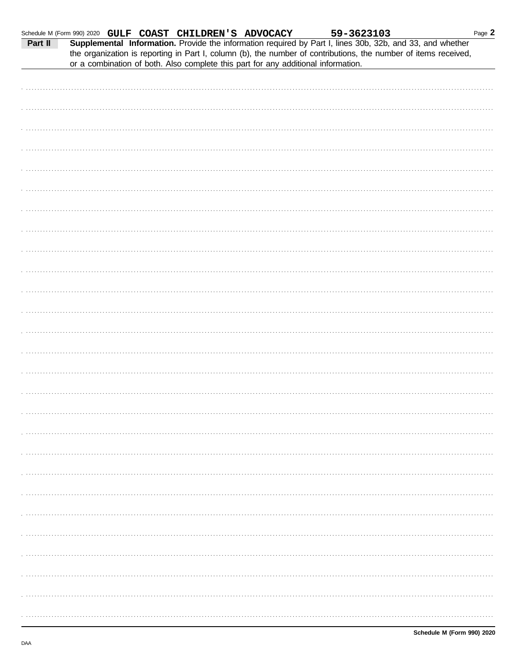| Part II | Schedule M (Form 990) 2020 GULF COAST CHILDREN'S ADVOCACY<br>or a combination of both. Also complete this part for any additional information. |  |  | 59-3623103 | Supplemental Information. Provide the information required by Part I, lines 30b, 32b, and 33, and whether<br>the organization is reporting in Part I, column (b), the number of contributions, the number of items received, | Page 2 |
|---------|------------------------------------------------------------------------------------------------------------------------------------------------|--|--|------------|------------------------------------------------------------------------------------------------------------------------------------------------------------------------------------------------------------------------------|--------|
|         |                                                                                                                                                |  |  |            |                                                                                                                                                                                                                              |        |
|         |                                                                                                                                                |  |  |            |                                                                                                                                                                                                                              |        |
|         |                                                                                                                                                |  |  |            |                                                                                                                                                                                                                              |        |
|         |                                                                                                                                                |  |  |            |                                                                                                                                                                                                                              |        |
|         |                                                                                                                                                |  |  |            |                                                                                                                                                                                                                              |        |
|         |                                                                                                                                                |  |  |            |                                                                                                                                                                                                                              |        |
|         |                                                                                                                                                |  |  |            |                                                                                                                                                                                                                              |        |
|         |                                                                                                                                                |  |  |            |                                                                                                                                                                                                                              |        |
|         |                                                                                                                                                |  |  |            |                                                                                                                                                                                                                              |        |
|         |                                                                                                                                                |  |  |            |                                                                                                                                                                                                                              |        |
|         |                                                                                                                                                |  |  |            |                                                                                                                                                                                                                              |        |
|         |                                                                                                                                                |  |  |            |                                                                                                                                                                                                                              |        |
|         |                                                                                                                                                |  |  |            |                                                                                                                                                                                                                              |        |
|         |                                                                                                                                                |  |  |            |                                                                                                                                                                                                                              |        |
|         |                                                                                                                                                |  |  |            |                                                                                                                                                                                                                              |        |
|         |                                                                                                                                                |  |  |            |                                                                                                                                                                                                                              |        |
|         |                                                                                                                                                |  |  |            |                                                                                                                                                                                                                              |        |
|         |                                                                                                                                                |  |  |            |                                                                                                                                                                                                                              |        |
|         |                                                                                                                                                |  |  |            |                                                                                                                                                                                                                              |        |
|         |                                                                                                                                                |  |  |            |                                                                                                                                                                                                                              |        |
|         |                                                                                                                                                |  |  |            |                                                                                                                                                                                                                              |        |
|         |                                                                                                                                                |  |  |            |                                                                                                                                                                                                                              |        |
|         |                                                                                                                                                |  |  |            |                                                                                                                                                                                                                              |        |
|         |                                                                                                                                                |  |  |            |                                                                                                                                                                                                                              |        |
|         |                                                                                                                                                |  |  |            |                                                                                                                                                                                                                              |        |
|         |                                                                                                                                                |  |  |            |                                                                                                                                                                                                                              |        |
|         |                                                                                                                                                |  |  |            |                                                                                                                                                                                                                              |        |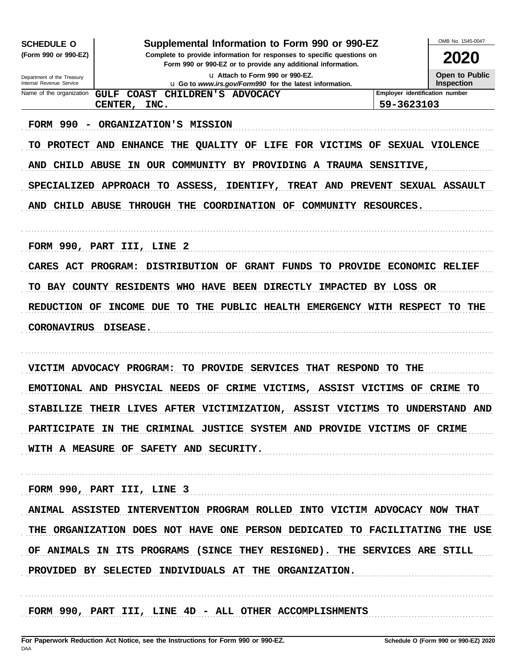| Supplemental Information to Form 990 or 990-EZ<br>(Form 990 or 990-EZ)<br>Complete to provide information for responses to specific questions on<br>Form 990 or 990-EZ or to provide any additional information. |                                                                                                    |                                 |                        |  |  |
|------------------------------------------------------------------------------------------------------------------------------------------------------------------------------------------------------------------|----------------------------------------------------------------------------------------------------|---------------------------------|------------------------|--|--|
|                                                                                                                                                                                                                  |                                                                                                    | Open to Public                  |                        |  |  |
| Department of the Treasury<br>Internal Revenue Service                                                                                                                                                           | La Attach to Form 990 or 990-EZ.<br><b>u</b> Go to www.irs.gov/Form990 for the latest information. |                                 | <b>Inspection</b>      |  |  |
| Name of the organization                                                                                                                                                                                         | <b>GULF</b><br><b>COAST</b><br>CHILDREN'S ADVOCACY                                                 | Employer identification number  |                        |  |  |
|                                                                                                                                                                                                                  | INC.<br>CENTER,                                                                                    | 59-3623103                      |                        |  |  |
| FORM 990<br><b>PROTECT</b><br>TO                                                                                                                                                                                 | ORGANIZATION'S MISSION<br>AND<br><b>ENHANCE</b><br>THE<br>QUALITY OF LIFE FOR VICTIMS              | OF                              | SEXUAL VIOLENCE        |  |  |
| <b>CHILD</b><br><b>AND</b>                                                                                                                                                                                       | <b>ABUSE</b><br>COMMUNITY BY PROVIDING A<br>IN.<br>OUR                                             | TRAUMA SENSITIVE,               |                        |  |  |
|                                                                                                                                                                                                                  | SPECIALIZED APPROACH TO<br>ASSESS,<br><b>IDENTIFY,</b><br><b>TREAT</b>                             | AND<br><b>PREVENT</b>           | SEXUAL ASSAULT         |  |  |
| AND<br><b>CHILD</b>                                                                                                                                                                                              | ABUSE<br>THROUGH<br>THE<br>COORDINATION OF                                                         | COMMUNITY RESOURCES.            |                        |  |  |
|                                                                                                                                                                                                                  |                                                                                                    |                                 |                        |  |  |
|                                                                                                                                                                                                                  | FORM 990, PART III, LINE 2                                                                         |                                 |                        |  |  |
| <b>CARES</b><br>ACT                                                                                                                                                                                              | <b>DISTRIBUTION OF</b><br><b>FUNDS</b><br>PROGRAM:<br><b>GRANT</b>                                 | TO<br><b>PROVIDE</b>            | <b>ECONOMIC RELIEF</b> |  |  |
| TO<br>BAY COUNTY                                                                                                                                                                                                 | <b>DIRECTLY</b><br>RESIDENTS<br><b>WHO</b><br><b>HAVE</b><br>BEEN                                  | <b>IMPACTED</b><br>BY LOSS OR   |                        |  |  |
| <b>REDUCTION OF</b>                                                                                                                                                                                              | INCOME DUE<br>PUBLIC<br>TО<br>THE                                                                  | HEALTH EMERGENCY WITH RESPECT   | TO<br>THE              |  |  |
|                                                                                                                                                                                                                  |                                                                                                    |                                 |                        |  |  |
| <b>CORONAVIRUS</b>                                                                                                                                                                                               | DISEASE.                                                                                           |                                 |                        |  |  |
|                                                                                                                                                                                                                  |                                                                                                    |                                 |                        |  |  |
|                                                                                                                                                                                                                  | <b>SERVICES</b><br>VICTIM ADVOCACY PROGRAM:<br>TО<br><b>PROVIDE</b><br><b>THAT</b>                 | <b>RESPOND</b><br>TO<br>THE     |                        |  |  |
| EMOTIONAL AND                                                                                                                                                                                                    | PHSYCIAL NEEDS<br>VICTIMS,<br>OF<br><b>CRIME</b>                                                   | VICTIMS<br><b>ASSIST</b><br>OF. | <b>CRIME</b><br>TO     |  |  |
|                                                                                                                                                                                                                  | STABILIZE THEIR LIVES AFTER VICTIMIZATION, ASSIST VICTIMS TO UNDERSTAND AND                        |                                 |                        |  |  |
|                                                                                                                                                                                                                  | PARTICIPATE IN THE CRIMINAL JUSTICE SYSTEM AND PROVIDE VICTIMS OF CRIME                            |                                 |                        |  |  |
|                                                                                                                                                                                                                  | WITH A MEASURE OF SAFETY AND SECURITY.                                                             |                                 |                        |  |  |
|                                                                                                                                                                                                                  |                                                                                                    |                                 |                        |  |  |
|                                                                                                                                                                                                                  |                                                                                                    |                                 |                        |  |  |
|                                                                                                                                                                                                                  | FORM 990, PART III, LINE 3                                                                         |                                 |                        |  |  |
|                                                                                                                                                                                                                  | ANIMAL ASSISTED INTERVENTION PROGRAM ROLLED INTO VICTIM ADVOCACY NOW THAT                          |                                 |                        |  |  |
|                                                                                                                                                                                                                  | THE ORGANIZATION DOES NOT HAVE ONE PERSON DEDICATED TO FACILITATING THE USE                        |                                 |                        |  |  |
|                                                                                                                                                                                                                  | OF ANIMALS IN ITS PROGRAMS (SINCE THEY RESIGNED). THE SERVICES ARE STILL                           |                                 |                        |  |  |
|                                                                                                                                                                                                                  | PROVIDED BY SELECTED INDIVIDUALS AT THE ORGANIZATION.                                              |                                 |                        |  |  |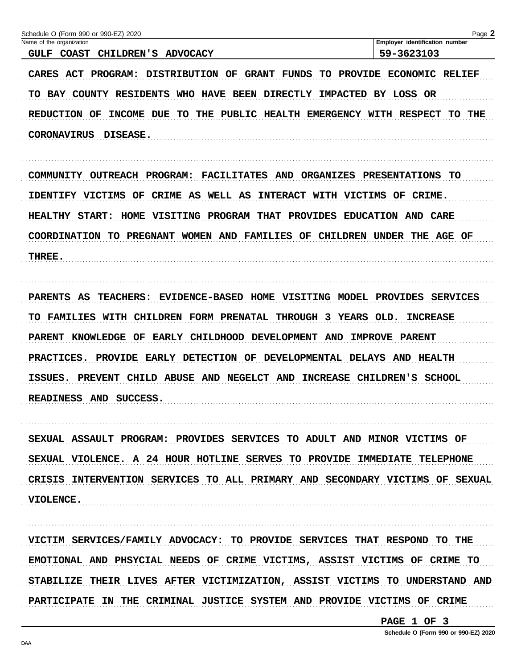| Schedule O (Form 990 or 990-EZ) 2020                                                                                                                                                                                                                                                    | Page 2                                                                          |
|-----------------------------------------------------------------------------------------------------------------------------------------------------------------------------------------------------------------------------------------------------------------------------------------|---------------------------------------------------------------------------------|
| Name of the organization                                                                                                                                                                                                                                                                | Employer identification number                                                  |
| <b>GULF COAST</b><br><b>CHILDREN'S</b><br><b>ADVOCACY</b>                                                                                                                                                                                                                               | 59-3623103                                                                      |
| <b>PROGRAM:</b><br><b>CARES</b><br>ACT<br>DISTRIBUTION OF<br><b>GRANT</b><br>FUNDS<br>TO.<br>TO BAY COUNTY RESIDENTS WHO HAVE BEEN DIRECTLY<br><b>IMPACTED</b><br>REDUCTION OF<br>INCOME DUE<br>TO<br>THE PUBLIC HEALTH EMERGENCY WITH RESPECT<br><b>CORONAVIRUS</b><br><b>DISEASE.</b> | <b>PROVIDE</b><br><b>ECONOMIC</b><br><b>RELIEF</b><br>BY LOSS OR<br>THE<br>TO . |
| <b>OUTREACH PROGRAM:</b><br><b>FACILITATES AND ORGANIZES PRESENTATIONS</b><br>COMMUNITY<br>INTERACT WITH VICTIMS<br>IDENTIFY VICTIMS<br>CRIME AS WELL AS<br>OF<br><b>HEALTHY</b><br>START:<br><b>HOME</b><br>VISITING PROGRAM THAT<br><b>PROVIDES</b>                                   | TO<br><b>CRIME.</b><br>OF<br><b>EDUCATION</b><br><b>CARE</b><br>AND             |
| <b>COORDINATION</b><br>TO PREGNANT WOMEN AND FAMILIES OF CHILDREN UNDER<br>THREE.                                                                                                                                                                                                       | THE AGE OF                                                                      |
| TEACHERS:<br>EVIDENCE-BASED HOME<br>VISITING MODEL PROVIDES<br><b>PARENTS</b><br>AS                                                                                                                                                                                                     | <b>SERVICES</b>                                                                 |
| <b>WITH</b><br>CHILDREN FORM PRENATAL<br><b>THROUGH 3</b><br><b>TO FAMILIES</b>                                                                                                                                                                                                         | <b>INCREASE</b><br><b>YEARS</b><br>OLD.                                         |
| <b>EARLY</b><br>CHILDHOOD DEVELOPMENT<br>AND<br><b>PARENT</b><br>KNOWLEDGE<br>OF                                                                                                                                                                                                        | <b>IMPROVE</b><br><b>PARENT</b>                                                 |
| PRACTICES.<br><b>PROVIDE</b><br><b>EARLY DETECTION OF</b><br>DEVELOPMENTAL DELAYS                                                                                                                                                                                                       | AND<br><b>HEALTH</b>                                                            |
| ISSUES.<br>CHILD ABUSE AND NEGELCT<br>AND<br><b>PREVENT</b>                                                                                                                                                                                                                             | INCREASE CHILDREN'S<br><b>SCHOOL</b>                                            |
| <b>READINESS AND</b><br><b>SUCCESS</b>                                                                                                                                                                                                                                                  |                                                                                 |
| SEXUAL ASSAULT PROGRAM: PROVIDES SERVICES TO ADULT AND MINOR VICTIMS OF                                                                                                                                                                                                                 |                                                                                 |
| SEXUAL VIOLENCE. A 24 HOUR HOTLINE SERVES TO PROVIDE IMMEDIATE TELEPHONE                                                                                                                                                                                                                |                                                                                 |
| CRISIS INTERVENTION SERVICES TO ALL PRIMARY AND SECONDARY VICTIMS OF SEXUAL<br><b>VIOLENCE.</b>                                                                                                                                                                                         |                                                                                 |
|                                                                                                                                                                                                                                                                                         |                                                                                 |

VICTIM SERVICES/FAMILY ADVOCACY: TO PROVIDE SERVICES THAT RESPOND TO THE EMOTIONAL AND PHSYCIAL NEEDS OF CRIME VICTIMS, ASSIST VICTIMS OF CRIME TO STABILIZE THEIR LIVES AFTER VICTIMIZATION, ASSIST VICTIMS TO UNDERSTAND AND PARTICIPATE IN THE CRIMINAL JUSTICE SYSTEM AND PROVIDE VICTIMS OF CRIME

PAGE 1 OF 3

Schedule O (Form 990 or 990-EZ) 2020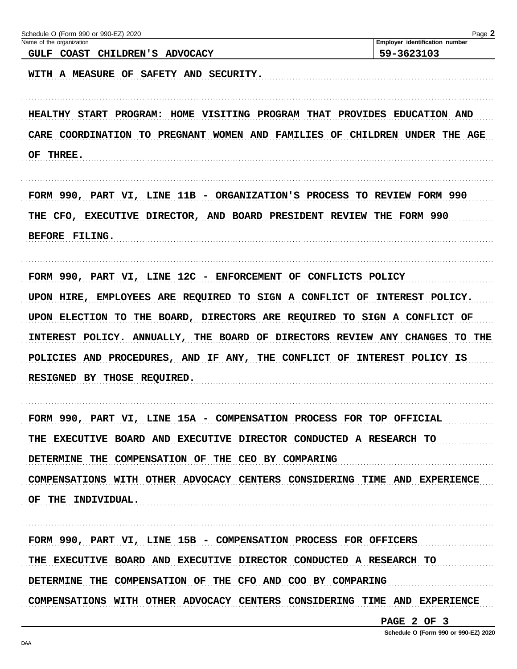| Schedule O (Form 990 or 990-EZ) 2020<br>Name of the organization           | Page 2<br>Employer identification number |
|----------------------------------------------------------------------------|------------------------------------------|
| GULF COAST CHILDREN'S ADVOCACY                                             | 59-3623103                               |
| WITH A MEASURE OF SAFETY AND SECURITY.                                     |                                          |
| HEALTHY START PROGRAM: HOME VISITING PROGRAM THAT                          | <b>PROVIDES</b><br><b>EDUCATION AND</b>  |
| CARE COORDINATION TO PREGNANT WOMEN AND FAMILIES OF CHILDREN UNDER THE AGE |                                          |
| <b>THREE.</b><br>OF                                                        |                                          |
| FORM 990, PART VI, LINE 11B - ORGANIZATION'S PROCESS                       | TO REVIEW FORM 990                       |
| THE CFO, EXECUTIVE DIRECTOR, AND BOARD PRESIDENT REVIEW THE FORM 990       |                                          |
| BEFORE FILING.                                                             |                                          |
| FORM 990, PART VI, LINE 12C - ENFORCEMENT OF CONFLICTS POLICY              |                                          |
| UPON HIRE, EMPLOYEES ARE REQUIRED TO SIGN A CONFLICT OF INTEREST POLICY.   |                                          |
| UPON ELECTION TO THE BOARD, DIRECTORS ARE REQUIRED TO SIGN A CONFLICT OF   |                                          |
| INTEREST POLICY. ANNUALLY,<br>BOARD OF DIRECTORS REVIEW ANY CHANGES<br>THE | TO THE                                   |
| POLICIES AND PROCEDURES, AND IF ANY, THE CONFLICT OF INTEREST POLICY IS    |                                          |
| RESIGNED BY THOSE REQUIRED.                                                |                                          |
|                                                                            |                                          |
| FORM 990, PART VI, LINE 15A - COMPENSATION PROCESS FOR TOP OFFICIAL        |                                          |
| THE EXECUTIVE BOARD AND EXECUTIVE DIRECTOR CONDUCTED A RESEARCH TO         |                                          |
| DETERMINE THE COMPENSATION OF THE CEO BY COMPARING                         |                                          |
| COMPENSATIONS WITH OTHER ADVOCACY CENTERS CONSIDERING TIME AND EXPERIENCE  |                                          |
| OF THE INDIVIDUAL.                                                         |                                          |
|                                                                            |                                          |
| FORM 990, PART VI, LINE 15B - COMPENSATION PROCESS FOR OFFICERS            |                                          |
| THE EXECUTIVE BOARD AND EXECUTIVE DIRECTOR CONDUCTED A RESEARCH TO         |                                          |
| DETERMINE THE COMPENSATION OF THE CFO AND COO BY COMPARING                 |                                          |
| COMPENSATIONS WITH OTHER ADVOCACY CENTERS CONSIDERING TIME AND EXPERIENCE  |                                          |

PAGE 2 OF 3

Schedule O (Form 990 or 990-EZ) 2020